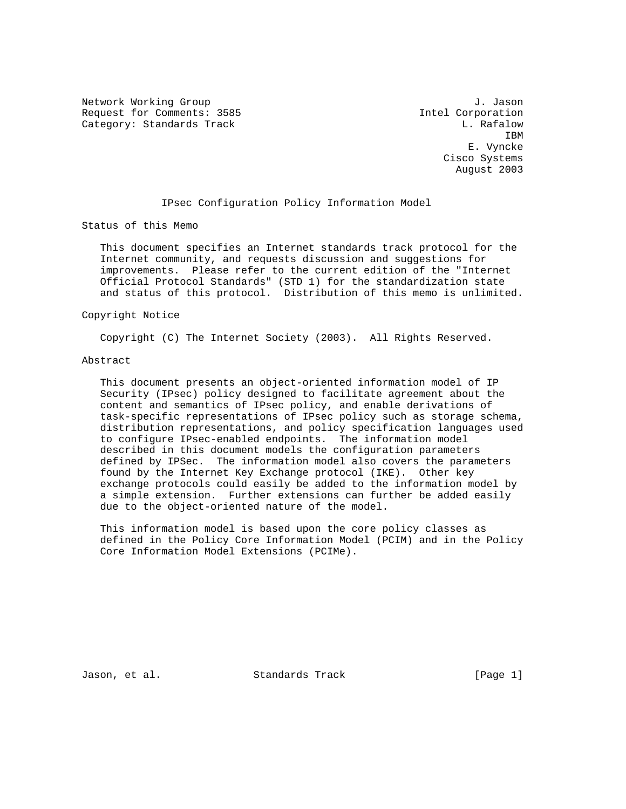Network Working Group 3. Jason J. Jason J. Jason J. Jason J. Jason J. Jason J. Jason J. Jason J. Jason J. Jason Request for Comments: 3585 Intel Corporation Category: Standards Track L. Rafalow L. Rafalow

**IBM IBM**  E. Vyncke Cisco Systems August 2003

# IPsec Configuration Policy Information Model

Status of this Memo

 This document specifies an Internet standards track protocol for the Internet community, and requests discussion and suggestions for improvements. Please refer to the current edition of the "Internet Official Protocol Standards" (STD 1) for the standardization state and status of this protocol. Distribution of this memo is unlimited.

# Copyright Notice

Copyright (C) The Internet Society (2003). All Rights Reserved.

#### Abstract

 This document presents an object-oriented information model of IP Security (IPsec) policy designed to facilitate agreement about the content and semantics of IPsec policy, and enable derivations of task-specific representations of IPsec policy such as storage schema, distribution representations, and policy specification languages used to configure IPsec-enabled endpoints. The information model described in this document models the configuration parameters defined by IPSec. The information model also covers the parameters found by the Internet Key Exchange protocol (IKE). Other key exchange protocols could easily be added to the information model by a simple extension. Further extensions can further be added easily due to the object-oriented nature of the model.

 This information model is based upon the core policy classes as defined in the Policy Core Information Model (PCIM) and in the Policy Core Information Model Extensions (PCIMe).

Jason, et al. Standards Track [Page 1]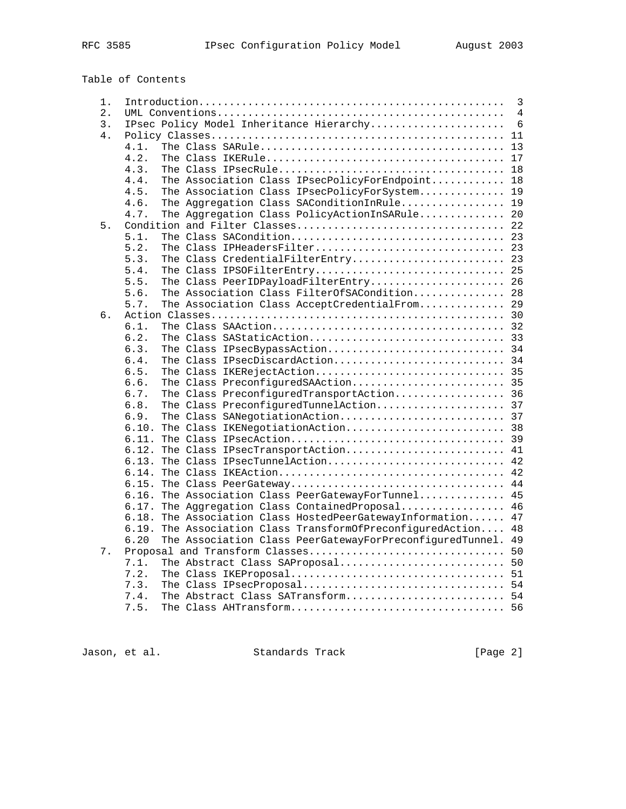| 1. | 3                                                                         |    |  |
|----|---------------------------------------------------------------------------|----|--|
| 2. | 4                                                                         |    |  |
| 3. | IPsec Policy Model Inheritance Hierarchy<br>6                             |    |  |
| 4. |                                                                           | 11 |  |
|    | 4.1.                                                                      | 13 |  |
|    | 4.2.                                                                      | 17 |  |
|    | 4.3.                                                                      | 18 |  |
|    | The Association Class IPsecPolicyForEndpoint 18<br>4.4.                   |    |  |
|    | 4.5.<br>The Association Class IPsecPolicyForSystem 19                     |    |  |
|    | The Aggregation Class SAConditionInRule 19<br>4.6.                        |    |  |
|    | The Aggregation Class PolicyActionInSARule 20<br>4.7.                     |    |  |
| 5. |                                                                           |    |  |
|    | 5.1.                                                                      |    |  |
|    | The Class IPHeadersFilter<br>5.2.                                         | 23 |  |
|    | The Class CredentialFilterEntry 23<br>5.3.                                |    |  |
|    | 5.4.                                                                      |    |  |
|    | The Class PeerIDPayloadFilterEntry<br>5.5.                                | 26 |  |
|    | The Association Class FilterOfSACondition 28<br>5.6.                      |    |  |
|    | The Association Class AcceptCredentialFrom<br>5.7.                        | 29 |  |
| б. |                                                                           |    |  |
|    | 6.1.                                                                      |    |  |
|    | 6.2.                                                                      |    |  |
|    | 6.3.                                                                      |    |  |
|    | The Class IPsecBypassAction 34<br>The Class IPsecDiscardAction 34<br>6.4. |    |  |
|    |                                                                           |    |  |
|    | 6.5.<br>The Class IKERejectAction 35                                      |    |  |
|    | The Class PreconfiguredSAAction 35<br>6.6.                                |    |  |
|    | 6.7.<br>The Class PreconfiguredTransportAction 36                         |    |  |
|    | The Class PreconfiguredTunnelAction 37<br>6.8.                            |    |  |
|    | 6.9.                                                                      |    |  |
|    | 6.10. The Class IKENegotiationAction 38                                   |    |  |
|    | 6.11.                                                                     |    |  |
|    | The Class IPsecTransportAction 41<br>6.12.                                |    |  |
|    | The Class IPsecTunnelAction<br>6.13.                                      | 42 |  |
|    | 6.14.                                                                     | 42 |  |
|    | 6.15.                                                                     | 44 |  |
|    | The Association Class PeerGatewayForTunnel 45<br>6.16.                    |    |  |
|    | The Aggregation Class Contained Proposal 46<br>6.17.                      |    |  |
|    | The Association Class HostedPeerGatewayInformation<br>6.18.               | 47 |  |
|    | The Association Class TransformOfPreconfiguredAction<br>6.19.             | 48 |  |
|    | The Association Class PeerGatewayForPreconfiguredTunnel.<br>6.20          | 49 |  |
| 7. | Proposal and Transform Classes                                            | 50 |  |
|    | The Abstract Class SAProposal<br>7.1.                                     | 50 |  |
|    | 7.2.                                                                      | 51 |  |
|    | 7.3.<br>The Class IPsecProposal                                           | 54 |  |
|    | The Abstract Class SATransform 54<br>7.4.                                 |    |  |
|    | 7.5.                                                                      |    |  |
|    |                                                                           |    |  |

Jason, et al. Standards Track [Page 2]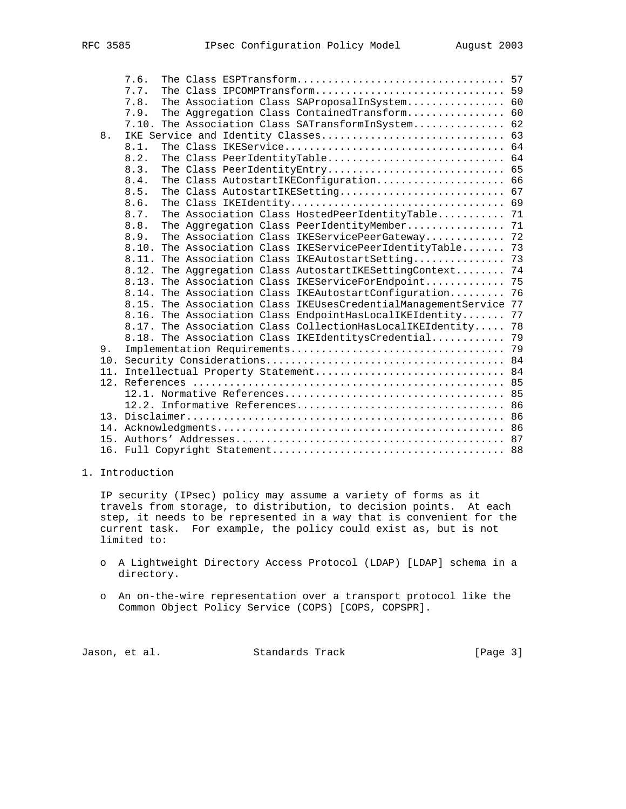|     | 7.6.                                                                 |    |
|-----|----------------------------------------------------------------------|----|
|     | The Class IPCOMPTransform 59<br>7.7.                                 |    |
|     | The Association Class SAProposalInSystem 60<br>7.8.                  |    |
|     | The Aggregation Class ContainedTransform 60<br>7.9.                  |    |
|     | The Association Class SATransformInSystem 62<br>7.10.                |    |
| 8.  | IKE Service and Identity Classes                                     | 63 |
|     | 8.1.                                                                 | 64 |
|     | The Class PeerIdentityTable 64<br>8.2.                               |    |
|     | The Class PeerIdentityEntry 65<br>8.3.                               |    |
|     | The Class AutostartIKEConfiguration 66<br>8.4.                       |    |
|     | The Class AutostartIKESetting 67<br>8.5.                             |    |
|     | 8.6.                                                                 | 69 |
|     | The Association Class HostedPeerIdentityTable 71<br>8.7.             |    |
|     | 8.8.<br>The Aggregation Class PeerIdentityMember 71                  |    |
|     | The Association Class IKEServicePeerGateway 72<br>8.9.               |    |
|     | The Association Class IKEServicePeerIdentityTable<br>8.10.           | 73 |
|     | The Association Class IKEAutostartSetting<br>8.11.                   | 73 |
|     | The Aggregation Class AutostartIKESettingContext<br>8.12.            | 74 |
|     | The Association Class IKEServiceForEndpoint<br>8.13.                 | 75 |
|     | The Association Class IKEAutostartConfiguration<br>8.14.             | 76 |
|     | The Association Class IKEUsesCredentialManagementService 77<br>8.15. |    |
|     | The Association Class EndpointHasLocalIKEIdentity<br>8.16.           | 77 |
|     | 8.17. The Association Class CollectionHasLocalIKEIdentity            | 78 |
|     | 8.18. The Association Class IKEIdentitysCredential                   | 79 |
| 9.  |                                                                      |    |
|     |                                                                      |    |
| 11. |                                                                      |    |
|     |                                                                      |    |
|     |                                                                      |    |
|     |                                                                      |    |
|     |                                                                      |    |
|     |                                                                      |    |
|     |                                                                      |    |
|     |                                                                      |    |

1. Introduction

 IP security (IPsec) policy may assume a variety of forms as it travels from storage, to distribution, to decision points. At each step, it needs to be represented in a way that is convenient for the current task. For example, the policy could exist as, but is not limited to:

- o A Lightweight Directory Access Protocol (LDAP) [LDAP] schema in a directory.
- o An on-the-wire representation over a transport protocol like the Common Object Policy Service (COPS) [COPS, COPSPR].

Jason, et al. Standards Track (Page 3)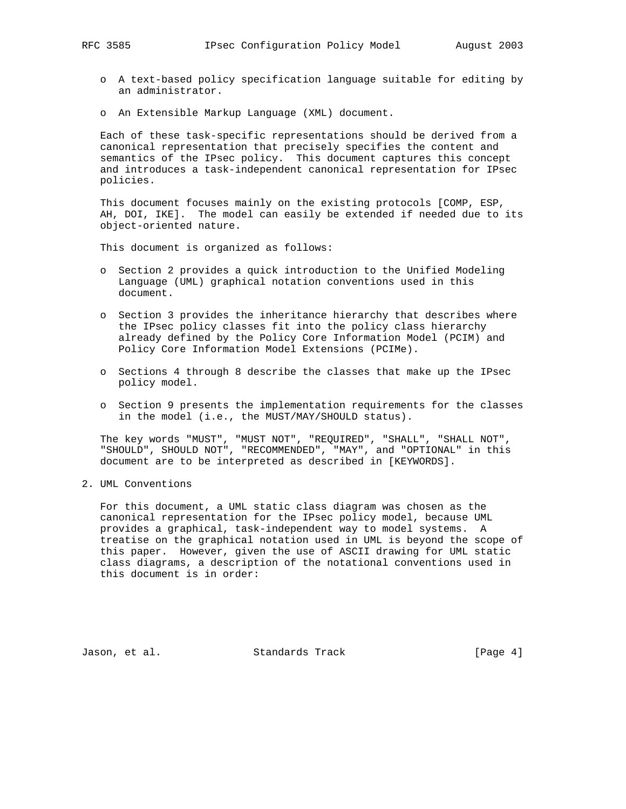- o A text-based policy specification language suitable for editing by an administrator.
- o An Extensible Markup Language (XML) document.

 Each of these task-specific representations should be derived from a canonical representation that precisely specifies the content and semantics of the IPsec policy. This document captures this concept and introduces a task-independent canonical representation for IPsec policies.

 This document focuses mainly on the existing protocols [COMP, ESP, AH, DOI, IKE]. The model can easily be extended if needed due to its object-oriented nature.

This document is organized as follows:

- o Section 2 provides a quick introduction to the Unified Modeling Language (UML) graphical notation conventions used in this document.
- o Section 3 provides the inheritance hierarchy that describes where the IPsec policy classes fit into the policy class hierarchy already defined by the Policy Core Information Model (PCIM) and Policy Core Information Model Extensions (PCIMe).
- o Sections 4 through 8 describe the classes that make up the IPsec policy model.
- o Section 9 presents the implementation requirements for the classes in the model (i.e., the MUST/MAY/SHOULD status).

 The key words "MUST", "MUST NOT", "REQUIRED", "SHALL", "SHALL NOT", "SHOULD", SHOULD NOT", "RECOMMENDED", "MAY", and "OPTIONAL" in this document are to be interpreted as described in [KEYWORDS].

2. UML Conventions

 For this document, a UML static class diagram was chosen as the canonical representation for the IPsec policy model, because UML provides a graphical, task-independent way to model systems. A treatise on the graphical notation used in UML is beyond the scope of this paper. However, given the use of ASCII drawing for UML static class diagrams, a description of the notational conventions used in this document is in order:

Jason, et al. Standards Track (Page 4)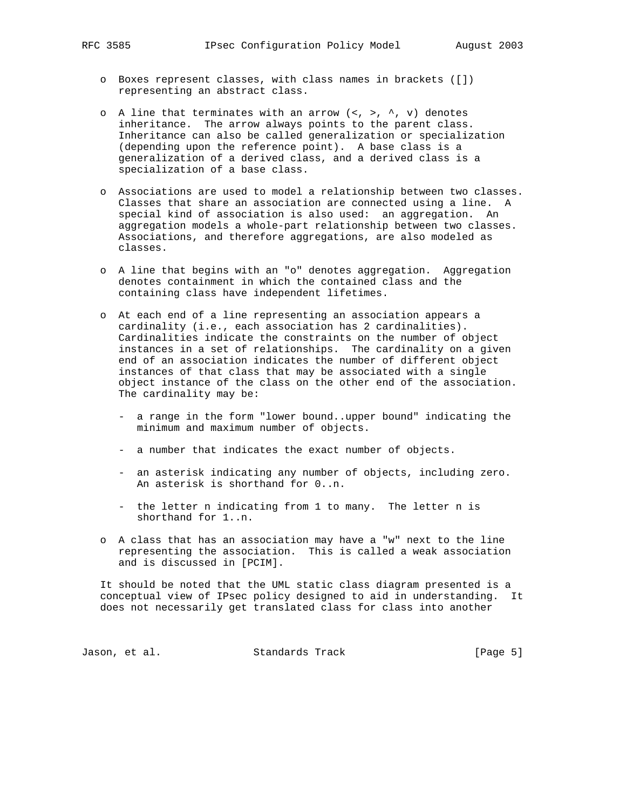- o Boxes represent classes, with class names in brackets ([]) representing an abstract class.
- o A line that terminates with an arrow  $\langle \langle , \rangle \rangle$ ,  $\land$ ,  $\lor$  denotes inheritance. The arrow always points to the parent class. Inheritance can also be called generalization or specialization (depending upon the reference point). A base class is a generalization of a derived class, and a derived class is a specialization of a base class.
- o Associations are used to model a relationship between two classes. Classes that share an association are connected using a line. A special kind of association is also used: an aggregation. An aggregation models a whole-part relationship between two classes. Associations, and therefore aggregations, are also modeled as classes.
- o A line that begins with an "o" denotes aggregation. Aggregation denotes containment in which the contained class and the containing class have independent lifetimes.
- o At each end of a line representing an association appears a cardinality (i.e., each association has 2 cardinalities). Cardinalities indicate the constraints on the number of object instances in a set of relationships. The cardinality on a given end of an association indicates the number of different object instances of that class that may be associated with a single object instance of the class on the other end of the association. The cardinality may be:
	- a range in the form "lower bound..upper bound" indicating the minimum and maximum number of objects.
	- a number that indicates the exact number of objects.
	- an asterisk indicating any number of objects, including zero. An asterisk is shorthand for 0..n.
	- the letter n indicating from 1 to many. The letter n is shorthand for 1..n.
- o A class that has an association may have a "w" next to the line representing the association. This is called a weak association and is discussed in [PCIM].

 It should be noted that the UML static class diagram presented is a conceptual view of IPsec policy designed to aid in understanding. It does not necessarily get translated class for class into another

Jason, et al. Standards Track [Page 5]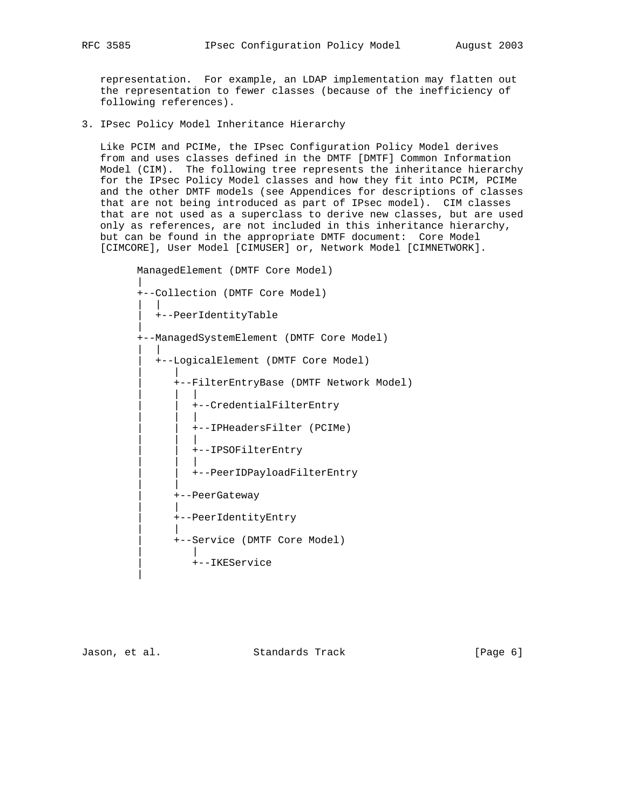representation. For example, an LDAP implementation may flatten out the representation to fewer classes (because of the inefficiency of following references).

3. IPsec Policy Model Inheritance Hierarchy

 Like PCIM and PCIMe, the IPsec Configuration Policy Model derives from and uses classes defined in the DMTF [DMTF] Common Information Model (CIM). The following tree represents the inheritance hierarchy for the IPsec Policy Model classes and how they fit into PCIM, PCIMe and the other DMTF models (see Appendices for descriptions of classes that are not being introduced as part of IPsec model). CIM classes that are not used as a superclass to derive new classes, but are used only as references, are not included in this inheritance hierarchy, but can be found in the appropriate DMTF document: Core Model [CIMCORE], User Model [CIMUSER] or, Network Model [CIMNETWORK].

 ManagedElement (DMTF Core Model) | +--Collection (DMTF Core Model) | | | +--PeerIdentityTable | +--ManagedSystemElement (DMTF Core Model) | | | +--LogicalElement (DMTF Core Model) | | | +--FilterEntryBase (DMTF Network Model) | | | | | +--CredentialFilterEntry | | | | | +--IPHeadersFilter (PCIMe) | | | | | +--IPSOFilterEntry | | | | | +--PeerIDPayloadFilterEntry | | | +--PeerGateway | | | +--PeerIdentityEntry | | | +--Service (DMTF Core Model) | | | +--IKEService |

Jason, et al. Standards Track (Page 6)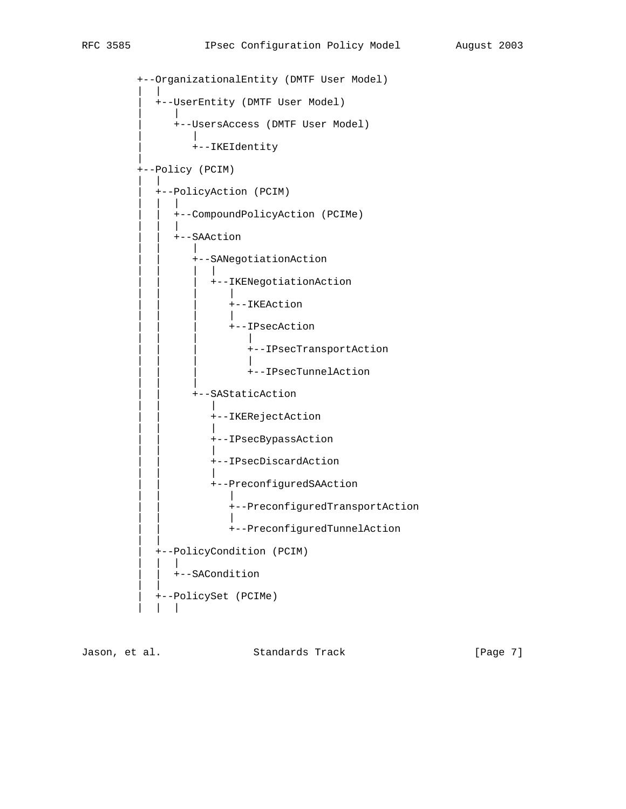+--OrganizationalEntity (DMTF User Model) | | | +--UserEntity (DMTF User Model) | | | +--UsersAccess (DMTF User Model) | | | +--IKEIdentity | +--Policy (PCIM) | | | +--PolicyAction (PCIM) | | | | | +--CompoundPolicyAction (PCIMe) | | | | | +--SAAction | | | | | +--SANegotiationAction | | | | | | | +--IKENegotiationAction | | | | | | | | | | | | | | +--IKEAction | | | | | | | | | | | | | | +--IPsecAction | | | | | | | +--IPsecTransportAction | | | | | | | +--IPsecTunnelAction | | | | | +--SAStaticAction | | | | | +--IKERejectAction | | | | | +--IPsecBypassAction | | | | | +--IPsecDiscardAction | | | | | +--PreconfiguredSAAction | | | | | +--PreconfiguredTransportAction | | | | | +--PreconfiguredTunnelAction | | | +--PolicyCondition (PCIM) | | | | | +--SACondition | | | +--PolicySet (PCIMe) | | |

Jason, et al. Standards Track [Page 7]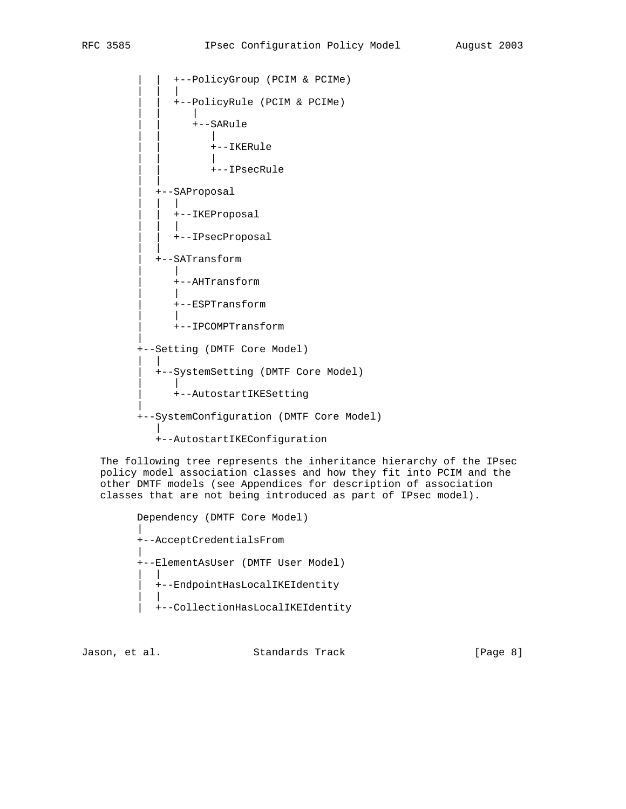```
 | | +--PolicyGroup (PCIM & PCIMe)
| | |
            | | +--PolicyRule (PCIM & PCIMe)
| | |
              | | +--SARule
| | |
               +--IKERule | | |
                 | | +--IPsecRule
| |
         | +--SAProposal
| | |
           | | +--IKEProposal
| | |
           | | +--IPsecProposal
| |
         | +--SATransform
| |
           | +--AHTransform
| |
            | +--ESPTransform
| |
           | +--IPCOMPTransform
|
       +--Setting (DMTF Core Model)
| |
         | +--SystemSetting (DMTF Core Model)
| |
           | +--AutostartIKESetting
|
       +--SystemConfiguration (DMTF Core Model)
|
         +--AutostartIKEConfiguration
```
 The following tree represents the inheritance hierarchy of the IPsec policy model association classes and how they fit into PCIM and the other DMTF models (see Appendices for description of association classes that are not being introduced as part of IPsec model).

```
 Dependency (DMTF Core Model)
|
       +--AcceptCredentialsFrom
|
       +--ElementAsUser (DMTF User Model)
| |
         | +--EndpointHasLocalIKEIdentity
| |
         | +--CollectionHasLocalIKEIdentity
```
Jason, et al. Standards Track [Page 8]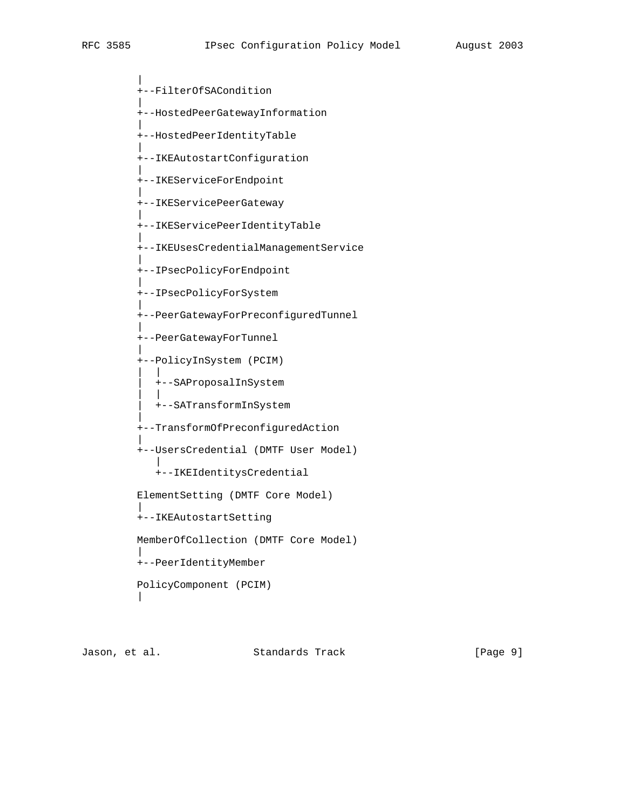|

|

|

|

|

|

|

|

|

|

|

|

|

+--FilterOfSACondition

+--HostedPeerGatewayInformation

 | +--HostedPeerIdentityTable

+--IKEAutostartConfiguration

+--IKEServiceForEndpoint

+--IKEServicePeerGateway

+--IKEServicePeerIdentityTable

+--IKEUsesCredentialManagementService

 +--IPsecPolicyForEndpoint |

+--IPsecPolicyForSystem

+--PeerGatewayForPreconfiguredTunnel

+--PeerGatewayForTunnel

+--PolicyInSystem (PCIM)

 | | | +--SAProposalInSystem

 | | | +--SATransformInSystem

+--TransformOfPreconfiguredAction

+--UsersCredential (DMTF User Model)

 | +--IKEIdentitysCredential

 ElementSetting (DMTF Core Model) |

+--IKEAutostartSetting

MemberOfCollection (DMTF Core Model)

 | +--PeerIdentityMember

 PolicyComponent (PCIM) |

Jason, et al. Standards Track [Page 9]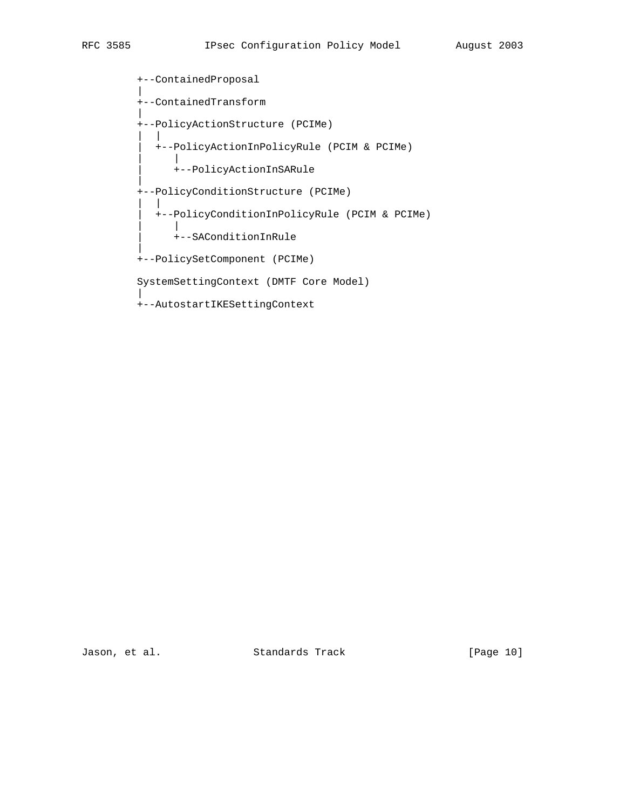+--ContainedProposal | +--ContainedTransform | +--PolicyActionStructure (PCIMe) | | | +--PolicyActionInPolicyRule (PCIM & PCIMe) | | | +--PolicyActionInSARule | +--PolicyConditionStructure (PCIMe) | | | +--PolicyConditionInPolicyRule (PCIM & PCIMe) | | | +--SAConditionInRule | +--PolicySetComponent (PCIMe) SystemSettingContext (DMTF Core Model) | +--AutostartIKESettingContext

Jason, et al. Standards Track [Page 10]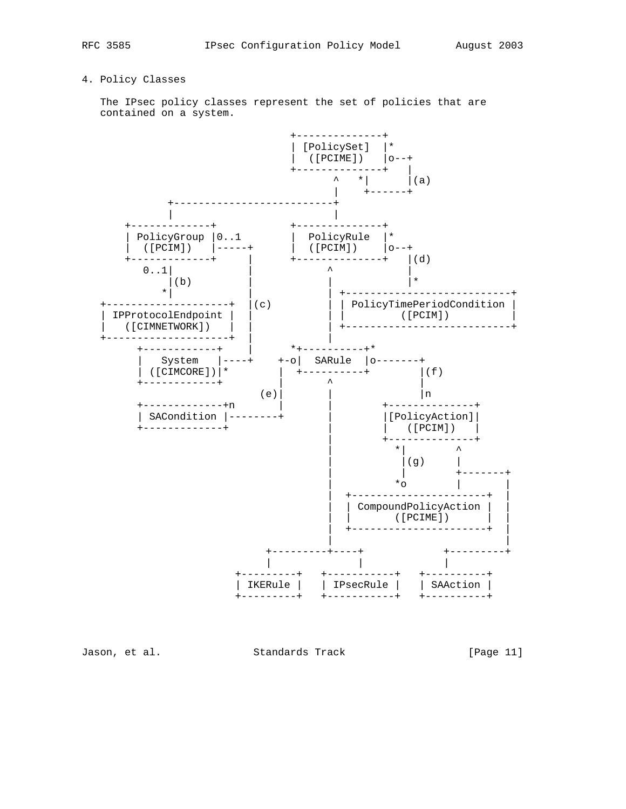# 4. Policy Classes

 The IPsec policy classes represent the set of policies that are contained on a system.



Jason, et al. Standards Track [Page 11]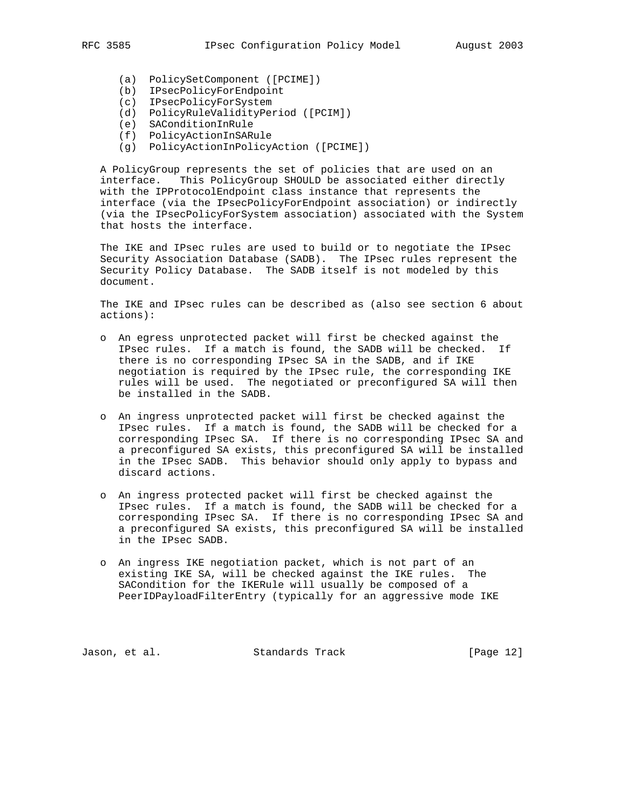- 
- (a) PolicySetComponent ([PCIME]) (b) IPsecPolicyForEndpoint
- (c) IPsecPolicyForSystem
- (d) PolicyRuleValidityPeriod ([PCIM])
- (e) SAConditionInRule
- (f) PolicyActionInSARule
	- (g) PolicyActionInPolicyAction ([PCIME])

 A PolicyGroup represents the set of policies that are used on an interface. This PolicyGroup SHOULD be associated either directly with the IPProtocolEndpoint class instance that represents the interface (via the IPsecPolicyForEndpoint association) or indirectly (via the IPsecPolicyForSystem association) associated with the System that hosts the interface.

 The IKE and IPsec rules are used to build or to negotiate the IPsec Security Association Database (SADB). The IPsec rules represent the Security Policy Database. The SADB itself is not modeled by this document.

 The IKE and IPsec rules can be described as (also see section 6 about actions):

- o An egress unprotected packet will first be checked against the IPsec rules. If a match is found, the SADB will be checked. If there is no corresponding IPsec SA in the SADB, and if IKE negotiation is required by the IPsec rule, the corresponding IKE rules will be used. The negotiated or preconfigured SA will then be installed in the SADB.
- o An ingress unprotected packet will first be checked against the IPsec rules. If a match is found, the SADB will be checked for a corresponding IPsec SA. If there is no corresponding IPsec SA and a preconfigured SA exists, this preconfigured SA will be installed in the IPsec SADB. This behavior should only apply to bypass and discard actions.
- o An ingress protected packet will first be checked against the IPsec rules. If a match is found, the SADB will be checked for a corresponding IPsec SA. If there is no corresponding IPsec SA and a preconfigured SA exists, this preconfigured SA will be installed in the IPsec SADB.
- o An ingress IKE negotiation packet, which is not part of an existing IKE SA, will be checked against the IKE rules. The SACondition for the IKERule will usually be composed of a PeerIDPayloadFilterEntry (typically for an aggressive mode IKE

Jason, et al. Standards Track [Page 12]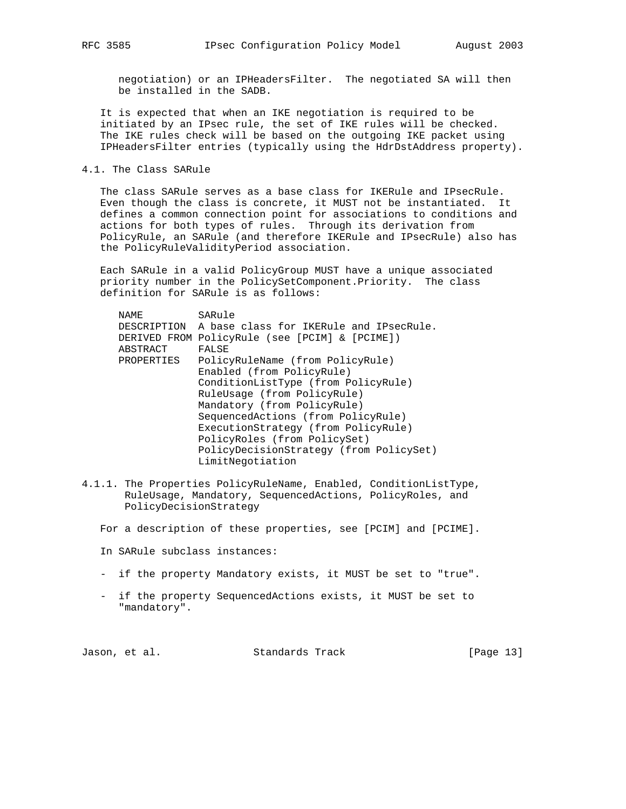negotiation) or an IPHeadersFilter. The negotiated SA will then be installed in the SADB.

 It is expected that when an IKE negotiation is required to be initiated by an IPsec rule, the set of IKE rules will be checked. The IKE rules check will be based on the outgoing IKE packet using IPHeadersFilter entries (typically using the HdrDstAddress property).

4.1. The Class SARule

 The class SARule serves as a base class for IKERule and IPsecRule. Even though the class is concrete, it MUST not be instantiated. It defines a common connection point for associations to conditions and actions for both types of rules. Through its derivation from PolicyRule, an SARule (and therefore IKERule and IPsecRule) also has the PolicyRuleValidityPeriod association.

 Each SARule in a valid PolicyGroup MUST have a unique associated priority number in the PolicySetComponent.Priority. The class definition for SARule is as follows:

| NAME       | SARule                                              |
|------------|-----------------------------------------------------|
|            | DESCRIPTION A base class for IKERule and IPsecRule. |
|            | DERIVED FROM PolicyRule (see [PCIM] & [PCIME])      |
| ABSTRACT   | FALSE                                               |
| PROPERTIES | PolicyRuleName (from PolicyRule)                    |
|            | Enabled (from PolicyRule)                           |
|            | ConditionListType (from PolicyRule)                 |
|            | RuleUsage (from PolicyRule)                         |
|            | Mandatory (from PolicyRule)                         |
|            | SequencedActions (from PolicyRule)                  |
|            | ExecutionStrategy (from PolicyRule)                 |
|            | PolicyRoles (from PolicySet)                        |
|            | PolicyDecisionStrategy (from PolicySet)             |
|            | LimitNegotiation                                    |
|            |                                                     |

4.1.1. The Properties PolicyRuleName, Enabled, ConditionListType, RuleUsage, Mandatory, SequencedActions, PolicyRoles, and PolicyDecisionStrategy

For a description of these properties, see [PCIM] and [PCIME].

In SARule subclass instances:

- if the property Mandatory exists, it MUST be set to "true".
- if the property SequencedActions exists, it MUST be set to "mandatory".

Jason, et al. Standards Track [Page 13]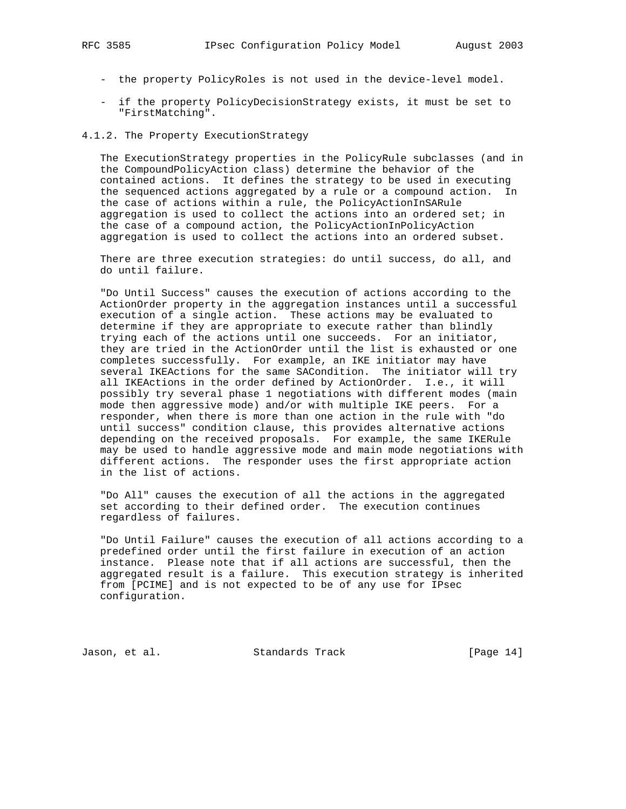- the property PolicyRoles is not used in the device-level model.
- if the property PolicyDecisionStrategy exists, it must be set to "FirstMatching".

# 4.1.2. The Property ExecutionStrategy

 The ExecutionStrategy properties in the PolicyRule subclasses (and in the CompoundPolicyAction class) determine the behavior of the contained actions. It defines the strategy to be used in executing the sequenced actions aggregated by a rule or a compound action. In the case of actions within a rule, the PolicyActionInSARule aggregation is used to collect the actions into an ordered set; in the case of a compound action, the PolicyActionInPolicyAction aggregation is used to collect the actions into an ordered subset.

 There are three execution strategies: do until success, do all, and do until failure.

 "Do Until Success" causes the execution of actions according to the ActionOrder property in the aggregation instances until a successful execution of a single action. These actions may be evaluated to determine if they are appropriate to execute rather than blindly trying each of the actions until one succeeds. For an initiator, they are tried in the ActionOrder until the list is exhausted or one completes successfully. For example, an IKE initiator may have several IKEActions for the same SACondition. The initiator will try all IKEActions in the order defined by ActionOrder. I.e., it will possibly try several phase 1 negotiations with different modes (main mode then aggressive mode) and/or with multiple IKE peers. For a responder, when there is more than one action in the rule with "do until success" condition clause, this provides alternative actions depending on the received proposals. For example, the same IKERule may be used to handle aggressive mode and main mode negotiations with different actions. The responder uses the first appropriate action in the list of actions.

 "Do All" causes the execution of all the actions in the aggregated set according to their defined order. The execution continues regardless of failures.

 "Do Until Failure" causes the execution of all actions according to a predefined order until the first failure in execution of an action instance. Please note that if all actions are successful, then the aggregated result is a failure. This execution strategy is inherited from [PCIME] and is not expected to be of any use for IPsec configuration.

Jason, et al. Standards Track [Page 14]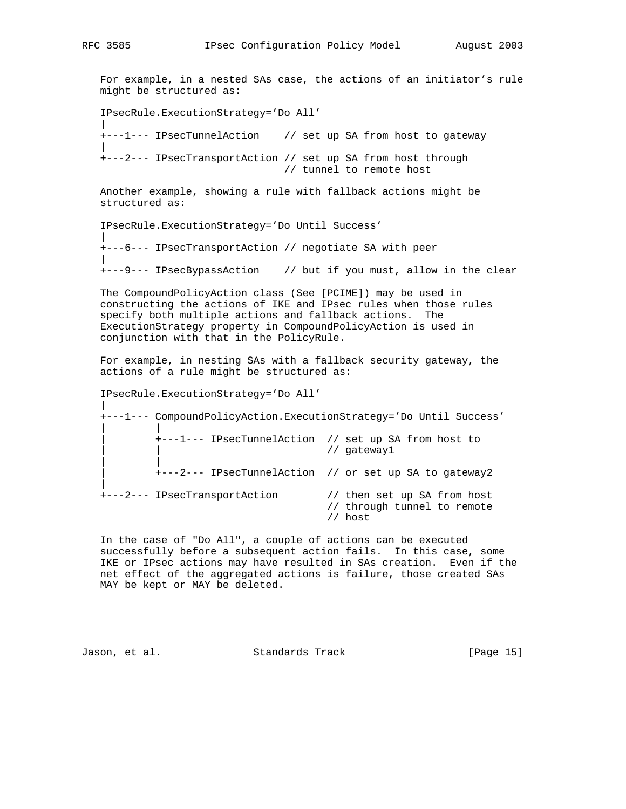For example, in a nested SAs case, the actions of an initiator's rule might be structured as:

IPsecRule.ExecutionStrategy='Do All'

|| || || || +---1--- IPsecTunnelAction // set up SA from host to gateway || || || || +---2--- IPsecTransportAction // set up SA from host through // tunnel to remote host

 Another example, showing a rule with fallback actions might be structured as:

IPsecRule.ExecutionStrategy='Do Until Success'

+---6--- IPsecTransportAction // negotiate SA with peer

+---9--- IPsecBypassAction // but if you must, allow in the clear

 The CompoundPolicyAction class (See [PCIME]) may be used in constructing the actions of IKE and IPsec rules when those rules specify both multiple actions and fallback actions. The ExecutionStrategy property in CompoundPolicyAction is used in conjunction with that in the PolicyRule.

 For example, in nesting SAs with a fallback security gateway, the actions of a rule might be structured as:

IPsecRule.ExecutionStrategy='Do All'

|| || +---1--- CompoundPolicyAction.ExecutionStrategy='Do Until Success' | | | +---1--- IPsecTunnelAction // set up SA from host to | | // gateway1 | | | +---2--- IPsecTunnelAction // or set up SA to gateway2 || || || || +---2--- IPsecTransportAction // then set up SA from host // through tunnel to remote

#### // host

 In the case of "Do All", a couple of actions can be executed successfully before a subsequent action fails. In this case, some IKE or IPsec actions may have resulted in SAs creation. Even if the net effect of the aggregated actions is failure, those created SAs MAY be kept or MAY be deleted.

Jason, et al. Standards Track [Page 15]

|| ||

|| || || ||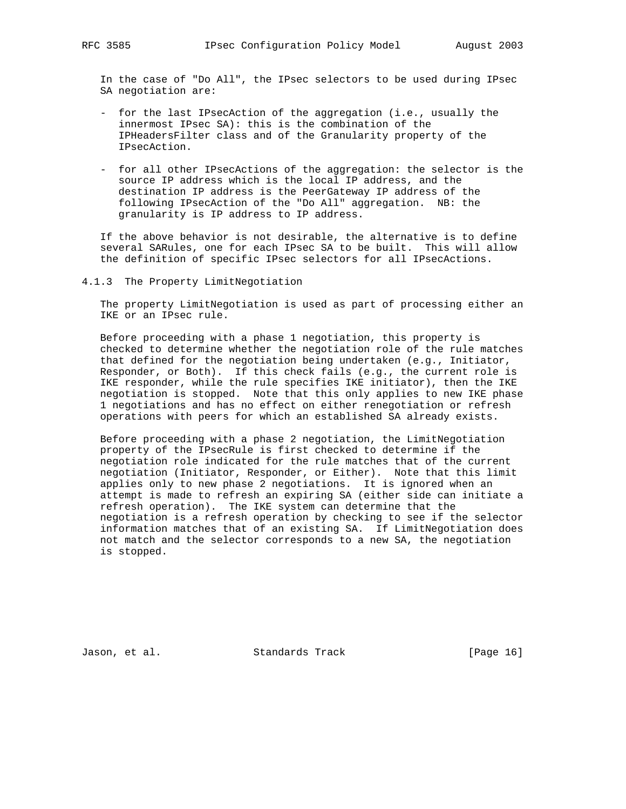In the case of "Do All", the IPsec selectors to be used during IPsec SA negotiation are:

- for the last IPsecAction of the aggregation (i.e., usually the innermost IPsec SA): this is the combination of the IPHeadersFilter class and of the Granularity property of the IPsecAction.
- for all other IPsecActions of the aggregation: the selector is the source IP address which is the local IP address, and the destination IP address is the PeerGateway IP address of the following IPsecAction of the "Do All" aggregation. NB: the granularity is IP address to IP address.

 If the above behavior is not desirable, the alternative is to define several SARules, one for each IPsec SA to be built. This will allow the definition of specific IPsec selectors for all IPsecActions.

4.1.3 The Property LimitNegotiation

 The property LimitNegotiation is used as part of processing either an IKE or an IPsec rule.

 Before proceeding with a phase 1 negotiation, this property is checked to determine whether the negotiation role of the rule matches that defined for the negotiation being undertaken (e.g., Initiator, Responder, or Both). If this check fails (e.g., the current role is IKE responder, while the rule specifies IKE initiator), then the IKE negotiation is stopped. Note that this only applies to new IKE phase 1 negotiations and has no effect on either renegotiation or refresh operations with peers for which an established SA already exists.

 Before proceeding with a phase 2 negotiation, the LimitNegotiation property of the IPsecRule is first checked to determine if the negotiation role indicated for the rule matches that of the current negotiation (Initiator, Responder, or Either). Note that this limit applies only to new phase 2 negotiations. It is ignored when an attempt is made to refresh an expiring SA (either side can initiate a refresh operation). The IKE system can determine that the negotiation is a refresh operation by checking to see if the selector information matches that of an existing SA. If LimitNegotiation does not match and the selector corresponds to a new SA, the negotiation is stopped.

Jason, et al. Standards Track [Page 16]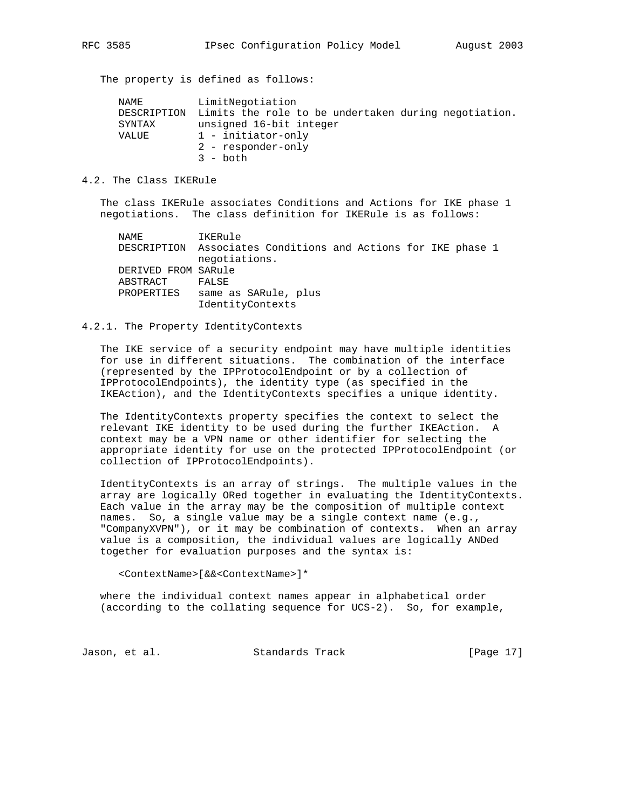The property is defined as follows:

| NAME   | LimitNegotiation                                                 |
|--------|------------------------------------------------------------------|
|        | DESCRIPTION Limits the role to be undertaken during negotiation. |
| SYNTAX | unsigned 16-bit integer                                          |
| VALUE  | 1 - initiator-only                                               |
|        | 2 - responder-only                                               |
|        | $3 - \text{both}$                                                |

#### 4.2. The Class IKERule

 The class IKERule associates Conditions and Actions for IKE phase 1 negotiations. The class definition for IKERule is as follows:

 NAME IKERule DESCRIPTION Associates Conditions and Actions for IKE phase 1 negotiations. DERIVED FROM SARule ABSTRACT FALSE PROPERTIES same as SARule, plus IdentityContexts

# 4.2.1. The Property IdentityContexts

 The IKE service of a security endpoint may have multiple identities for use in different situations. The combination of the interface (represented by the IPProtocolEndpoint or by a collection of IPProtocolEndpoints), the identity type (as specified in the IKEAction), and the IdentityContexts specifies a unique identity.

 The IdentityContexts property specifies the context to select the relevant IKE identity to be used during the further IKEAction. A context may be a VPN name or other identifier for selecting the appropriate identity for use on the protected IPProtocolEndpoint (or collection of IPProtocolEndpoints).

 IdentityContexts is an array of strings. The multiple values in the array are logically ORed together in evaluating the IdentityContexts. Each value in the array may be the composition of multiple context names. So, a single value may be a single context name (e.g., "CompanyXVPN"), or it may be combination of contexts. When an array value is a composition, the individual values are logically ANDed together for evaluation purposes and the syntax is:

<ContextName>[&&<ContextName>]\*

 where the individual context names appear in alphabetical order (according to the collating sequence for UCS-2). So, for example,

Jason, et al. Standards Track [Page 17]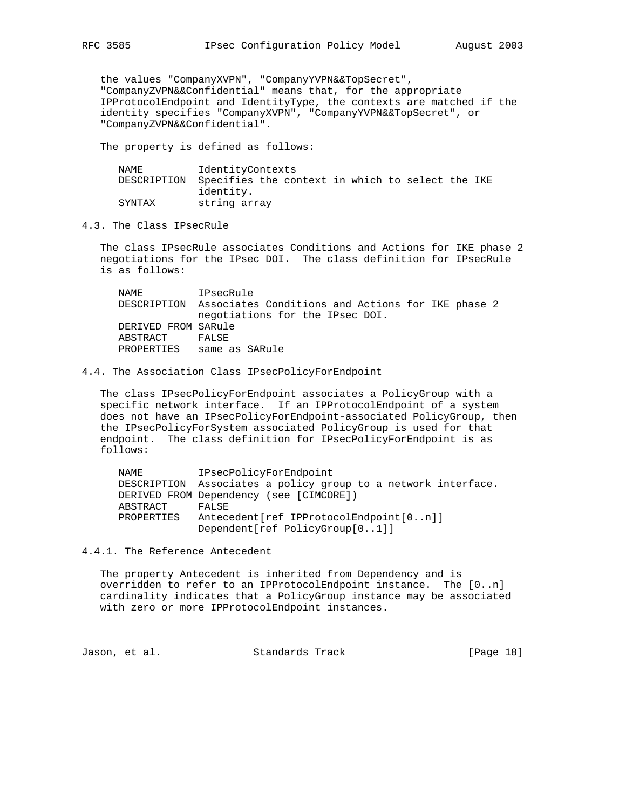the values "CompanyXVPN", "CompanyYVPN&&TopSecret", "CompanyZVPN&&Confidential" means that, for the appropriate IPProtocolEndpoint and IdentityType, the contexts are matched if the identity specifies "CompanyXVPN", "CompanyYVPN&&TopSecret", or "CompanyZVPN&&Confidential".

The property is defined as follows:

| NAME   | IdentityContexts                                             |
|--------|--------------------------------------------------------------|
|        | DESCRIPTION Specifies the context in which to select the IKE |
|        | identity.                                                    |
| SYNTAX | string array                                                 |

4.3. The Class IPsecRule

 The class IPsecRule associates Conditions and Actions for IKE phase 2 negotiations for the IPsec DOI. The class definition for IPsecRule is as follows:

 NAME IPsecRule DESCRIPTION Associates Conditions and Actions for IKE phase 2 negotiations for the IPsec DOI. DERIVED FROM SARule ABSTRACT FALSE PROPERTIES same as SARule

#### 4.4. The Association Class IPsecPolicyForEndpoint

 The class IPsecPolicyForEndpoint associates a PolicyGroup with a specific network interface. If an IPProtocolEndpoint of a system does not have an IPsecPolicyForEndpoint-associated PolicyGroup, then the IPsecPolicyForSystem associated PolicyGroup is used for that endpoint. The class definition for IPsecPolicyForEndpoint is as follows:

 NAME IPsecPolicyForEndpoint DESCRIPTION Associates a policy group to a network interface. DERIVED FROM Dependency (see [CIMCORE]) ABSTRACT FALSE PROPERTIES Antecedent[ref IPProtocolEndpoint[0..n]] Dependent[ref PolicyGroup[0..1]]

4.4.1. The Reference Antecedent

 The property Antecedent is inherited from Dependency and is overridden to refer to an IPProtocolEndpoint instance. The [0..n] cardinality indicates that a PolicyGroup instance may be associated with zero or more IPProtocolEndpoint instances.

Jason, et al. Standards Track [Page 18]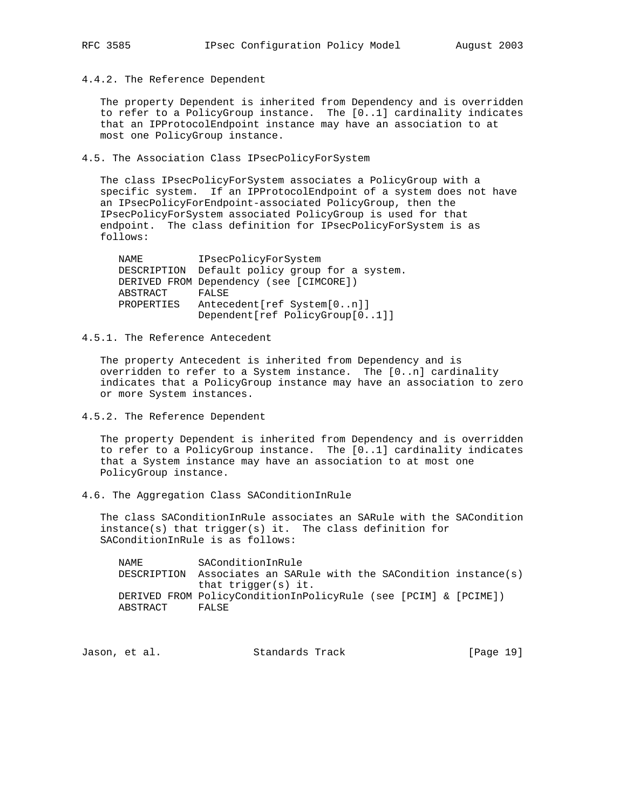4.4.2. The Reference Dependent

 The property Dependent is inherited from Dependency and is overridden to refer to a PolicyGroup instance. The [0..1] cardinality indicates that an IPProtocolEndpoint instance may have an association to at most one PolicyGroup instance.

4.5. The Association Class IPsecPolicyForSystem

 The class IPsecPolicyForSystem associates a PolicyGroup with a specific system. If an IPProtocolEndpoint of a system does not have an IPsecPolicyForEndpoint-associated PolicyGroup, then the IPsecPolicyForSystem associated PolicyGroup is used for that endpoint. The class definition for IPsecPolicyForSystem is as follows:

| NAME       | IPsecPolicyForSystem                           |
|------------|------------------------------------------------|
|            | DESCRIPTION Default policy group for a system. |
|            | DERIVED FROM Dependency (see [CIMCORE])        |
| ABSTRACT   | FALSE                                          |
| PROPERTIES | Antecedent [ref System [0n]]                   |
|            | Dependent[ref PolicyGroup[01]]                 |

4.5.1. The Reference Antecedent

 The property Antecedent is inherited from Dependency and is overridden to refer to a System instance. The [0..n] cardinality indicates that a PolicyGroup instance may have an association to zero or more System instances.

4.5.2. The Reference Dependent

 The property Dependent is inherited from Dependency and is overridden to refer to a PolicyGroup instance. The [0..1] cardinality indicates that a System instance may have an association to at most one PolicyGroup instance.

4.6. The Aggregation Class SAConditionInRule

 The class SAConditionInRule associates an SARule with the SACondition instance(s) that trigger(s) it. The class definition for SAConditionInRule is as follows:

 NAME SAConditionInRule DESCRIPTION Associates an SARule with the SACondition instance(s) that trigger(s) it. DERIVED FROM PolicyConditionInPolicyRule (see [PCIM] & [PCIME]) ABSTRACT FALSE

Jason, et al. Standards Track [Page 19]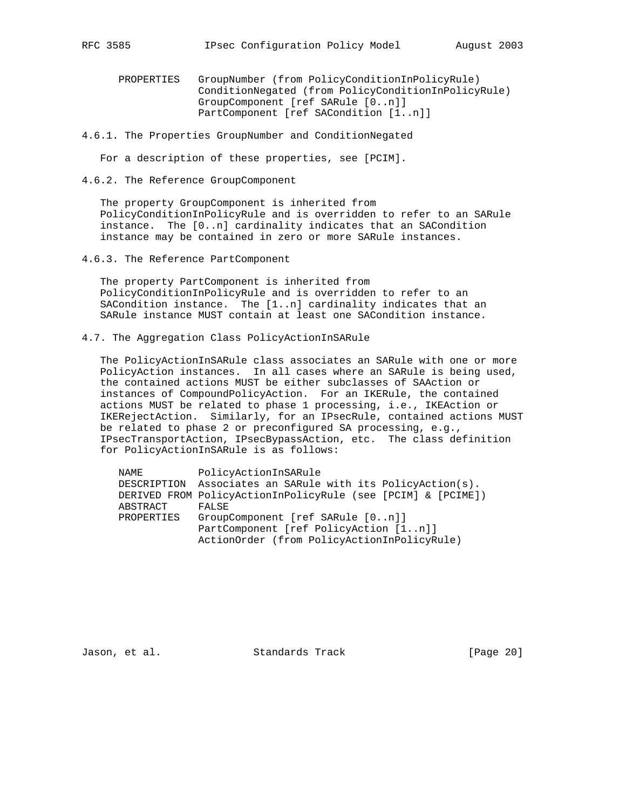- PROPERTIES GroupNumber (from PolicyConditionInPolicyRule) ConditionNegated (from PolicyConditionInPolicyRule) GroupComponent [ref SARule [0..n]] PartComponent [ref SACondition [1..n]]
- 4.6.1. The Properties GroupNumber and ConditionNegated

For a description of these properties, see [PCIM].

4.6.2. The Reference GroupComponent

 The property GroupComponent is inherited from PolicyConditionInPolicyRule and is overridden to refer to an SARule instance. The [0..n] cardinality indicates that an SACondition instance may be contained in zero or more SARule instances.

4.6.3. The Reference PartComponent

 The property PartComponent is inherited from PolicyConditionInPolicyRule and is overridden to refer to an SACondition instance. The [1..n] cardinality indicates that an SARule instance MUST contain at least one SACondition instance.

4.7. The Aggregation Class PolicyActionInSARule

 The PolicyActionInSARule class associates an SARule with one or more PolicyAction instances. In all cases where an SARule is being used, the contained actions MUST be either subclasses of SAAction or instances of CompoundPolicyAction. For an IKERule, the contained actions MUST be related to phase 1 processing, i.e., IKEAction or IKERejectAction. Similarly, for an IPsecRule, contained actions MUST be related to phase 2 or preconfigured SA processing, e.g., IPsecTransportAction, IPsecBypassAction, etc. The class definition for PolicyActionInSARule is as follows:

| NAME       | PolicyActionInSARule                                         |
|------------|--------------------------------------------------------------|
|            | DESCRIPTION Associates an SARule with its PolicyAction(s).   |
|            | DERIVED FROM PolicyActionInPolicyRule (see [PCIM] & [PCIME]) |
| ABSTRACT   | FALSE                                                        |
| PROPERTIES | GroupComponent [ref SARule [0n]]                             |
|            | PartComponent [ref PolicyAction [1n]]                        |
|            | ActionOrder (from PolicyActionInPolicyRule)                  |

Jason, et al. Standards Track [Page 20]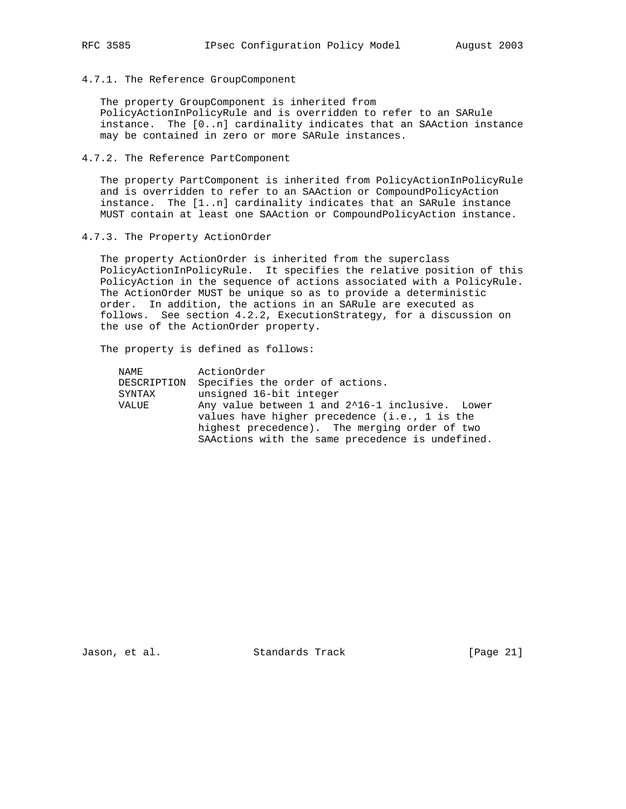4.7.1. The Reference GroupComponent

 The property GroupComponent is inherited from PolicyActionInPolicyRule and is overridden to refer to an SARule instance. The [0..n] cardinality indicates that an SAAction instance may be contained in zero or more SARule instances.

# 4.7.2. The Reference PartComponent

 The property PartComponent is inherited from PolicyActionInPolicyRule and is overridden to refer to an SAAction or CompoundPolicyAction instance. The [1..n] cardinality indicates that an SARule instance MUST contain at least one SAAction or CompoundPolicyAction instance.

4.7.3. The Property ActionOrder

 The property ActionOrder is inherited from the superclass PolicyActionInPolicyRule. It specifies the relative position of this PolicyAction in the sequence of actions associated with a PolicyRule. The ActionOrder MUST be unique so as to provide a deterministic order. In addition, the actions in an SARule are executed as follows. See section 4.2.2, ExecutionStrategy, for a discussion on the use of the ActionOrder property.

The property is defined as follows:

| NAME        | ActionOrder                                      |
|-------------|--------------------------------------------------|
| DESCRIPTION | Specifies the order of actions.                  |
| SYNTAX      | unsigned 16-bit integer                          |
| VALUE       | Any value between 1 and 2^16-1 inclusive. Lower  |
|             | values have higher precedence (i.e., 1 is the    |
|             | highest precedence). The merging order of two    |
|             | SAActions with the same precedence is undefined. |

Jason, et al. Standards Track [Page 21]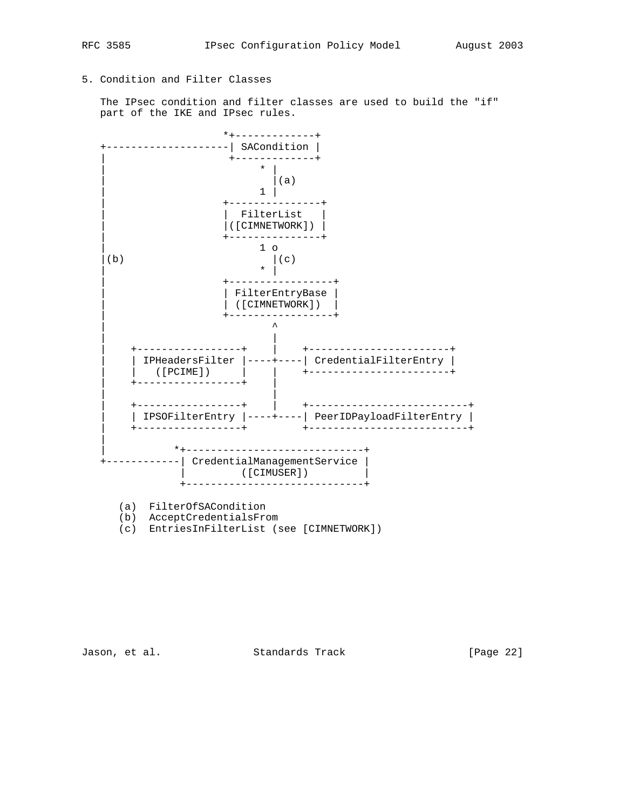# 5. Condition and Filter Classes

 The IPsec condition and filter classes are used to build the "if" part of the IKE and IPsec rules.



Jason, et al. Standards Track [Page 22]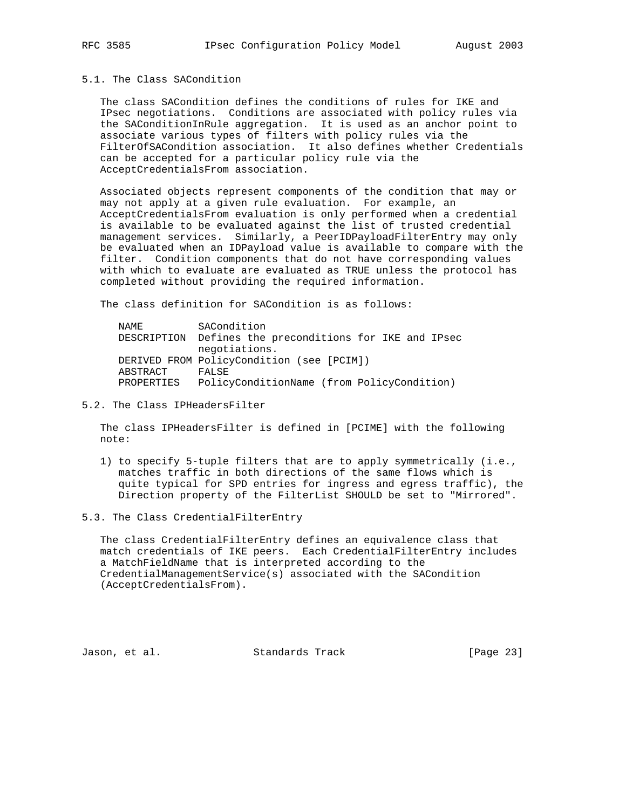# 5.1. The Class SACondition

 The class SACondition defines the conditions of rules for IKE and IPsec negotiations. Conditions are associated with policy rules via the SAConditionInRule aggregation. It is used as an anchor point to associate various types of filters with policy rules via the FilterOfSACondition association. It also defines whether Credentials can be accepted for a particular policy rule via the AcceptCredentialsFrom association.

 Associated objects represent components of the condition that may or may not apply at a given rule evaluation. For example, an AcceptCredentialsFrom evaluation is only performed when a credential is available to be evaluated against the list of trusted credential management services. Similarly, a PeerIDPayloadFilterEntry may only be evaluated when an IDPayload value is available to compare with the filter. Condition components that do not have corresponding values with which to evaluate are evaluated as TRUE unless the protocol has completed without providing the required information.

The class definition for SACondition is as follows:

| NAMF.      | SACondition                                             |
|------------|---------------------------------------------------------|
|            | DESCRIPTION Defines the preconditions for IKE and IPsec |
|            | negotiations.                                           |
|            | DERIVED FROM PolicyCondition (see [PCIM])               |
| ABSTRACT   | FALSE                                                   |
| PROPERTIES | PolicyConditionName (from PolicyCondition)              |

5.2. The Class IPHeadersFilter

 The class IPHeadersFilter is defined in [PCIME] with the following note:

- 1) to specify 5-tuple filters that are to apply symmetrically (i.e., matches traffic in both directions of the same flows which is quite typical for SPD entries for ingress and egress traffic), the Direction property of the FilterList SHOULD be set to "Mirrored".
- 5.3. The Class CredentialFilterEntry

 The class CredentialFilterEntry defines an equivalence class that match credentials of IKE peers. Each CredentialFilterEntry includes a MatchFieldName that is interpreted according to the CredentialManagementService(s) associated with the SACondition (AcceptCredentialsFrom).

Jason, et al. Standards Track [Page 23]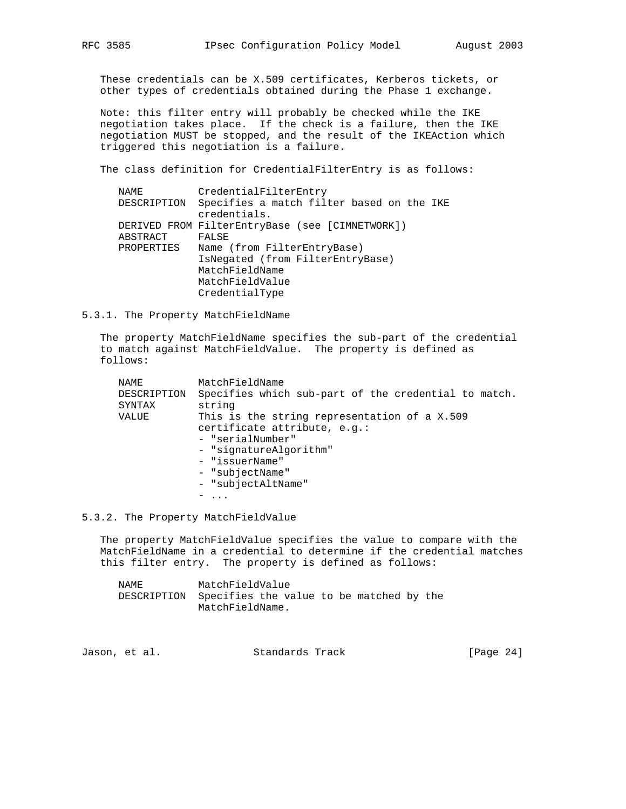These credentials can be X.509 certificates, Kerberos tickets, or other types of credentials obtained during the Phase 1 exchange.

 Note: this filter entry will probably be checked while the IKE negotiation takes place. If the check is a failure, then the IKE negotiation MUST be stopped, and the result of the IKEAction which triggered this negotiation is a failure.

The class definition for CredentialFilterEntry is as follows:

| NAME       | CredentialFilterEntry                                                 |
|------------|-----------------------------------------------------------------------|
|            | DESCRIPTION Specifies a match filter based on the IKE<br>credentials. |
|            | DERIVED FROM FilterEntryBase (see [CIMNETWORK])                       |
| ABSTRACT   | FALSE                                                                 |
| PROPERTIES | Name (from FilterEntryBase)                                           |
|            | IsNegated (from FilterEntryBase)                                      |
|            | MatchFieldName                                                        |
|            | MatchFieldValue                                                       |
|            | CredentialType                                                        |

# 5.3.1. The Property MatchFieldName

 The property MatchFieldName specifies the sub-part of the credential to match against MatchFieldValue. The property is defined as follows:

| MatchFieldName                                       |
|------------------------------------------------------|
| Specifies which sub-part of the credential to match. |
| string                                               |
| This is the string representation of a X.509         |
| certificate attribute, e.g.:                         |
| - "serialNumber"                                     |
| - "signatureAlgorithm"                               |
| - "issuerName"                                       |
| - "subjectName"                                      |
| - "subjectAltName"                                   |
| $\cdots$                                             |
|                                                      |

# 5.3.2. The Property MatchFieldValue

 The property MatchFieldValue specifies the value to compare with the MatchFieldName in a credential to determine if the credential matches this filter entry. The property is defined as follows:

 NAME MatchFieldValue DESCRIPTION Specifies the value to be matched by the MatchFieldName.

|  | Jason, et al. | Standards Track | [Page $24$ ] |
|--|---------------|-----------------|--------------|
|--|---------------|-----------------|--------------|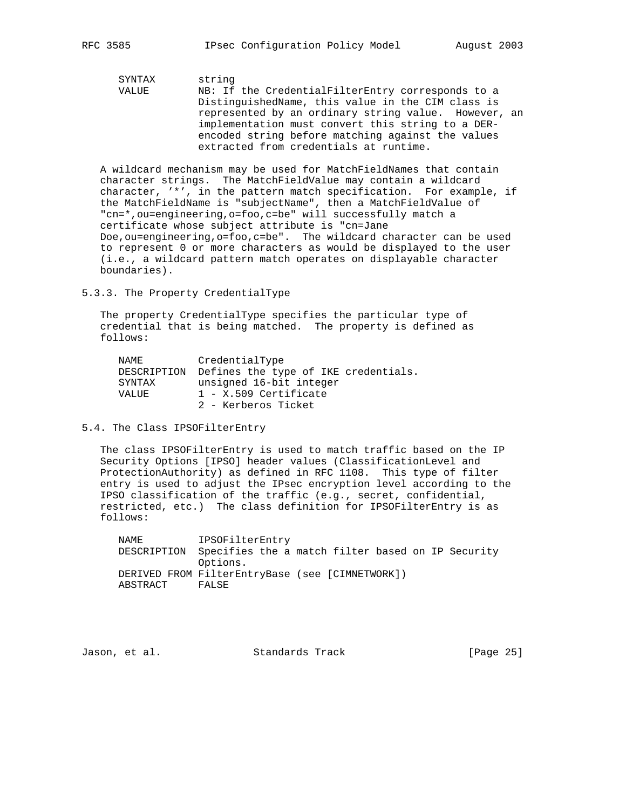SYNTAX string VALUE NB: If the CredentialFilterEntry corresponds to a DistinguishedName, this value in the CIM class is represented by an ordinary string value. However, an implementation must convert this string to a DER encoded string before matching against the values extracted from credentials at runtime.

 A wildcard mechanism may be used for MatchFieldNames that contain character strings. The MatchFieldValue may contain a wildcard character, '\*', in the pattern match specification. For example, if the MatchFieldName is "subjectName", then a MatchFieldValue of "cn=\*,ou=engineering,o=foo,c=be" will successfully match a certificate whose subject attribute is "cn=Jane Doe, ou=engineering, o=foo, c=be". The wildcard character can be used to represent 0 or more characters as would be displayed to the user (i.e., a wildcard pattern match operates on displayable character boundaries).

5.3.3. The Property CredentialType

 The property CredentialType specifies the particular type of credential that is being matched. The property is defined as follows:

| NAMF.  | CredentialType                                   |
|--------|--------------------------------------------------|
|        | DESCRIPTION Defines the type of IKE credentials. |
| SYNTAX | unsigned 16-bit integer                          |
| VALUE  | $1 - X.509$ Certificate                          |
|        | 2 - Kerberos Ticket                              |

## 5.4. The Class IPSOFilterEntry

 The class IPSOFilterEntry is used to match traffic based on the IP Security Options [IPSO] header values (ClassificationLevel and ProtectionAuthority) as defined in RFC 1108. This type of filter entry is used to adjust the IPsec encryption level according to the IPSO classification of the traffic (e.g., secret, confidential, restricted, etc.) The class definition for IPSOFilterEntry is as follows:

 NAME IPSOFilterEntry DESCRIPTION Specifies the a match filter based on IP Security Options. DERIVED FROM FilterEntryBase (see [CIMNETWORK]) ABSTRACT FALSE

Jason, et al. Standards Track [Page 25]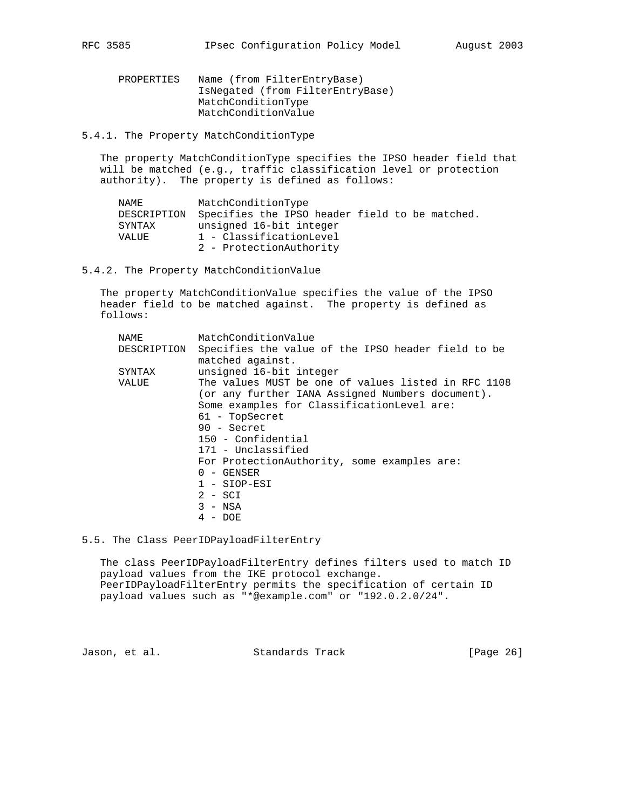PROPERTIES Name (from FilterEntryBase) IsNegated (from FilterEntryBase) MatchConditionType MatchConditionValue

5.4.1. The Property MatchConditionType

 The property MatchConditionType specifies the IPSO header field that will be matched (e.g., traffic classification level or protection authority). The property is defined as follows:

| NAMF.       | MatchConditionType                             |
|-------------|------------------------------------------------|
| DESCRIPTION | Specifies the IPSO header field to be matched. |
| SYNTAX      | unsigned 16-bit integer                        |
| VALUE       | 1 - ClassificationLevel                        |
|             | 2 - ProtectionAuthority                        |
|             |                                                |

5.4.2. The Property MatchConditionValue

 The property MatchConditionValue specifies the value of the IPSO header field to be matched against. The property is defined as follows:

| NAME        | MatchConditionValue                                 |
|-------------|-----------------------------------------------------|
| DESCRIPTION | Specifies the value of the IPSO header field to be  |
|             | matched against.                                    |
| SYNTAX      | unsigned 16-bit integer                             |
| VALUE       | The values MUST be one of values listed in RFC 1108 |
|             | (or any further IANA Assigned Numbers document).    |
|             | Some examples for ClassificationLevel are:          |
|             | 61 - TopSecret                                      |
|             | $90 -$ Secret                                       |
|             | 150 - Confidential                                  |
|             | 171 - Unclassified                                  |
|             | For ProtectionAuthority, some examples are:         |
|             | $0 -$ GENSER                                        |
|             | $1 - \text{SIOP-ESI}$                               |
|             | $2 - SCI$                                           |
|             | $3 - NSA$                                           |
|             | 4 - DOE                                             |

5.5. The Class PeerIDPayloadFilterEntry

 The class PeerIDPayloadFilterEntry defines filters used to match ID payload values from the IKE protocol exchange. PeerIDPayloadFilterEntry permits the specification of certain ID payload values such as "\*@example.com" or "192.0.2.0/24".

Jason, et al. Standards Track [Page 26]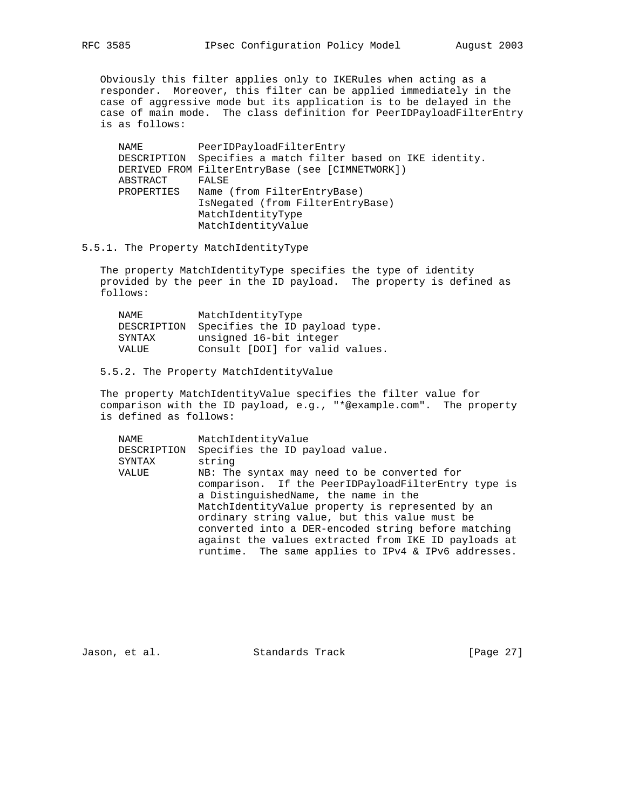Obviously this filter applies only to IKERules when acting as a responder. Moreover, this filter can be applied immediately in the case of aggressive mode but its application is to be delayed in the case of main mode. The class definition for PeerIDPayloadFilterEntry is as follows:

 NAME PeerIDPayloadFilterEntry DESCRIPTION Specifies a match filter based on IKE identity. DERIVED FROM FilterEntryBase (see [CIMNETWORK]) ABSTRACT FALSE PROPERTIES Name (from FilterEntryBase) IsNegated (from FilterEntryBase) MatchIdentityType MatchIdentityValue

# 5.5.1. The Property MatchIdentityType

 The property MatchIdentityType specifies the type of identity provided by the peer in the ID payload. The property is defined as follows:

| NAMF.  | MatchIdentityType                          |
|--------|--------------------------------------------|
|        | DESCRIPTION Specifies the ID payload type. |
| SYNTAX | unsigned 16-bit integer                    |
| VALUE  | Consult [DOI] for valid values.            |

# 5.5.2. The Property MatchIdentityValue

 The property MatchIdentityValue specifies the filter value for comparison with the ID payload, e.g., "\*@example.com". The property is defined as follows:

| NAME        | MatchIdentityValue                                                                                          |
|-------------|-------------------------------------------------------------------------------------------------------------|
| DESCRIPTION | Specifies the ID payload value.                                                                             |
| SYNTAX      | string                                                                                                      |
| VALUE       | NB: The syntax may need to be converted for                                                                 |
|             | comparison. If the PeerIDPayloadFilterEntry type is                                                         |
|             | a DistinguishedName, the name in the                                                                        |
|             | MatchIdentityValue property is represented by an                                                            |
|             | ordinary string value, but this value must be                                                               |
|             | converted into a DER-encoded string before matching                                                         |
|             | against the values extracted from IKE ID payloads at<br>runtime. The same applies to IPv4 & IPv6 addresses. |
|             |                                                                                                             |

Jason, et al. Standards Track [Page 27]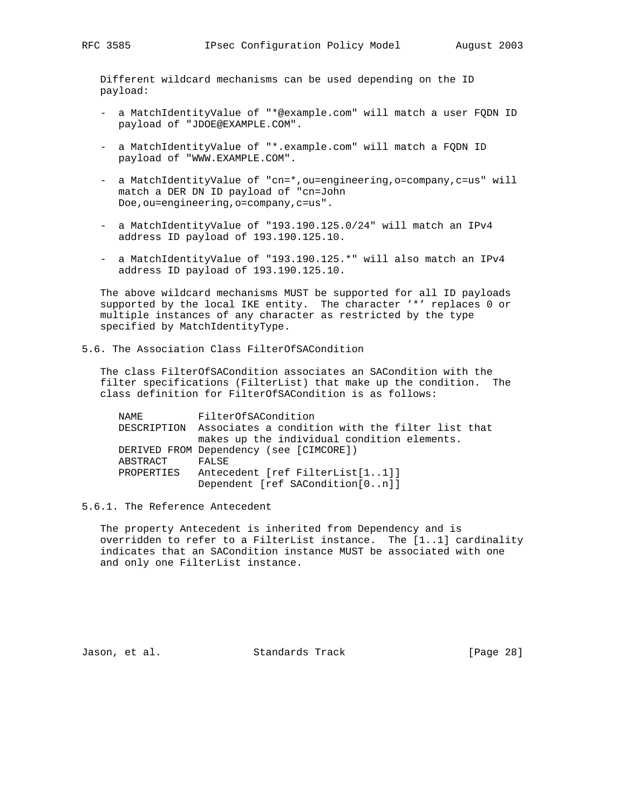Different wildcard mechanisms can be used depending on the ID payload:

- a MatchIdentityValue of "\*@example.com" will match a user FQDN ID payload of "JDOE@EXAMPLE.COM".
- a MatchIdentityValue of "\*.example.com" will match a FQDN ID payload of "WWW.EXAMPLE.COM".
- a MatchIdentityValue of "cn=\*, ou=engineering, o=company, c=us" will match a DER DN ID payload of "cn=John Doe,ou=engineering,o=company,c=us".
- a MatchIdentityValue of "193.190.125.0/24" will match an IPv4 address ID payload of 193.190.125.10.
- a MatchIdentityValue of "193.190.125.\*" will also match an IPv4 address ID payload of 193.190.125.10.

 The above wildcard mechanisms MUST be supported for all ID payloads supported by the local IKE entity. The character '\*' replaces 0 or multiple instances of any character as restricted by the type specified by MatchIdentityType.

5.6. The Association Class FilterOfSACondition

 The class FilterOfSACondition associates an SACondition with the filter specifications (FilterList) that make up the condition. The class definition for FilterOfSACondition is as follows:

 NAME FilterOfSACondition DESCRIPTION Associates a condition with the filter list that makes up the individual condition elements. DERIVED FROM Dependency (see [CIMCORE]) ABSTRACT FALSE PROPERTIES Antecedent [ref FilterList[1..1]] Dependent [ref SACondition[0..n]]

5.6.1. The Reference Antecedent

 The property Antecedent is inherited from Dependency and is overridden to refer to a FilterList instance. The [1..1] cardinality indicates that an SACondition instance MUST be associated with one and only one FilterList instance.

Jason, et al. Standards Track [Page 28]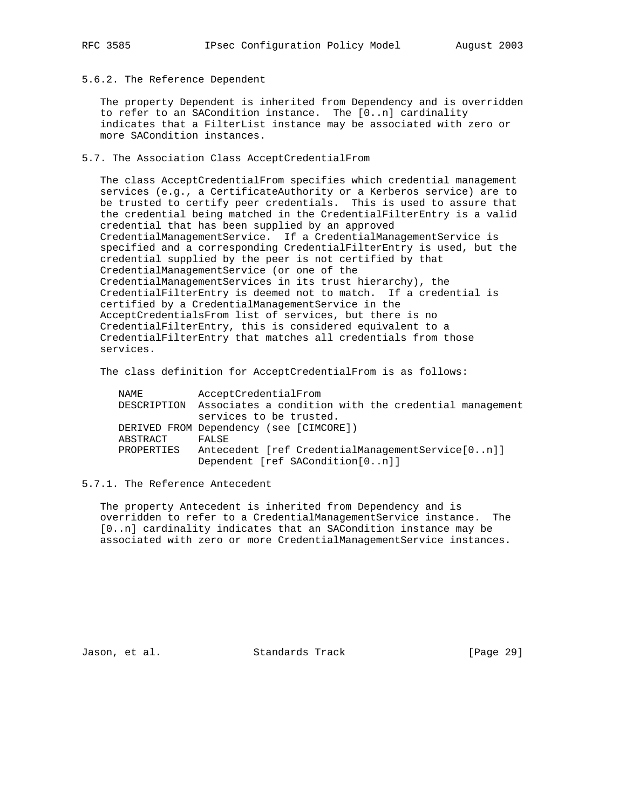5.6.2. The Reference Dependent

 The property Dependent is inherited from Dependency and is overridden to refer to an SACondition instance. The [0..n] cardinality indicates that a FilterList instance may be associated with zero or more SACondition instances.

5.7. The Association Class AcceptCredentialFrom

 The class AcceptCredentialFrom specifies which credential management services (e.g., a CertificateAuthority or a Kerberos service) are to be trusted to certify peer credentials. This is used to assure that the credential being matched in the CredentialFilterEntry is a valid credential that has been supplied by an approved CredentialManagementService. If a CredentialManagementService is specified and a corresponding CredentialFilterEntry is used, but the credential supplied by the peer is not certified by that CredentialManagementService (or one of the CredentialManagementServices in its trust hierarchy), the CredentialFilterEntry is deemed not to match. If a credential is certified by a CredentialManagementService in the AcceptCredentialsFrom list of services, but there is no CredentialFilterEntry, this is considered equivalent to a CredentialFilterEntry that matches all credentials from those services.

The class definition for AcceptCredentialFrom is as follows:

| NAME       | AcceptCredentialFrom                                              |
|------------|-------------------------------------------------------------------|
|            | DESCRIPTION Associates a condition with the credential management |
|            | services to be trusted.                                           |
|            | DERIVED FROM Dependency (see [CIMCORE])                           |
| ABSTRACT   | FALSE                                                             |
| PROPERTIES | Antecedent [ref CredentialManagementService[0n]]                  |
|            | Dependent [ref SACondition[0n]]                                   |

5.7.1. The Reference Antecedent

 The property Antecedent is inherited from Dependency and is overridden to refer to a CredentialManagementService instance. The [0..n] cardinality indicates that an SACondition instance may be associated with zero or more CredentialManagementService instances.

Jason, et al. Standards Track [Page 29]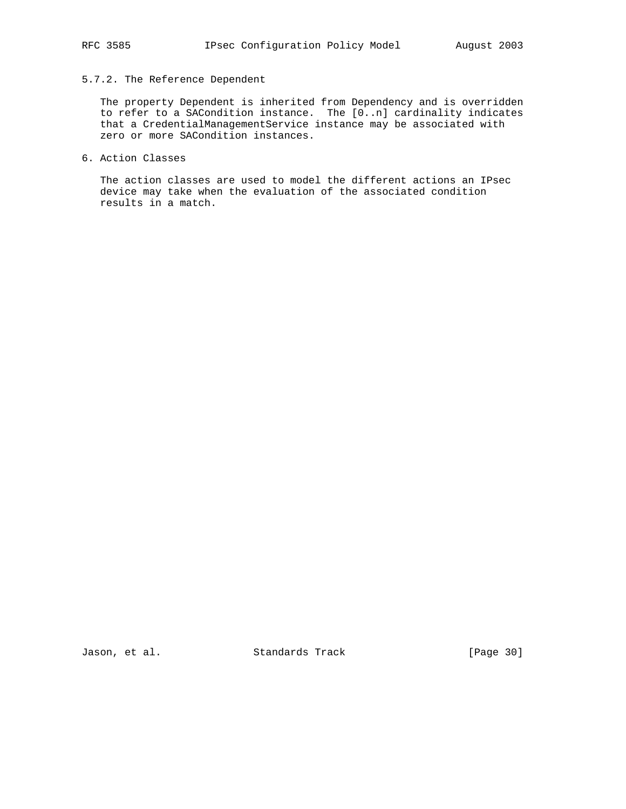# 5.7.2. The Reference Dependent

 The property Dependent is inherited from Dependency and is overridden to refer to a SACondition instance. The [0..n] cardinality indicates that a CredentialManagementService instance may be associated with zero or more SACondition instances.

6. Action Classes

 The action classes are used to model the different actions an IPsec device may take when the evaluation of the associated condition results in a match.

Jason, et al. Standards Track [Page 30]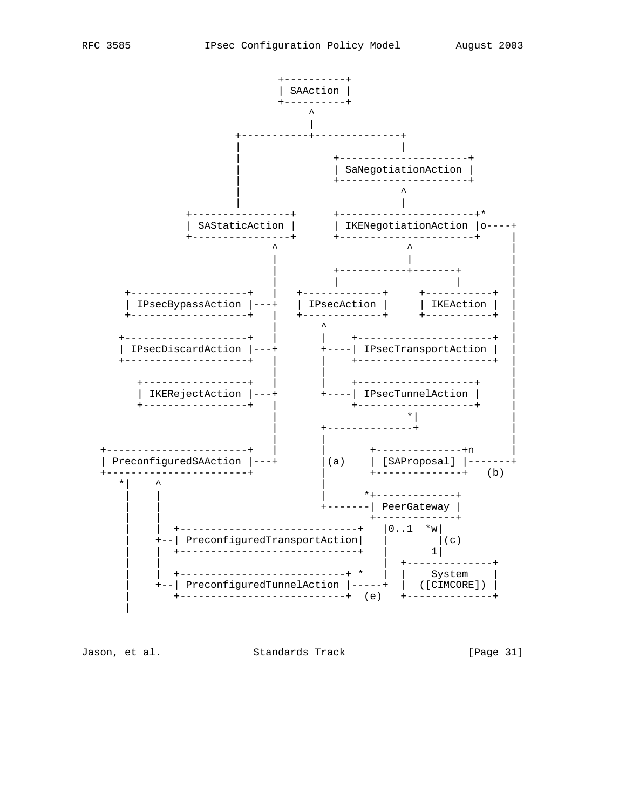

Jason, et al. Standards Track

[Page 31]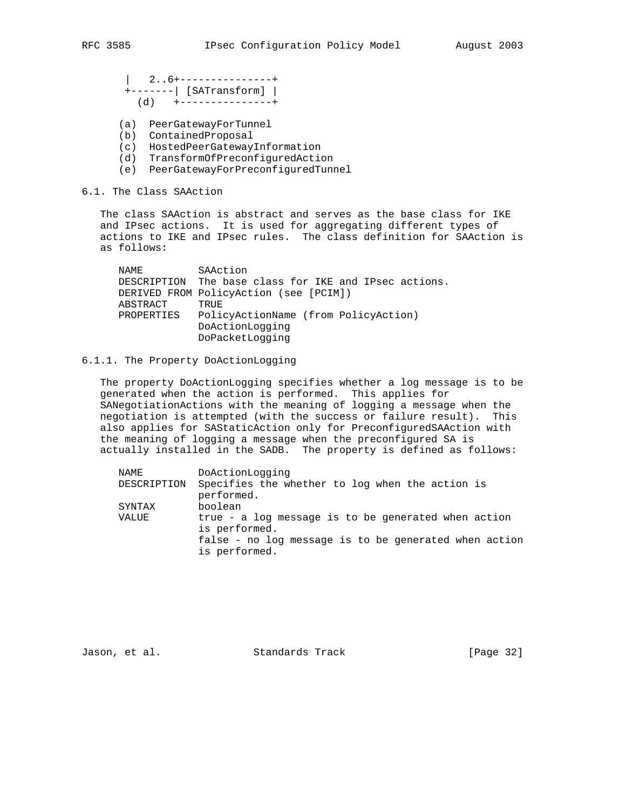| 2..6+---------------+ +-------| [SATransform] | (d) +---------------+

- (a) PeerGatewayForTunnel
- (b) ContainedProposal
- (c) HostedPeerGatewayInformation
- (d) TransformOfPreconfiguredAction
- (e) PeerGatewayForPreconfiguredTunnel

# 6.1. The Class SAAction

 The class SAAction is abstract and serves as the base class for IKE and IPsec actions. It is used for aggregating different types of actions to IKE and IPsec rules. The class definition for SAAction is as follows:

| NAMF.      | SAAction                                              |
|------------|-------------------------------------------------------|
|            | DESCRIPTION The base class for IKE and IPsec actions. |
|            | DERIVED FROM PolicyAction (see [PCIM])                |
| ABSTRACT   | TRUE                                                  |
| PROPERTIES | PolicyActionName (from PolicyAction)                  |
|            | DoActionLogging                                       |
|            | DoPacketLogging                                       |

#### 6.1.1. The Property DoActionLogging

 The property DoActionLogging specifies whether a log message is to be generated when the action is performed. This applies for SANegotiationActions with the meaning of logging a message when the negotiation is attempted (with the success or failure result). This also applies for SAStaticAction only for PreconfiguredSAAction with the meaning of logging a message when the preconfigured SA is actually installed in the SADB. The property is defined as follows:

| NAME        | DoActionLogging                                                                                                                                |
|-------------|------------------------------------------------------------------------------------------------------------------------------------------------|
| DESCRIPTION | Specifies the whether to log when the action is<br>performed.                                                                                  |
| SYNTAX      | boolean                                                                                                                                        |
| VALUE       | true - a log message is to be generated when action<br>is performed.<br>false - no log message is to be generated when action<br>is performed. |
|             |                                                                                                                                                |

Jason, et al. Standards Track [Page 32]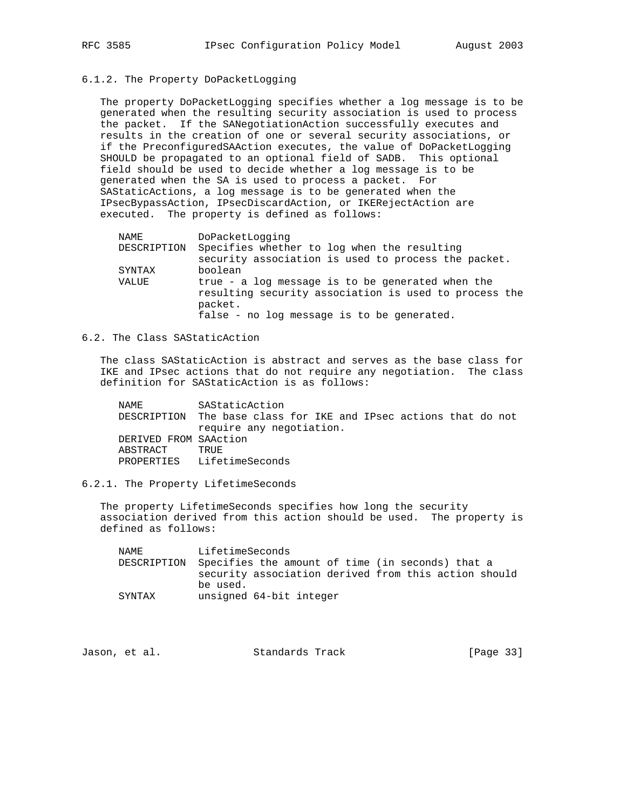# 6.1.2. The Property DoPacketLogging

 The property DoPacketLogging specifies whether a log message is to be generated when the resulting security association is used to process the packet. If the SANegotiationAction successfully executes and results in the creation of one or several security associations, or if the PreconfiguredSAAction executes, the value of DoPacketLogging SHOULD be propagated to an optional field of SADB. This optional field should be used to decide whether a log message is to be generated when the SA is used to process a packet. For SAStaticActions, a log message is to be generated when the IPsecBypassAction, IPsecDiscardAction, or IKERejectAction are executed. The property is defined as follows:

| NAME        | DoPacketLogging                                                                                                      |
|-------------|----------------------------------------------------------------------------------------------------------------------|
| DESCRIPTION | Specifies whether to log when the resulting                                                                          |
|             | security association is used to process the packet.                                                                  |
| SYNTAX      | boolean                                                                                                              |
| VALUE       | true - a log message is to be generated when the<br>resulting security association is used to process the<br>packet. |
|             | false - no log message is to be generated.                                                                           |

# 6.2. The Class SAStaticAction

 The class SAStaticAction is abstract and serves as the base class for IKE and IPsec actions that do not require any negotiation. The class definition for SAStaticAction is as follows:

 NAME SAStaticAction DESCRIPTION The base class for IKE and IPsec actions that do not require any negotiation. DERIVED FROM SAAction ABSTRACT TRUE PROPERTIES LifetimeSeconds

# 6.2.1. The Property LifetimeSeconds

 The property LifetimeSeconds specifies how long the security association derived from this action should be used. The property is defined as follows:

 NAME LifetimeSeconds DESCRIPTION Specifies the amount of time (in seconds) that a security association derived from this action should be used. SYNTAX unsigned 64-bit integer

|  | Jason, et al. | Standards Track | [Page 33] |
|--|---------------|-----------------|-----------|
|--|---------------|-----------------|-----------|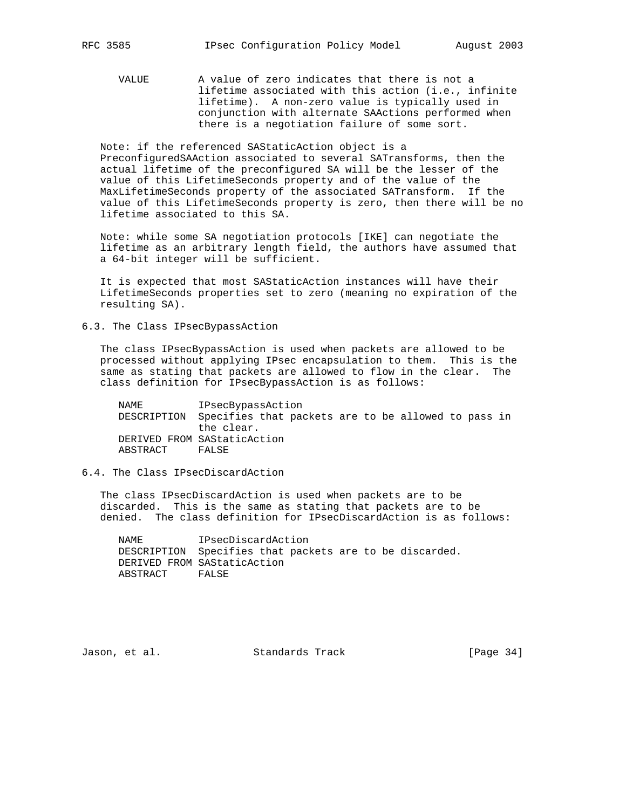VALUE A value of zero indicates that there is not a lifetime associated with this action (i.e., infinite lifetime). A non-zero value is typically used in conjunction with alternate SAActions performed when there is a negotiation failure of some sort.

 Note: if the referenced SAStaticAction object is a PreconfiguredSAAction associated to several SATransforms, then the actual lifetime of the preconfigured SA will be the lesser of the value of this LifetimeSeconds property and of the value of the MaxLifetimeSeconds property of the associated SATransform. If the value of this LifetimeSeconds property is zero, then there will be no lifetime associated to this SA.

 Note: while some SA negotiation protocols [IKE] can negotiate the lifetime as an arbitrary length field, the authors have assumed that a 64-bit integer will be sufficient.

 It is expected that most SAStaticAction instances will have their LifetimeSeconds properties set to zero (meaning no expiration of the resulting SA).

6.3. The Class IPsecBypassAction

 The class IPsecBypassAction is used when packets are allowed to be processed without applying IPsec encapsulation to them. This is the same as stating that packets are allowed to flow in the clear. The class definition for IPsecBypassAction is as follows:

 NAME IPsecBypassAction DESCRIPTION Specifies that packets are to be allowed to pass in the clear. DERIVED FROM SAStaticAction ABSTRACT FALSE

## 6.4. The Class IPsecDiscardAction

 The class IPsecDiscardAction is used when packets are to be discarded. This is the same as stating that packets are to be denied. The class definition for IPsecDiscardAction is as follows:

 NAME IPsecDiscardAction DESCRIPTION Specifies that packets are to be discarded. DERIVED FROM SAStaticAction ABSTRACT FALSE

Jason, et al. Standards Track [Page 34]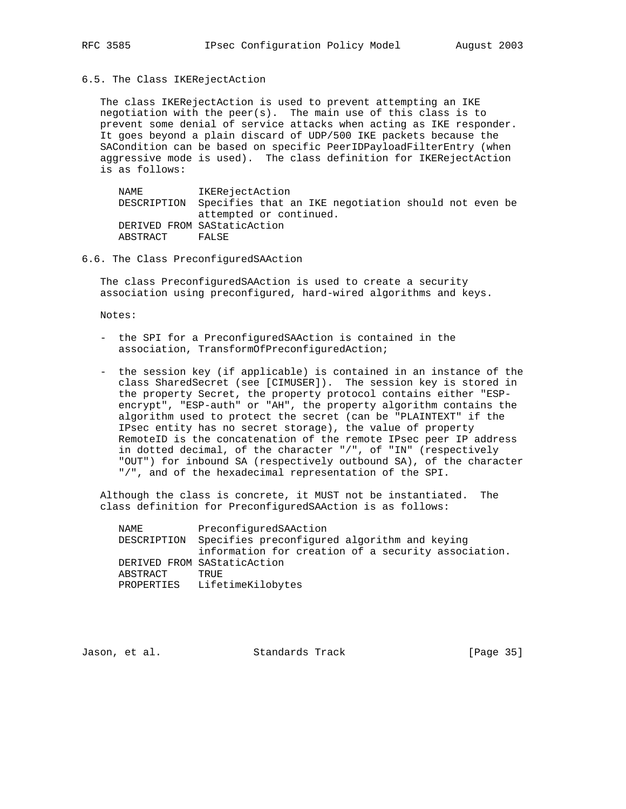6.5. The Class IKERejectAction

 The class IKERejectAction is used to prevent attempting an IKE negotiation with the peer(s). The main use of this class is to prevent some denial of service attacks when acting as IKE responder. It goes beyond a plain discard of UDP/500 IKE packets because the SACondition can be based on specific PeerIDPayloadFilterEntry (when aggressive mode is used). The class definition for IKERejectAction is as follows:

 NAME IKERejectAction DESCRIPTION Specifies that an IKE negotiation should not even be attempted or continued. DERIVED FROM SAStaticAction ABSTRACT FALSE

# 6.6. The Class PreconfiguredSAAction

 The class PreconfiguredSAAction is used to create a security association using preconfigured, hard-wired algorithms and keys.

Notes:

- the SPI for a PreconfiguredSAAction is contained in the association, TransformOfPreconfiguredAction;
- the session key (if applicable) is contained in an instance of the class SharedSecret (see [CIMUSER]). The session key is stored in the property Secret, the property protocol contains either "ESP encrypt", "ESP-auth" or "AH", the property algorithm contains the algorithm used to protect the secret (can be "PLAINTEXT" if the IPsec entity has no secret storage), the value of property RemoteID is the concatenation of the remote IPsec peer IP address in dotted decimal, of the character "/", of "IN" (respectively "OUT") for inbound SA (respectively outbound SA), of the character "/", and of the hexadecimal representation of the SPI.

 Although the class is concrete, it MUST not be instantiated. The class definition for PreconfiguredSAAction is as follows:

 NAME PreconfiguredSAAction DESCRIPTION Specifies preconfigured algorithm and keying information for creation of a security association. DERIVED FROM SAStaticAction ABSTRACT TRUE PROPERTIES LifetimeKilobytes

Jason, et al. Standards Track [Page 35]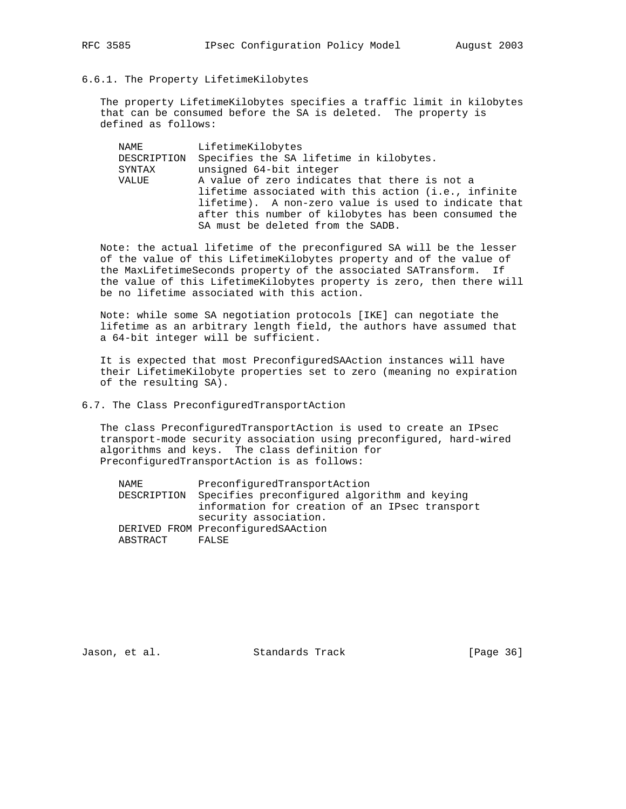6.6.1. The Property LifetimeKilobytes

 The property LifetimeKilobytes specifies a traffic limit in kilobytes that can be consumed before the SA is deleted. The property is defined as follows:

 NAME LifetimeKilobytes DESCRIPTION Specifies the SA lifetime in kilobytes. SYNTAX unsigned 64-bit integer VALUE A value of zero indicates that there is not a lifetime associated with this action (i.e., infinite lifetime). A non-zero value is used to indicate that after this number of kilobytes has been consumed the SA must be deleted from the SADB.

 Note: the actual lifetime of the preconfigured SA will be the lesser of the value of this LifetimeKilobytes property and of the value of the MaxLifetimeSeconds property of the associated SATransform. If the value of this LifetimeKilobytes property is zero, then there will be no lifetime associated with this action.

 Note: while some SA negotiation protocols [IKE] can negotiate the lifetime as an arbitrary length field, the authors have assumed that a 64-bit integer will be sufficient.

 It is expected that most PreconfiguredSAAction instances will have their LifetimeKilobyte properties set to zero (meaning no expiration of the resulting SA).

6.7. The Class PreconfiguredTransportAction

 The class PreconfiguredTransportAction is used to create an IPsec transport-mode security association using preconfigured, hard-wired algorithms and keys. The class definition for PreconfiguredTransportAction is as follows:

| NAMF.       | PreconfiguredTransportAction                   |
|-------------|------------------------------------------------|
| DESCRIPTION | Specifies preconfigured algorithm and keying   |
|             | information for creation of an IPsec transport |
|             | security association.                          |
|             | DERIVED FROM PreconfiguredSAAction             |
| ABSTRACT    | FALSE                                          |
|             |                                                |

Jason, et al. Standards Track [Page 36]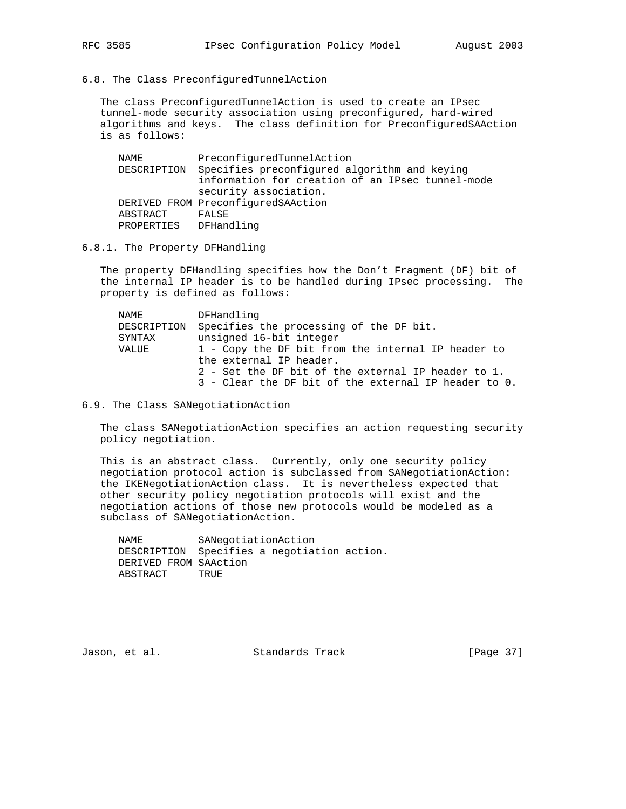6.8. The Class PreconfiguredTunnelAction

 The class PreconfiguredTunnelAction is used to create an IPsec tunnel-mode security association using preconfigured, hard-wired algorithms and keys. The class definition for PreconfiguredSAAction is as follows:

 NAME PreconfiguredTunnelAction DESCRIPTION Specifies preconfigured algorithm and keying information for creation of an IPsec tunnel-mode security association. DERIVED FROM PreconfiguredSAAction ABSTRACT FALSE PROPERTIES DFHandling

6.8.1. The Property DFHandling

 The property DFHandling specifies how the Don't Fragment (DF) bit of the internal IP header is to be handled during IPsec processing. The property is defined as follows:

| NAME        | DFHandling                                           |
|-------------|------------------------------------------------------|
| DESCRIPTION | Specifies the processing of the DF bit.              |
| SYNTAX      | unsigned 16-bit integer                              |
| VALUE       | 1 - Copy the DF bit from the internal IP header to   |
|             | the external IP header.                              |
|             | 2 - Set the DF bit of the external IP header to 1.   |
|             | 3 - Clear the DF bit of the external IP header to 0. |
|             |                                                      |

6.9. The Class SANegotiationAction

 The class SANegotiationAction specifies an action requesting security policy negotiation.

 This is an abstract class. Currently, only one security policy negotiation protocol action is subclassed from SANegotiationAction: the IKENegotiationAction class. It is nevertheless expected that other security policy negotiation protocols will exist and the negotiation actions of those new protocols would be modeled as a subclass of SANegotiationAction.

 NAME SANegotiationAction DESCRIPTION Specifies a negotiation action. DERIVED FROM SAAction ABSTRACT TRUE

Jason, et al. Standards Track [Page 37]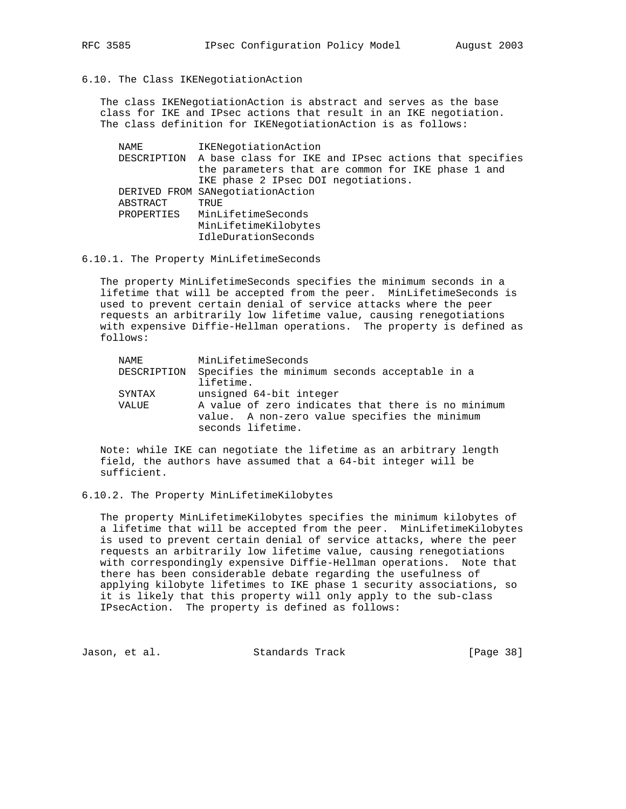6.10. The Class IKENegotiationAction

 The class IKENegotiationAction is abstract and serves as the base class for IKE and IPsec actions that result in an IKE negotiation. The class definition for IKENegotiationAction is as follows:

 NAME IKENegotiationAction DESCRIPTION A base class for IKE and IPsec actions that specifies the parameters that are common for IKE phase 1 and IKE phase 2 IPsec DOI negotiations. DERIVED FROM SANegotiationAction ABSTRACT TRUE PROPERTIES MinLifetimeSeconds MinLifetimeKilobytes IdleDurationSeconds

#### 6.10.1. The Property MinLifetimeSeconds

 The property MinLifetimeSeconds specifies the minimum seconds in a lifetime that will be accepted from the peer. MinLifetimeSeconds is used to prevent certain denial of service attacks where the peer requests an arbitrarily low lifetime value, causing renegotiations with expensive Diffie-Hellman operations. The property is defined as follows:

| NAMF.       | MinLifetimeSeconds                                                                                                       |
|-------------|--------------------------------------------------------------------------------------------------------------------------|
| DESCRIPTION | Specifies the minimum seconds acceptable in a<br>lifetime.                                                               |
| SYNTAX      | unsigned 64-bit integer                                                                                                  |
| VALUE       | A value of zero indicates that there is no minimum<br>value. A non-zero value specifies the minimum<br>seconds lifetime. |

 Note: while IKE can negotiate the lifetime as an arbitrary length field, the authors have assumed that a 64-bit integer will be sufficient.

#### 6.10.2. The Property MinLifetimeKilobytes

 The property MinLifetimeKilobytes specifies the minimum kilobytes of a lifetime that will be accepted from the peer. MinLifetimeKilobytes is used to prevent certain denial of service attacks, where the peer requests an arbitrarily low lifetime value, causing renegotiations with correspondingly expensive Diffie-Hellman operations. Note that there has been considerable debate regarding the usefulness of applying kilobyte lifetimes to IKE phase 1 security associations, so it is likely that this property will only apply to the sub-class IPsecAction. The property is defined as follows:

Jason, et al. Standards Track (Page 38)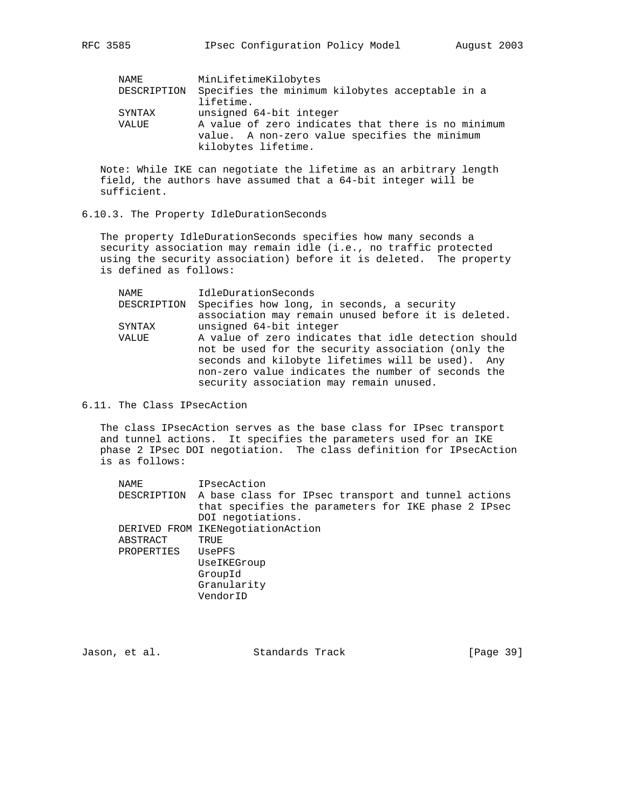| NAME        | MinLifetimeKilobytes                               |
|-------------|----------------------------------------------------|
| DESCRIPTION | Specifies the minimum kilobytes acceptable in a    |
|             | lifetime.                                          |
| SYNTAX      | unsigned 64-bit integer                            |
| VALUE       | A value of zero indicates that there is no minimum |
|             | value. A non-zero value specifies the minimum      |
|             | kilobytes lifetime.                                |

 Note: While IKE can negotiate the lifetime as an arbitrary length field, the authors have assumed that a 64-bit integer will be sufficient.

6.10.3. The Property IdleDurationSeconds

 The property IdleDurationSeconds specifies how many seconds a security association may remain idle (i.e., no traffic protected using the security association) before it is deleted. The property is defined as follows:

| NAME        | IdleDurationSeconds                                  |
|-------------|------------------------------------------------------|
| DESCRIPTION | Specifies how long, in seconds, a security           |
|             | association may remain unused before it is deleted.  |
| SYNTAX      | unsigned 64-bit integer                              |
| VALUE       | A value of zero indicates that idle detection should |
|             | not be used for the security association (only the   |
|             | seconds and kilobyte lifetimes will be used). Any    |
|             | non-zero value indicates the number of seconds the   |
|             | security association may remain unused.              |
|             |                                                      |

6.11. The Class IPsecAction

 The class IPsecAction serves as the base class for IPsec transport and tunnel actions. It specifies the parameters used for an IKE phase 2 IPsec DOI negotiation. The class definition for IPsecAction is as follows:

| NAME       | IPsecAction                                                     |
|------------|-----------------------------------------------------------------|
|            | DESCRIPTION A base class for IPsec transport and tunnel actions |
|            | that specifies the parameters for IKE phase 2 IPsec             |
|            | DOI negotiations.                                               |
|            | DERIVED FROM IKENegotiationAction                               |
| ABSTRACT   | TRUE                                                            |
| PROPERTIES | UsePFS                                                          |
|            | UseIKEGroup                                                     |
|            | GroupId                                                         |
|            | Granularity                                                     |
|            | VendorID                                                        |
|            |                                                                 |

Jason, et al. Standards Track [Page 39]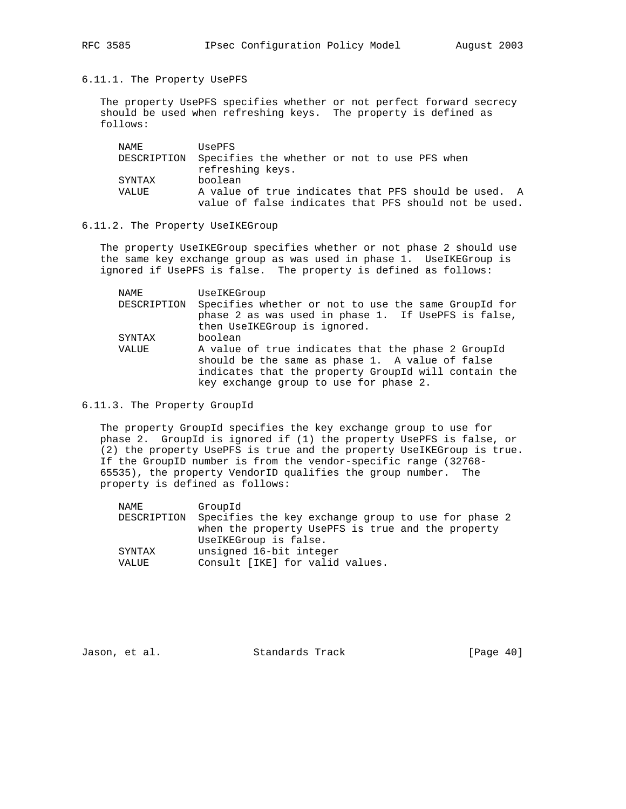6.11.1. The Property UsePFS

 The property UsePFS specifies whether or not perfect forward secrecy should be used when refreshing keys. The property is defined as follows:

| NAMF.  | <b>USePFS</b>                                            |
|--------|----------------------------------------------------------|
|        | DESCRIPTION Specifies the whether or not to use PFS when |
|        | refreshing keys.                                         |
| SYNTAX | boolean                                                  |
| VALUE  | A value of true indicates that PFS should be used. A     |
|        | value of false indicates that PFS should not be used.    |

#### 6.11.2. The Property UseIKEGroup

 The property UseIKEGroup specifies whether or not phase 2 should use the same key exchange group as was used in phase 1. UseIKEGroup is ignored if UsePFS is false. The property is defined as follows:

| NAME        | UseIKEGroup                                                                                                                                                                                             |
|-------------|---------------------------------------------------------------------------------------------------------------------------------------------------------------------------------------------------------|
| DESCRIPTION | Specifies whether or not to use the same GroupId for<br>phase 2 as was used in phase 1. If UsePFS is false,                                                                                             |
|             | then UseIKEGroup is ignored.                                                                                                                                                                            |
| SYNTAX      | boolean                                                                                                                                                                                                 |
| VALUE       | A value of true indicates that the phase 2 GroupId<br>should be the same as phase 1. A value of false<br>indicates that the property GroupId will contain the<br>key exchange group to use for phase 2. |

6.11.3. The Property GroupId

 The property GroupId specifies the key exchange group to use for phase 2. GroupId is ignored if (1) the property UsePFS is false, or (2) the property UsePFS is true and the property UseIKEGroup is true. If the GroupID number is from the vendor-specific range (32768- 65535), the property VendorID qualifies the group number. The property is defined as follows:

| NAME        | GroupId                                             |
|-------------|-----------------------------------------------------|
| DESCRIPTION | Specifies the key exchange group to use for phase 2 |
|             | when the property UsePFS is true and the property   |
|             | UseIKEGroup is false.                               |
| SYNTAX      | unsigned 16-bit integer                             |
| VALUE       | Consult [IKE] for valid values.                     |
|             |                                                     |

Jason, et al. Standards Track [Page 40]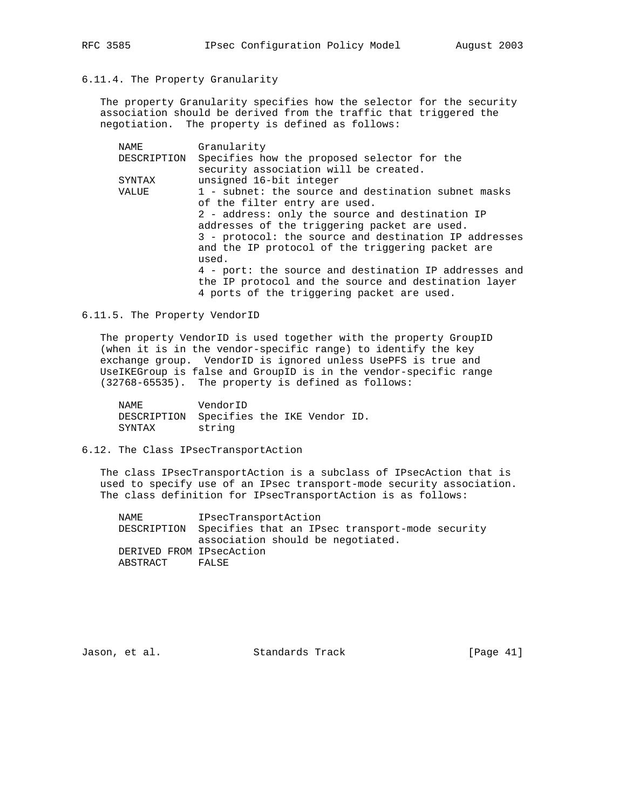## 6.11.4. The Property Granularity

 The property Granularity specifies how the selector for the security association should be derived from the traffic that triggered the negotiation. The property is defined as follows:

| Granularity                                           |
|-------------------------------------------------------|
| Specifies how the proposed selector for the           |
| security association will be created.                 |
| unsigned 16-bit integer                               |
| 1 - subnet: the source and destination subnet masks   |
| of the filter entry are used.                         |
| 2 - address: only the source and destination IP       |
| addresses of the triggering packet are used.          |
| 3 - protocol: the source and destination IP addresses |
| and the IP protocol of the triggering packet are      |
| used.                                                 |
| 4 - port: the source and destination IP addresses and |
| the IP protocol and the source and destination layer  |
| 4 ports of the triggering packet are used.            |
|                                                       |

#### 6.11.5. The Property VendorID

 The property VendorID is used together with the property GroupID (when it is in the vendor-specific range) to identify the key exchange group. VendorID is ignored unless UsePFS is true and UseIKEGroup is false and GroupID is in the vendor-specific range (32768-65535). The property is defined as follows:

| NAME                                     | VendorID |  |  |
|------------------------------------------|----------|--|--|
| DESCRIPTION Specifies the IKE Vendor ID. |          |  |  |
| SYNTAX                                   | string   |  |  |

## 6.12. The Class IPsecTransportAction

 The class IPsecTransportAction is a subclass of IPsecAction that is used to specify use of an IPsec transport-mode security association. The class definition for IPsecTransportAction is as follows:

 NAME IPsecTransportAction DESCRIPTION Specifies that an IPsec transport-mode security association should be negotiated. DERIVED FROM IPsecAction ABSTRACT FALSE

Jason, et al. Standards Track [Page 41]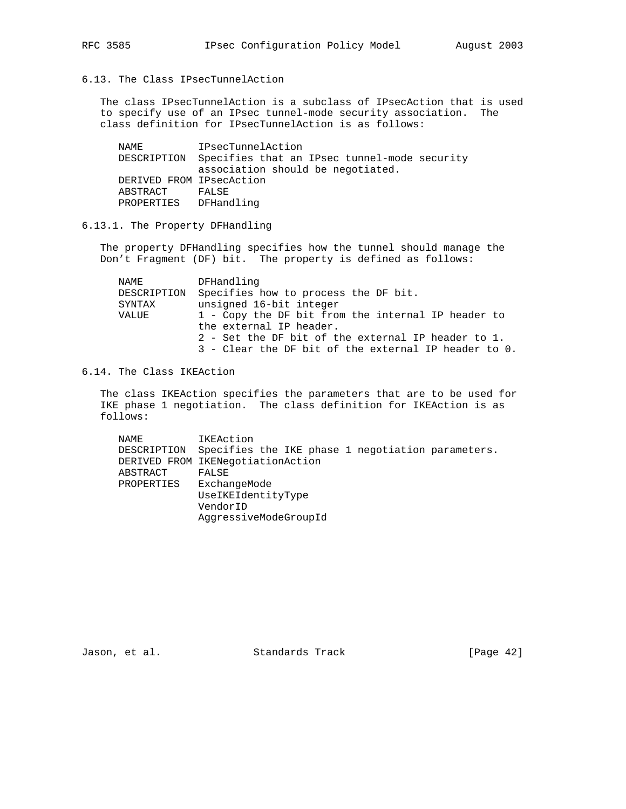6.13. The Class IPsecTunnelAction

 The class IPsecTunnelAction is a subclass of IPsecAction that is used to specify use of an IPsec tunnel-mode security association. The class definition for IPsecTunnelAction is as follows:

 NAME IPsecTunnelAction DESCRIPTION Specifies that an IPsec tunnel-mode security association should be negotiated. DERIVED FROM IPsecAction ABSTRACT FALSE PROPERTIES DFHandling

6.13.1. The Property DFHandling

 The property DFHandling specifies how the tunnel should manage the Don't Fragment (DF) bit. The property is defined as follows:

| NAME        | DFHandling                                           |
|-------------|------------------------------------------------------|
| DESCRIPTION | Specifies how to process the DF bit.                 |
| SYNTAX      | unsigned 16-bit integer                              |
| VALUE       | 1 - Copy the DF bit from the internal IP header to   |
|             | the external IP header.                              |
|             | 2 - Set the DF bit of the external IP header to 1.   |
|             | 3 - Clear the DF bit of the external IP header to 0. |

6.14. The Class IKEAction

 The class IKEAction specifies the parameters that are to be used for IKE phase 1 negotiation. The class definition for IKEAction is as follows:

| NAME        | IKEAction                                         |
|-------------|---------------------------------------------------|
| DESCRIPTION | Specifies the IKE phase 1 negotiation parameters. |
|             | DERIVED FROM IKENegotiationAction                 |
| ABSTRACT    | FALSE                                             |
| PROPERTIES  | ExchangeMode                                      |
|             | UseIKEIdentityType                                |
|             | VendorID                                          |
|             | AggressiveModeGroupId                             |

Jason, et al. Standards Track [Page 42]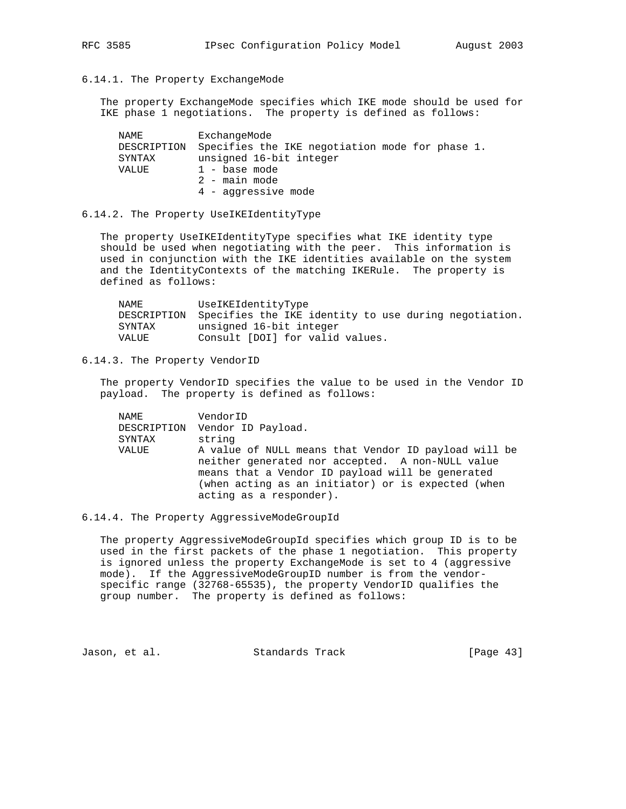## 6.14.1. The Property ExchangeMode

 The property ExchangeMode specifies which IKE mode should be used for IKE phase 1 negotiations. The property is defined as follows:

| NAME   | ExchangeMode                                                |
|--------|-------------------------------------------------------------|
|        | DESCRIPTION Specifies the IKE negotiation mode for phase 1. |
| SYNTAX | unsigned 16-bit integer                                     |
| VALUE  | 1 - base mode                                               |
|        | 2 - main mode                                               |
|        | 4 - aggressive mode                                         |

## 6.14.2. The Property UseIKEIdentityType

 The property UseIKEIdentityType specifies what IKE identity type should be used when negotiating with the peer. This information is used in conjunction with the IKE identities available on the system and the IdentityContexts of the matching IKERule. The property is defined as follows:

| NAME   | UseIKEIdentityType                                                |
|--------|-------------------------------------------------------------------|
|        | DESCRIPTION Specifies the IKE identity to use during negotiation. |
| SYNTAX | unsigned 16-bit integer                                           |
| VALUE  | Consult [DOI] for valid values.                                   |

## 6.14.3. The Property VendorID

 The property VendorID specifies the value to be used in the Vendor ID payload. The property is defined as follows:

| NAME   | VendorID                                             |
|--------|------------------------------------------------------|
|        | DESCRIPTION Vendor ID Payload.                       |
| SYNTAX | string                                               |
| VALUE  | A value of NULL means that Vendor ID payload will be |
|        | neither generated nor accepted. A non-NULL value     |
|        | means that a Vendor ID payload will be generated     |
|        | (when acting as an initiator) or is expected (when   |
|        | acting as a responder).                              |

## 6.14.4. The Property AggressiveModeGroupId

 The property AggressiveModeGroupId specifies which group ID is to be used in the first packets of the phase 1 negotiation. This property is ignored unless the property ExchangeMode is set to 4 (aggressive mode). If the AggressiveModeGroupID number is from the vendor specific range (32768-65535), the property VendorID qualifies the group number. The property is defined as follows:

Jason, et al. Standards Track [Page 43]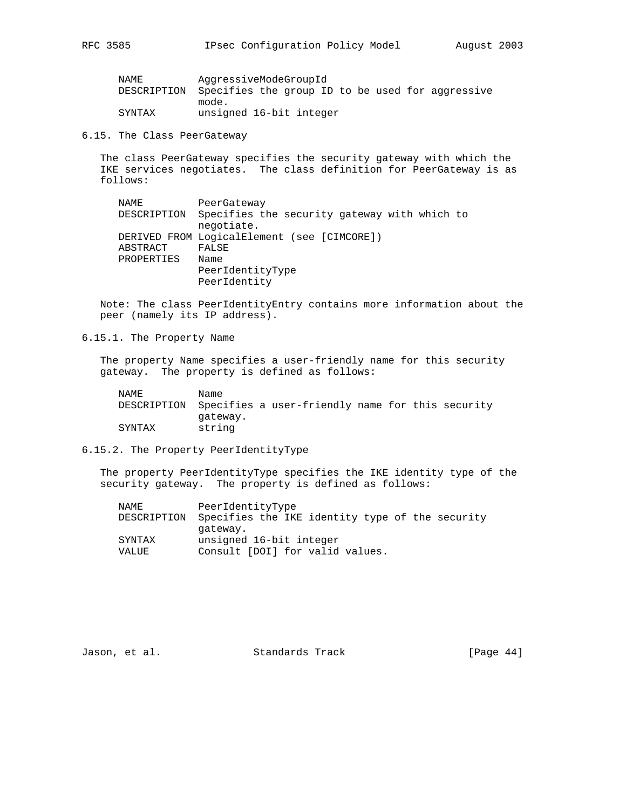| NAME   | AggressiveModeGroupId                                        |  |
|--------|--------------------------------------------------------------|--|
|        | DESCRIPTION Specifies the group ID to be used for aggressive |  |
|        | mode.                                                        |  |
| SYNTAX | unsigned 16-bit integer                                      |  |

6.15. The Class PeerGateway

 The class PeerGateway specifies the security gateway with which the IKE services negotiates. The class definition for PeerGateway is as follows:

 NAME PeerGateway DESCRIPTION Specifies the security gateway with which to negotiate. DERIVED FROM LogicalElement (see [CIMCORE]) ABSTRACT FALSE PROPERTIES Name PeerIdentityType PeerIdentity

 Note: The class PeerIdentityEntry contains more information about the peer (namely its IP address).

6.15.1. The Property Name

 The property Name specifies a user-friendly name for this security gateway. The property is defined as follows:

| NAME.  | Name     |                                                              |  |  |
|--------|----------|--------------------------------------------------------------|--|--|
|        |          | DESCRIPTION Specifies a user-friendly name for this security |  |  |
|        | qateway. |                                                              |  |  |
| SYNTAX | string   |                                                              |  |  |

6.15.2. The Property PeerIdentityType

 The property PeerIdentityType specifies the IKE identity type of the security gateway. The property is defined as follows:

| NAME        | PeerIdentityType                                |
|-------------|-------------------------------------------------|
| DESCRIPTION | Specifies the IKE identity type of the security |
|             | gateway.                                        |
| SYNTAX      | unsigned 16-bit integer                         |
| VALUE       | Consult [DOI] for valid values.                 |
|             |                                                 |

Jason, et al. Standards Track [Page 44]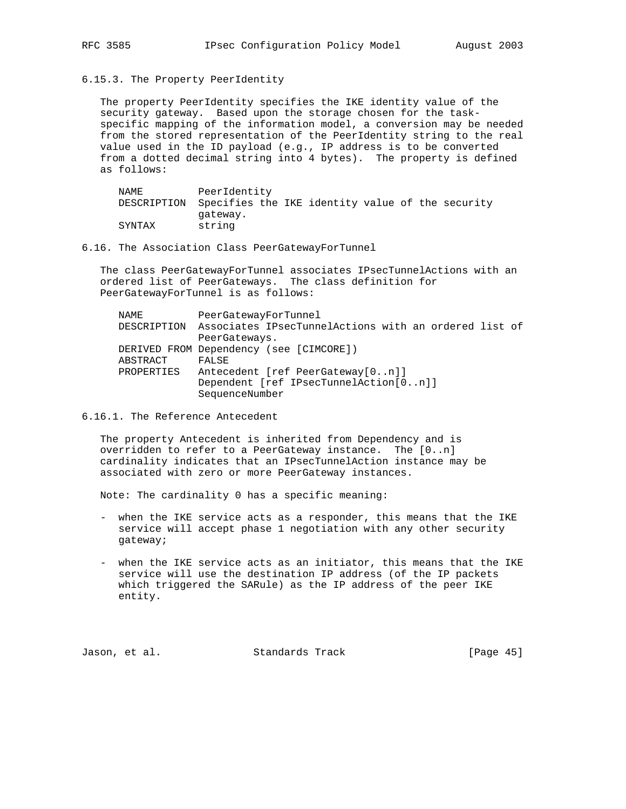- 
- 6.15.3. The Property PeerIdentity

 The property PeerIdentity specifies the IKE identity value of the security gateway. Based upon the storage chosen for the task specific mapping of the information model, a conversion may be needed from the stored representation of the PeerIdentity string to the real value used in the ID payload (e.g., IP address is to be converted from a dotted decimal string into 4 bytes). The property is defined as follows:

| NAME                                                         | PeerIdentity |  |  |  |  |
|--------------------------------------------------------------|--------------|--|--|--|--|
| DESCRIPTION Specifies the IKE identity value of the security |              |  |  |  |  |
|                                                              | qateway.     |  |  |  |  |
| SYNTAX                                                       | string       |  |  |  |  |

6.16. The Association Class PeerGatewayForTunnel

 The class PeerGatewayForTunnel associates IPsecTunnelActions with an ordered list of PeerGateways. The class definition for PeerGatewayForTunnel is as follows:

| NAME       | PeerGatewayForTunnel                                              |
|------------|-------------------------------------------------------------------|
|            | DESCRIPTION Associates IPsecTunnelActions with an ordered list of |
|            | PeerGateways.                                                     |
|            | DERIVED FROM Dependency (see [CIMCORE])                           |
| ABSTRACT   | FALSE                                                             |
| PROPERTIES | Antecedent [ref PeerGateway[0n]]                                  |
|            | Dependent [ref IPsecTunnelAction[0n]]                             |
|            | SequenceNumber                                                    |

6.16.1. The Reference Antecedent

 The property Antecedent is inherited from Dependency and is overridden to refer to a PeerGateway instance. The [0..n] cardinality indicates that an IPsecTunnelAction instance may be associated with zero or more PeerGateway instances.

Note: The cardinality 0 has a specific meaning:

- when the IKE service acts as a responder, this means that the IKE service will accept phase 1 negotiation with any other security gateway;
- when the IKE service acts as an initiator, this means that the IKE service will use the destination IP address (of the IP packets which triggered the SARule) as the IP address of the peer IKE entity.

Jason, et al. Standards Track [Page 45]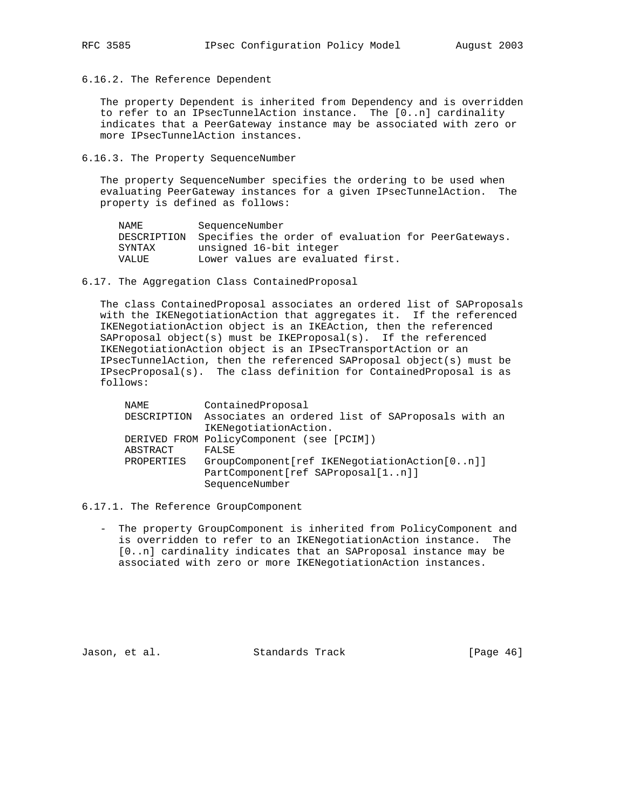6.16.2. The Reference Dependent

 The property Dependent is inherited from Dependency and is overridden to refer to an IPsecTunnelAction instance. The [0..n] cardinality indicates that a PeerGateway instance may be associated with zero or more IPsecTunnelAction instances.

#### 6.16.3. The Property SequenceNumber

 The property SequenceNumber specifies the ordering to be used when evaluating PeerGateway instances for a given IPsecTunnelAction. The property is defined as follows:

| NAME   | SequenceNumber                                                  |
|--------|-----------------------------------------------------------------|
|        | DESCRIPTION Specifies the order of evaluation for PeerGateways. |
| SYNTAX | unsigned 16-bit integer                                         |
| VALUE  | Lower values are evaluated first.                               |

#### 6.17. The Aggregation Class ContainedProposal

 The class ContainedProposal associates an ordered list of SAProposals with the IKENegotiationAction that aggregates it. If the referenced IKENegotiationAction object is an IKEAction, then the referenced SAProposal object(s) must be IKEProposal(s). If the referenced IKENegotiationAction object is an IPsecTransportAction or an IPsecTunnelAction, then the referenced SAProposal object(s) must be IPsecProposal(s). The class definition for ContainedProposal is as follows:

| NAME        | ContainedProposal                                 |
|-------------|---------------------------------------------------|
| DESCRIPTION | Associates an ordered list of SAProposals with an |
|             | IKENegotiationAction.                             |
|             | DERIVED FROM PolicyComponent (see [PCIM])         |
| ABSTRACT    | FALSE                                             |
| PROPERTIES  | GroupComponent[ref IKENegotiationAction[0n]]      |
|             | PartComponent[ref SAProposal[1n]]                 |
|             | SequenceNumber                                    |

- 6.17.1. The Reference GroupComponent
	- The property GroupComponent is inherited from PolicyComponent and is overridden to refer to an IKENegotiationAction instance. The [0..n] cardinality indicates that an SAProposal instance may be associated with zero or more IKENegotiationAction instances.

Jason, et al. Standards Track [Page 46]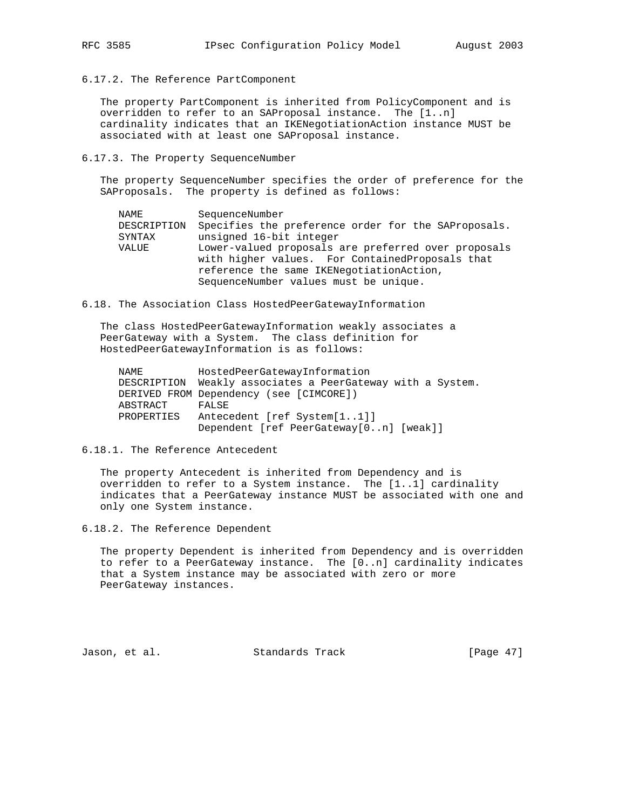6.17.2. The Reference PartComponent

 The property PartComponent is inherited from PolicyComponent and is overridden to refer to an SAProposal instance. The [1..n] cardinality indicates that an IKENegotiationAction instance MUST be associated with at least one SAProposal instance.

#### 6.17.3. The Property SequenceNumber

 The property SequenceNumber specifies the order of preference for the SAProposals. The property is defined as follows:

| NAME        | SequenceNumber                                      |
|-------------|-----------------------------------------------------|
| DESCRIPTION | Specifies the preference order for the SAProposals. |
| SYNTAX      | unsigned 16-bit integer                             |
| VALUE       | Lower-valued proposals are preferred over proposals |
|             | with higher values. For ContainedProposals that     |
|             | reference the same IKENegotiationAction,            |
|             | SequenceNumber values must be unique.               |
|             |                                                     |

6.18. The Association Class HostedPeerGatewayInformation

 The class HostedPeerGatewayInformation weakly associates a PeerGateway with a System. The class definition for HostedPeerGatewayInformation is as follows:

| NAME        | HostedPeerGatewayInformation                   |
|-------------|------------------------------------------------|
| DESCRIPTION | Weakly associates a PeerGateway with a System. |
|             | DERIVED FROM Dependency (see [CIMCORE])        |
| ABSTRACT    | FALSE                                          |
| PROPERTIES  | Antecedent [ref System[11]]                    |
|             | Dependent [ref PeerGateway[0n] [weak]]         |

### 6.18.1. The Reference Antecedent

 The property Antecedent is inherited from Dependency and is overridden to refer to a System instance. The [1..1] cardinality indicates that a PeerGateway instance MUST be associated with one and only one System instance.

6.18.2. The Reference Dependent

 The property Dependent is inherited from Dependency and is overridden to refer to a PeerGateway instance. The [0..n] cardinality indicates that a System instance may be associated with zero or more PeerGateway instances.

Jason, et al. Standards Track [Page 47]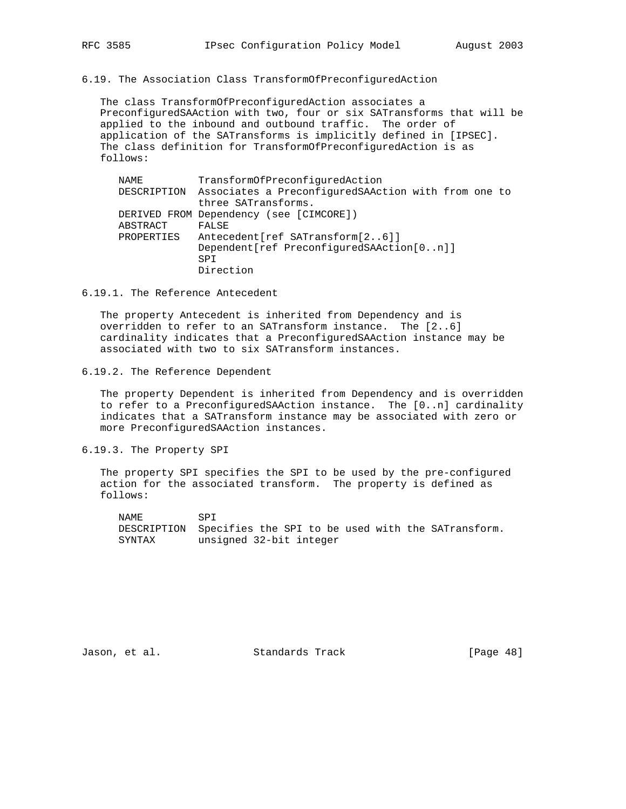6.19. The Association Class TransformOfPreconfiguredAction

 The class TransformOfPreconfiguredAction associates a PreconfiguredSAAction with two, four or six SATransforms that will be applied to the inbound and outbound traffic. The order of application of the SATransforms is implicitly defined in [IPSEC]. The class definition for TransformOfPreconfiguredAction is as follows:

| NAME       | TransformOfPreconfiguredAction                                  |
|------------|-----------------------------------------------------------------|
|            | DESCRIPTION Associates a PreconfiguredSAAction with from one to |
|            | three SATransforms.                                             |
|            | DERIVED FROM Dependency (see [CIMCORE])                         |
| ABSTRACT   | FALSE                                                           |
| PROPERTIES | Antecedent [ref SATransform [26]]                               |
|            | Dependent [ref PreconfiguredSAAction [0n]]                      |
|            | <b>SPT</b>                                                      |
|            | Direction                                                       |

6.19.1. The Reference Antecedent

 The property Antecedent is inherited from Dependency and is overridden to refer to an SATransform instance. The [2..6] cardinality indicates that a PreconfiguredSAAction instance may be associated with two to six SATransform instances.

6.19.2. The Reference Dependent

 The property Dependent is inherited from Dependency and is overridden to refer to a PreconfiguredSAAction instance. The [0..n] cardinality indicates that a SATransform instance may be associated with zero or more PreconfiguredSAAction instances.

6.19.3. The Property SPI

 The property SPI specifies the SPI to be used by the pre-configured action for the associated transform. The property is defined as follows:

NAME SPI DESCRIPTION Specifies the SPI to be used with the SATransform. SYNTAX unsigned 32-bit integer

Jason, et al. Standards Track [Page 48]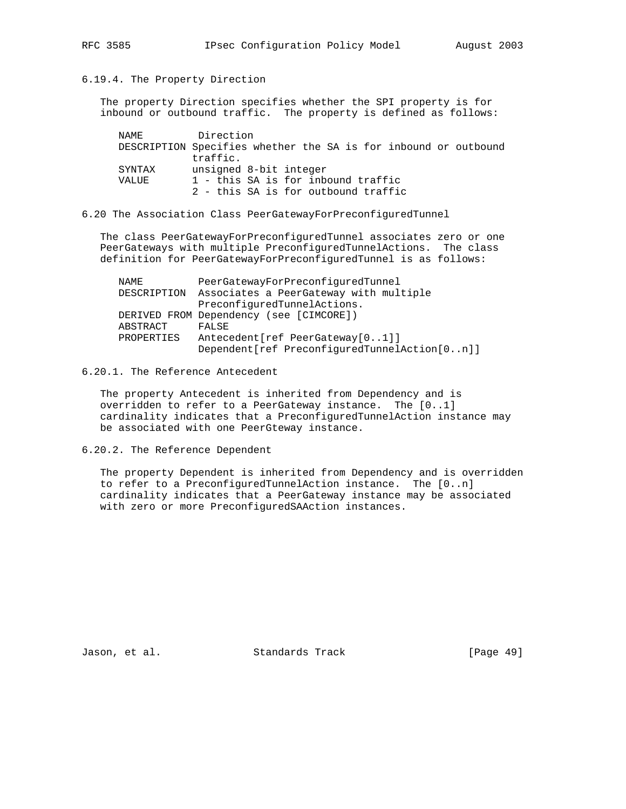## 6.19.4. The Property Direction

 The property Direction specifies whether the SPI property is for inbound or outbound traffic. The property is defined as follows:

| NAMF.  | Direction                                                       |
|--------|-----------------------------------------------------------------|
|        | DESCRIPTION Specifies whether the SA is for inbound or outbound |
|        | traffic.                                                        |
| SYNTAX | unsigned 8-bit integer                                          |
| VALUE  | 1 - this SA is for inbound traffic                              |
|        | 2 - this SA is for outbound traffic                             |
|        |                                                                 |

6.20 The Association Class PeerGatewayForPreconfiguredTunnel

 The class PeerGatewayForPreconfiguredTunnel associates zero or one PeerGateways with multiple PreconfiguredTunnelActions. The class definition for PeerGatewayForPreconfiguredTunnel is as follows:

| NAME        | PeerGatewayForPreconfiguredTunnel              |
|-------------|------------------------------------------------|
| DESCRIPTION | Associates a PeerGateway with multiple         |
|             | PreconfiguredTunnelActions.                    |
|             | DERIVED FROM Dependency (see [CIMCORE])        |
| ABSTRACT    | FALSE                                          |
| PROPERTIES  | Antecedent [ref PeerGateway [01]]              |
|             | Dependent [ref PreconfiguredTunnelAction [0n]] |

6.20.1. The Reference Antecedent

 The property Antecedent is inherited from Dependency and is overridden to refer to a PeerGateway instance. The [0..1] cardinality indicates that a PreconfiguredTunnelAction instance may be associated with one PeerGteway instance.

6.20.2. The Reference Dependent

 The property Dependent is inherited from Dependency and is overridden to refer to a PreconfiguredTunnelAction instance. The [0..n] cardinality indicates that a PeerGateway instance may be associated with zero or more PreconfiguredSAAction instances.

Jason, et al. Standards Track [Page 49]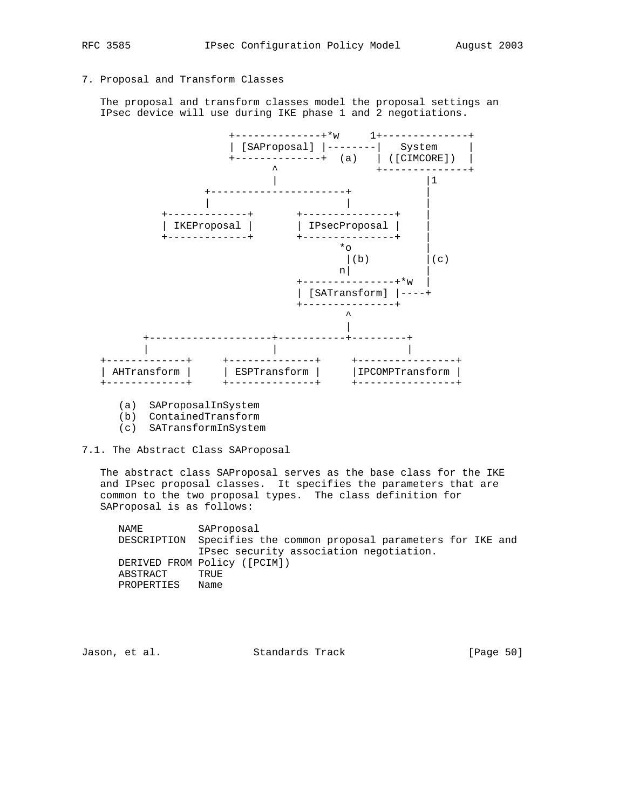# 7. Proposal and Transform Classes

 The proposal and transform classes model the proposal settings an IPsec device will use during IKE phase 1 and 2 negotiations.



- (a) SAProposalInSystem
- (b) ContainedTransform
- (c) SATransformInSystem
- 7.1. The Abstract Class SAProposal

 The abstract class SAProposal serves as the base class for the IKE and IPsec proposal classes. It specifies the parameters that are common to the two proposal types. The class definition for SAProposal is as follows:

 NAME SAProposal DESCRIPTION Specifies the common proposal parameters for IKE and IPsec security association negotiation. DERIVED FROM Policy ([PCIM]) ABSTRACT TRUE PROPERTIES Name

Jason, et al. Standards Track [Page 50]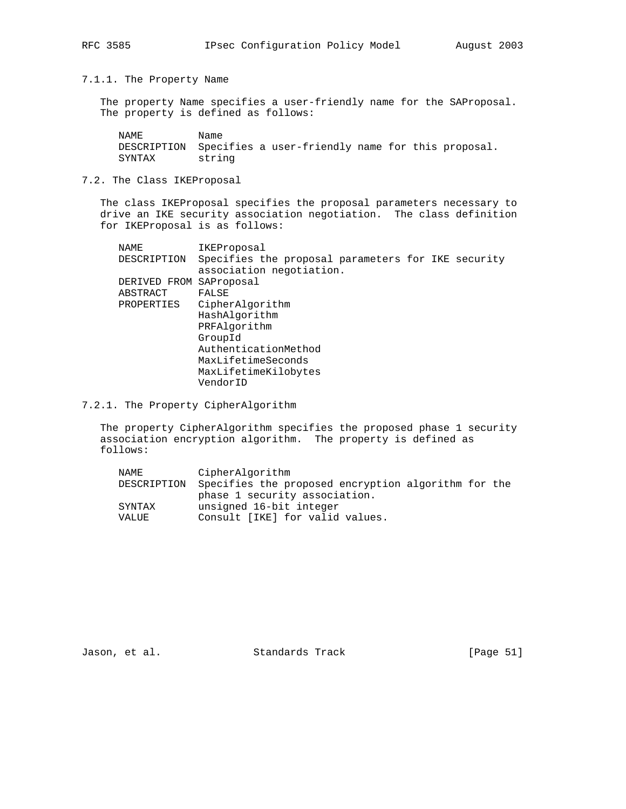7.1.1. The Property Name

 The property Name specifies a user-friendly name for the SAProposal. The property is defined as follows:

NAME Name DESCRIPTION Specifies a user-friendly name for this proposal. SYNTAX string

## 7.2. The Class IKEProposal

 The class IKEProposal specifies the proposal parameters necessary to drive an IKE security association negotiation. The class definition for IKEProposal is as follows:

| NAME                    | IKEProposal                                        |
|-------------------------|----------------------------------------------------|
| DESCRIPTION             | Specifies the proposal parameters for IKE security |
|                         | association negotiation.                           |
| DERIVED FROM SAProposal |                                                    |
| ABSTRACT                | FALSE                                              |
| PROPERTIES              | CipherAlgorithm                                    |
|                         | HashAlgorithm                                      |
|                         | PRFAlgorithm                                       |
|                         | GroupId                                            |
|                         | AuthenticationMethod                               |
|                         | MaxLifetimeSeconds                                 |
|                         | MaxLifetimeKilobytes                               |
|                         | VendorID                                           |
|                         |                                                    |

7.2.1. The Property CipherAlgorithm

 The property CipherAlgorithm specifies the proposed phase 1 security association encryption algorithm. The property is defined as follows:

| NAME   | CipherAlgorithm                                                 |
|--------|-----------------------------------------------------------------|
|        | DESCRIPTION Specifies the proposed encryption algorithm for the |
|        | phase 1 security association.                                   |
| SYNTAX | unsigned 16-bit integer                                         |
| VALUE  | Consult [IKE] for valid values.                                 |

Jason, et al. Standards Track [Page 51]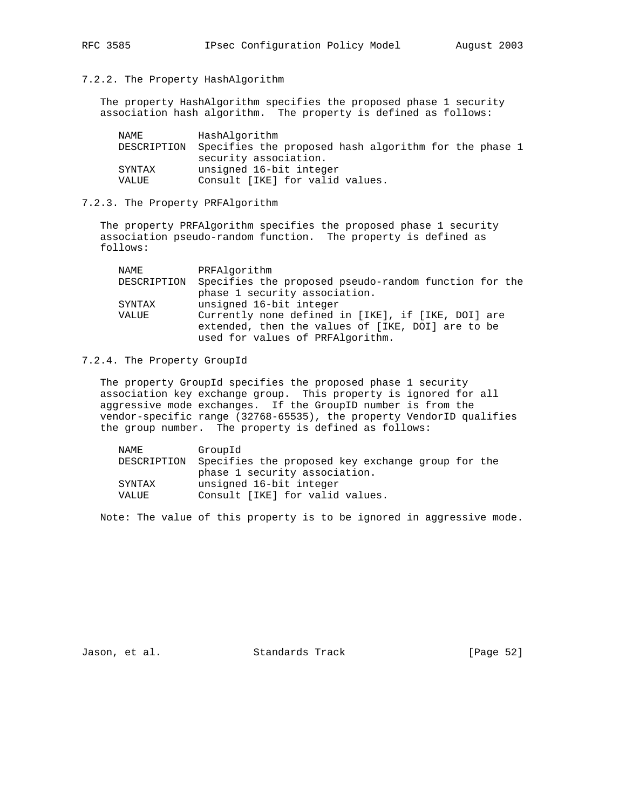## 7.2.2. The Property HashAlgorithm

 The property HashAlgorithm specifies the proposed phase 1 security association hash algorithm. The property is defined as follows:

| NAME        | HashAlqorithm                                         |
|-------------|-------------------------------------------------------|
| DESCRIPTION | Specifies the proposed hash algorithm for the phase 1 |
|             | security association.                                 |
| SYNTAX      | unsigned 16-bit integer                               |
| VALUE       | Consult [IKE] for valid values.                       |

#### 7.2.3. The Property PRFAlgorithm

 The property PRFAlgorithm specifies the proposed phase 1 security association pseudo-random function. The property is defined as follows:

| NAME   | PRFAlgorithm                                                      |
|--------|-------------------------------------------------------------------|
|        | DESCRIPTION Specifies the proposed pseudo-random function for the |
|        | phase 1 security association.                                     |
| SYNTAX | unsigned 16-bit integer                                           |
| VALUE  | Currently none defined in [IKE], if [IKE, DOI] are                |
|        | extended, then the values of [IKE, DOI] are to be                 |
|        | used for values of PRFAlgorithm.                                  |

## 7.2.4. The Property GroupId

 The property GroupId specifies the proposed phase 1 security association key exchange group. This property is ignored for all aggressive mode exchanges. If the GroupID number is from the vendor-specific range (32768-65535), the property VendorID qualifies the group number. The property is defined as follows:

| NAME        | GroupId                                           |
|-------------|---------------------------------------------------|
| DESCRIPTION | Specifies the proposed key exchange group for the |
|             | phase 1 security association.                     |
| SYNTAX      | unsigned 16-bit integer                           |
| VALUE       | Consult [IKE] for valid values.                   |
|             |                                                   |

Note: The value of this property is to be ignored in aggressive mode.

Jason, et al. Standards Track [Page 52]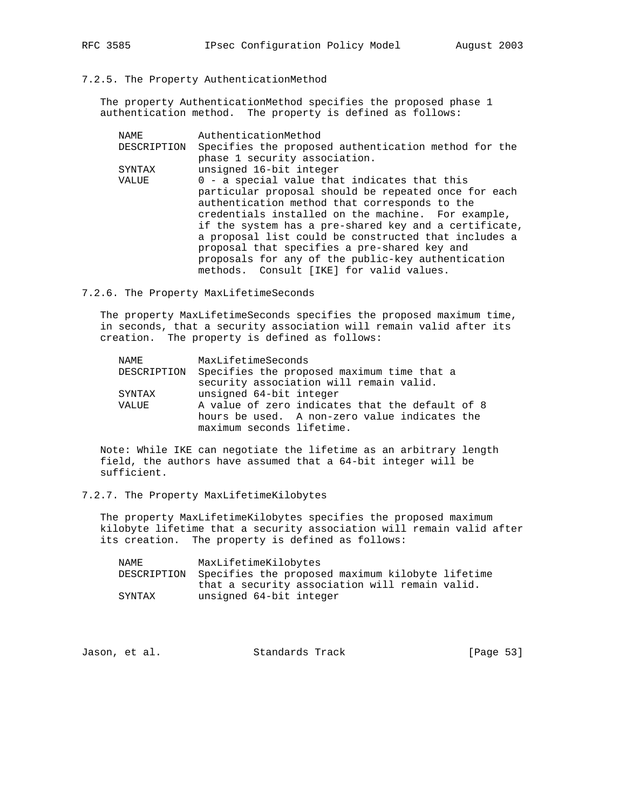The property AuthenticationMethod specifies the proposed phase 1 authentication method. The property is defined as follows:

| NAME        | AuthenticationMethod                                  |
|-------------|-------------------------------------------------------|
| DESCRIPTION | Specifies the proposed authentication method for the  |
|             | phase 1 security association.                         |
| SYNTAX      | unsigned 16-bit integer                               |
| VALUE       | 0 - a special value that indicates that this          |
|             | particular proposal should be repeated once for each  |
|             | authentication method that corresponds to the         |
|             | credentials installed on the machine. For example,    |
|             | if the system has a pre-shared key and a certificate, |
|             | a proposal list could be constructed that includes a  |
|             | proposal that specifies a pre-shared key and          |
|             | proposals for any of the public-key authentication    |
|             | methods. Consult [IKE] for valid values.              |

#### 7.2.6. The Property MaxLifetimeSeconds

 The property MaxLifetimeSeconds specifies the proposed maximum time, in seconds, that a security association will remain valid after its creation. The property is defined as follows:

| NAMF.       | MaxLifetimeSeconds                              |
|-------------|-------------------------------------------------|
| DESCRIPTION | Specifies the proposed maximum time that a      |
|             | security association will remain valid.         |
| SYNTAX      | unsigned 64-bit integer                         |
| VALUE       | A value of zero indicates that the default of 8 |
|             | hours be used. A non-zero value indicates the   |
|             | maximum seconds lifetime.                       |

 Note: While IKE can negotiate the lifetime as an arbitrary length field, the authors have assumed that a 64-bit integer will be sufficient.

## 7.2.7. The Property MaxLifetimeKilobytes

 The property MaxLifetimeKilobytes specifies the proposed maximum kilobyte lifetime that a security association will remain valid after its creation. The property is defined as follows:

| NAME   | MaxLifetimeKilobytes                                         |
|--------|--------------------------------------------------------------|
|        | DESCRIPTION Specifies the proposed maximum kilobyte lifetime |
|        | that a security association will remain valid.               |
| SYNTAX | unsigned 64-bit integer                                      |

| [Page 53]<br>Standards Track<br>Jason, et al. |  |  |
|-----------------------------------------------|--|--|
|-----------------------------------------------|--|--|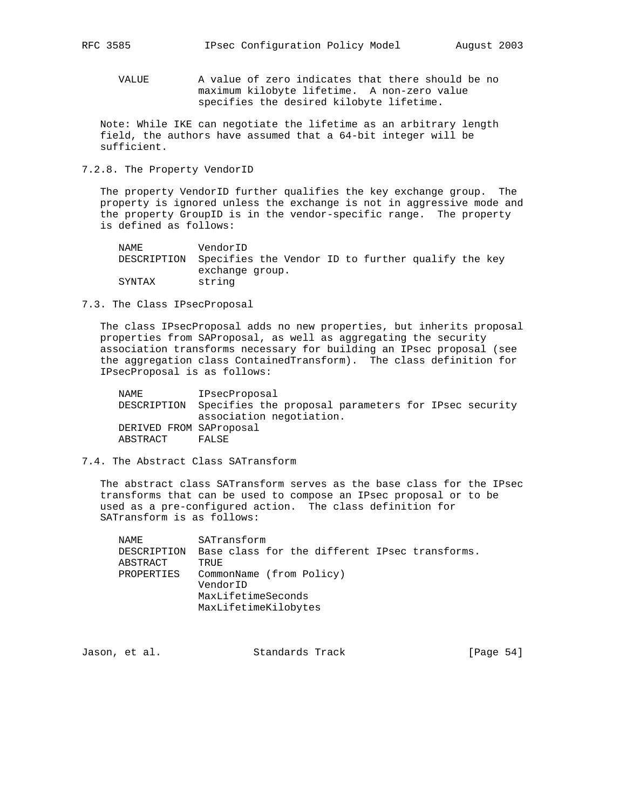VALUE A value of zero indicates that there should be no maximum kilobyte lifetime. A non-zero value specifies the desired kilobyte lifetime.

 Note: While IKE can negotiate the lifetime as an arbitrary length field, the authors have assumed that a 64-bit integer will be sufficient.

7.2.8. The Property VendorID

 The property VendorID further qualifies the key exchange group. The property is ignored unless the exchange is not in aggressive mode and the property GroupID is in the vendor-specific range. The property is defined as follows:

 NAME VendorID DESCRIPTION Specifies the Vendor ID to further qualify the key exchange group. SYNTAX string

7.3. The Class IPsecProposal

 The class IPsecProposal adds no new properties, but inherits proposal properties from SAProposal, as well as aggregating the security association transforms necessary for building an IPsec proposal (see the aggregation class ContainedTransform). The class definition for IPsecProposal is as follows:

 NAME IPsecProposal DESCRIPTION Specifies the proposal parameters for IPsec security association negotiation. DERIVED FROM SAProposal ABSTRACT FALSE

## 7.4. The Abstract Class SATransform

 The abstract class SATransform serves as the base class for the IPsec transforms that can be used to compose an IPsec proposal or to be used as a pre-configured action. The class definition for SATransform is as follows:

| NAMF.                   | SATransform                                            |
|-------------------------|--------------------------------------------------------|
| DESCRIPTION<br>ABSTRACT | Base class for the different IPsec transforms.<br>TRUE |
| PROPERTIES              | CommonName (from Policy)                               |
|                         | VendorID                                               |
|                         | MaxLifetimeSeconds                                     |
|                         | MaxLifetimeKilobytes                                   |

Jason, et al. Standards Track [Page 54]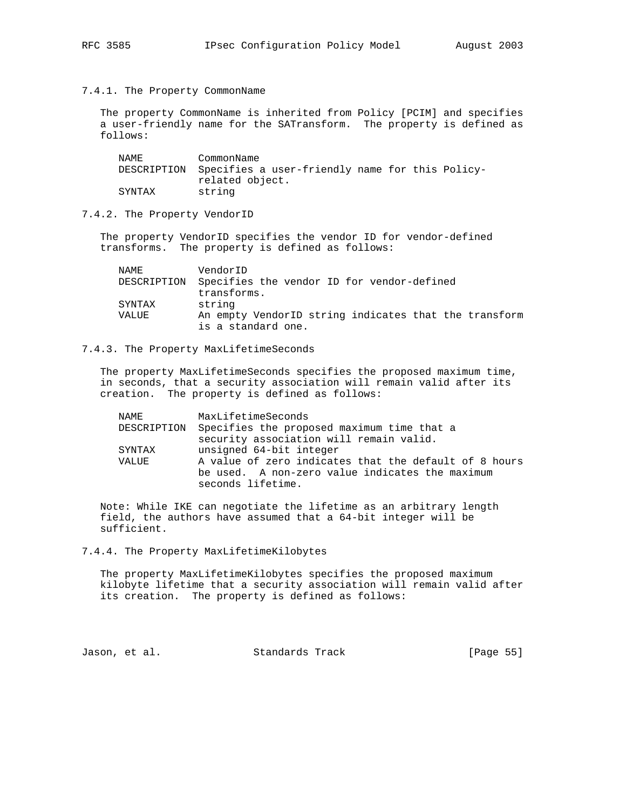7.4.1. The Property CommonName

 The property CommonName is inherited from Policy [PCIM] and specifies a user-friendly name for the SATransform. The property is defined as follows:

| NAMF.  | CommonName                                                  |
|--------|-------------------------------------------------------------|
|        | DESCRIPTION Specifies a user-friendly name for this Policy- |
|        | related object.                                             |
| SYNTAX | string                                                      |

## 7.4.2. The Property VendorID

 The property VendorID specifies the vendor ID for vendor-defined transforms. The property is defined as follows:

| NAME.  | VendorID                                                                    |
|--------|-----------------------------------------------------------------------------|
|        | DESCRIPTION Specifies the vendor ID for vendor-defined                      |
|        | transforms.                                                                 |
| SYNTAX | string                                                                      |
| VALUE  | An empty VendorID string indicates that the transform<br>is a standard one. |

## 7.4.3. The Property MaxLifetimeSeconds

 The property MaxLifetimeSeconds specifies the proposed maximum time, in seconds, that a security association will remain valid after its creation. The property is defined as follows:

| NAMF.  | MaxLifetimeSeconds                                     |
|--------|--------------------------------------------------------|
|        | DESCRIPTION Specifies the proposed maximum time that a |
|        | security association will remain valid.                |
| SYNTAX | unsigned 64-bit integer                                |
| VALUE  | A value of zero indicates that the default of 8 hours  |
|        | be used. A non-zero value indicates the maximum        |
|        | seconds lifetime.                                      |

 Note: While IKE can negotiate the lifetime as an arbitrary length field, the authors have assumed that a 64-bit integer will be sufficient.

### 7.4.4. The Property MaxLifetimeKilobytes

 The property MaxLifetimeKilobytes specifies the proposed maximum kilobyte lifetime that a security association will remain valid after its creation. The property is defined as follows:

Jason, et al. Standards Track [Page 55]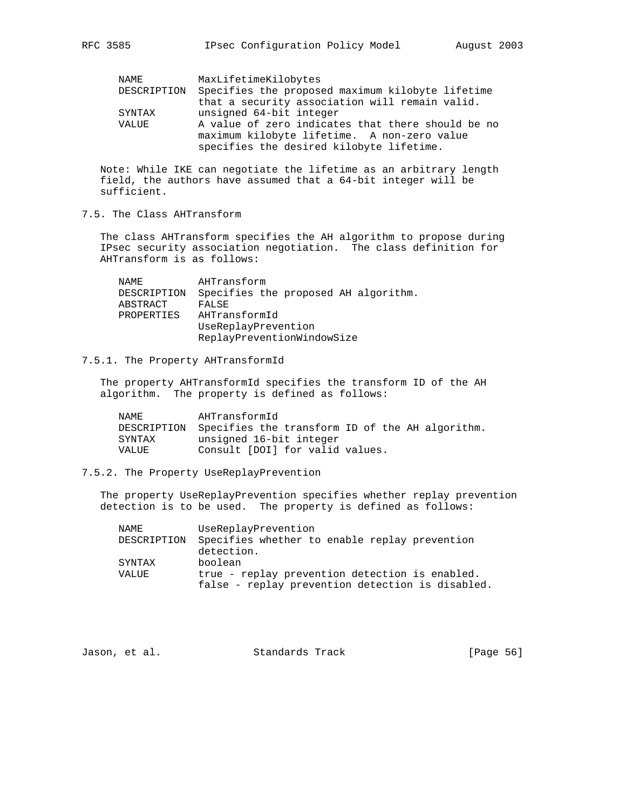| NAME        | MaxLifetimeKilobytes                              |
|-------------|---------------------------------------------------|
| DESCRIPTION | Specifies the proposed maximum kilobyte lifetime  |
|             | that a security association will remain valid.    |
| SYNTAX      | unsigned 64-bit integer                           |
| VALUE       | A value of zero indicates that there should be no |
|             | maximum kilobyte lifetime. A non-zero value       |
|             | specifies the desired kilobyte lifetime.          |

 Note: While IKE can negotiate the lifetime as an arbitrary length field, the authors have assumed that a 64-bit integer will be sufficient.

7.5. The Class AHTransform

 The class AHTransform specifies the AH algorithm to propose during IPsec security association negotiation. The class definition for AHTransform is as follows:

 NAME AHTransform DESCRIPTION Specifies the proposed AH algorithm. ABSTRACT FALSE PROPERTIES AHTransformId UseReplayPrevention ReplayPreventionWindowSize

## 7.5.1. The Property AHTransformId

 The property AHTransformId specifies the transform ID of the AH algorithm. The property is defined as follows:

| NAMF.  | AHTransformId                                               |
|--------|-------------------------------------------------------------|
|        | DESCRIPTION Specifies the transform ID of the AH algorithm. |
| SYNTAX | unsigned 16-bit integer                                     |
| VALUE  | Consult [DOI] for valid values.                             |

## 7.5.2. The Property UseReplayPrevention

 The property UseReplayPrevention specifies whether replay prevention detection is to be used. The property is defined as follows:

| NAME        | UseReplayPrevention                              |
|-------------|--------------------------------------------------|
| DESCRIPTION | Specifies whether to enable replay prevention    |
|             | detection.                                       |
| SYNTAX      | boolean                                          |
| VALUE       | true - replay prevention detection is enabled.   |
|             | false - replay prevention detection is disabled. |

|  | Jason, et al. | Standards Track | [Page 56] |
|--|---------------|-----------------|-----------|
|--|---------------|-----------------|-----------|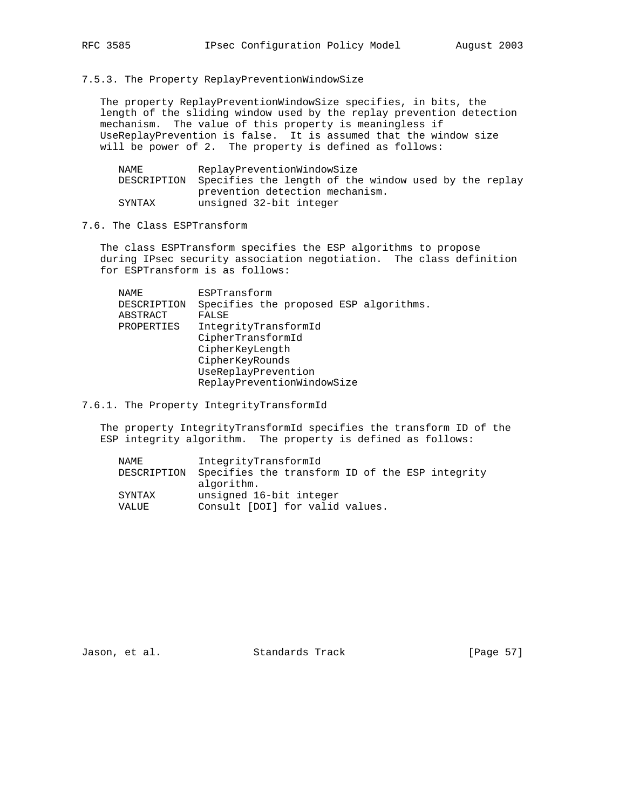7.5.3. The Property ReplayPreventionWindowSize

 The property ReplayPreventionWindowSize specifies, in bits, the length of the sliding window used by the replay prevention detection mechanism. The value of this property is meaningless if UseReplayPrevention is false. It is assumed that the window size will be power of 2. The property is defined as follows:

| NAME   | ReplayPreventionWindowSize                                        |
|--------|-------------------------------------------------------------------|
|        | DESCRIPTION Specifies the length of the window used by the replay |
|        | prevention detection mechanism.                                   |
| SYNTAX | unsigned 32-bit integer                                           |

## 7.6. The Class ESPTransform

 The class ESPTransform specifies the ESP algorithms to propose during IPsec security association negotiation. The class definition for ESPTransform is as follows:

| NAME        | ESPTransform                           |
|-------------|----------------------------------------|
| DESCRIPTION | Specifies the proposed ESP algorithms. |
| ABSTRACT    | FALSE                                  |
| PROPERTIES  | IntegrityTransformId                   |
|             | CipherTransformId                      |
|             | CipherKeyLength                        |
|             | CipherKeyRounds                        |
|             | UseReplayPrevention                    |
|             | ReplayPreventionWindowSize             |
|             |                                        |

7.6.1. The Property IntegrityTransformId

 The property IntegrityTransformId specifies the transform ID of the ESP integrity algorithm. The property is defined as follows:

| NAME   | IntegrityTransformId                                        |
|--------|-------------------------------------------------------------|
|        | DESCRIPTION Specifies the transform ID of the ESP integrity |
|        | algorithm.                                                  |
| SYNTAX | unsigned 16-bit integer                                     |
| VALUE  | Consult [DOI] for valid values.                             |

Jason, et al. Standards Track [Page 57]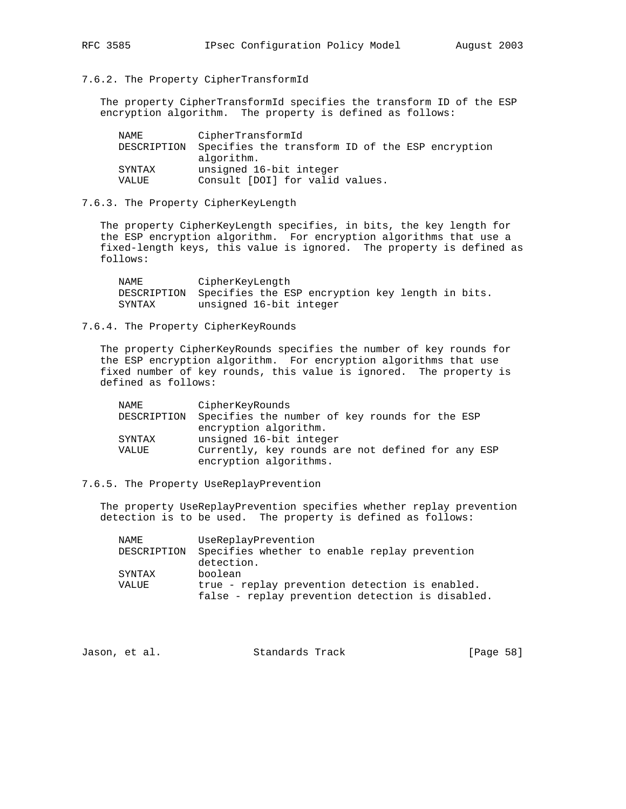## 7.6.2. The Property CipherTransformId

 The property CipherTransformId specifies the transform ID of the ESP encryption algorithm. The property is defined as follows:

| NAME        | CipherTransformId                                |
|-------------|--------------------------------------------------|
| DESCRIPTION | Specifies the transform ID of the ESP encryption |
|             | algorithm.                                       |
| SYNTAX      | unsigned 16-bit integer                          |
| VALUE       | Consult [DOI] for valid values.                  |

#### 7.6.3. The Property CipherKeyLength

 The property CipherKeyLength specifies, in bits, the key length for the ESP encryption algorithm. For encryption algorithms that use a fixed-length keys, this value is ignored. The property is defined as follows:

 NAME CipherKeyLength DESCRIPTION Specifies the ESP encryption key length in bits. SYNTAX unsigned 16-bit integer

## 7.6.4. The Property CipherKeyRounds

 The property CipherKeyRounds specifies the number of key rounds for the ESP encryption algorithm. For encryption algorithms that use fixed number of key rounds, this value is ignored. The property is defined as follows:

| NAME        | CipherKeyRounds                                   |
|-------------|---------------------------------------------------|
| DESCRIPTION | Specifies the number of key rounds for the ESP    |
|             | encryption algorithm.                             |
| SYNTAX      | unsigned 16-bit integer                           |
| VALUE       | Currently, key rounds are not defined for any ESP |
|             | encryption algorithms.                            |

## 7.6.5. The Property UseReplayPrevention

 The property UseReplayPrevention specifies whether replay prevention detection is to be used. The property is defined as follows:

| NAME        | UseReplayPrevention                              |
|-------------|--------------------------------------------------|
| DESCRIPTION | Specifies whether to enable replay prevention    |
|             | detection.                                       |
| SYNTAX      | boolean                                          |
| VALUE       | true - replay prevention detection is enabled.   |
|             | false - replay prevention detection is disabled. |

| [Page 58]<br>Standards Track<br>Jason, et al. |  |
|-----------------------------------------------|--|
|-----------------------------------------------|--|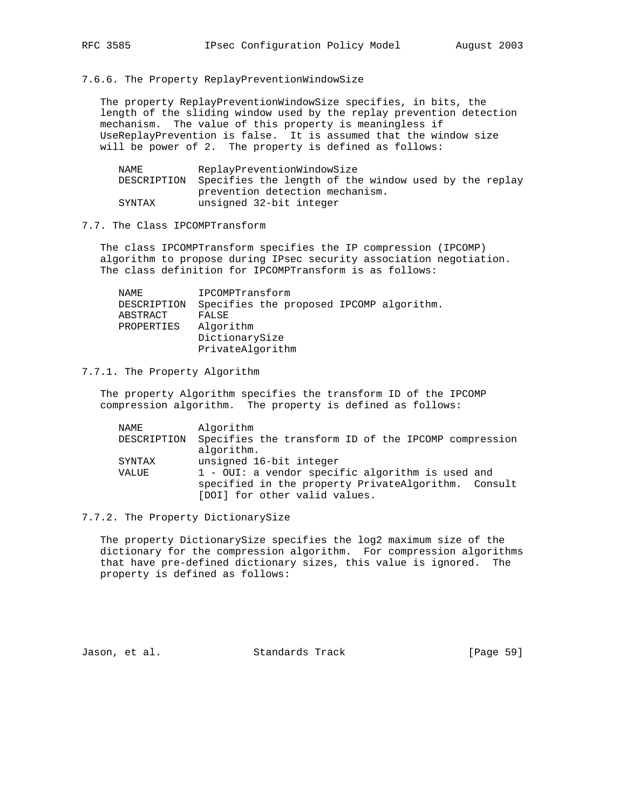#### 7.6.6. The Property ReplayPreventionWindowSize

 The property ReplayPreventionWindowSize specifies, in bits, the length of the sliding window used by the replay prevention detection mechanism. The value of this property is meaningless if UseReplayPrevention is false. It is assumed that the window size will be power of 2. The property is defined as follows:

| NAME   | ReplayPreventionWindowSize                                        |
|--------|-------------------------------------------------------------------|
|        | DESCRIPTION Specifies the length of the window used by the replay |
|        | prevention detection mechanism.                                   |
| SYNTAX | unsigned 32-bit integer                                           |

#### 7.7. The Class IPCOMPTransform

 The class IPCOMPTransform specifies the IP compression (IPCOMP) algorithm to propose during IPsec security association negotiation. The class definition for IPCOMPTransform is as follows:

| NAME        | IPCOMPTransform                          |
|-------------|------------------------------------------|
| DESCRIPTION | Specifies the proposed IPCOMP algorithm. |
| ABSTRACT    | FALSE                                    |
| PROPERTIES  | Algorithm                                |
|             | DictionarySize                           |
|             | PrivateAlgorithm                         |

#### 7.7.1. The Property Algorithm

 The property Algorithm specifies the transform ID of the IPCOMP compression algorithm. The property is defined as follows:

| NAME        | Algorithm                                            |
|-------------|------------------------------------------------------|
| DESCRIPTION | Specifies the transform ID of the IPCOMP compression |
|             | algorithm.                                           |
| SYNTAX      | unsigned 16-bit integer                              |
| VALUE       | $1$ - OUI: a vendor specific algorithm is used and   |
|             | specified in the property PrivateAlgorithm. Consult  |
|             | [DOI] for other valid values.                        |

## 7.7.2. The Property DictionarySize

 The property DictionarySize specifies the log2 maximum size of the dictionary for the compression algorithm. For compression algorithms that have pre-defined dictionary sizes, this value is ignored. The property is defined as follows:

Jason, et al. Standards Track [Page 59]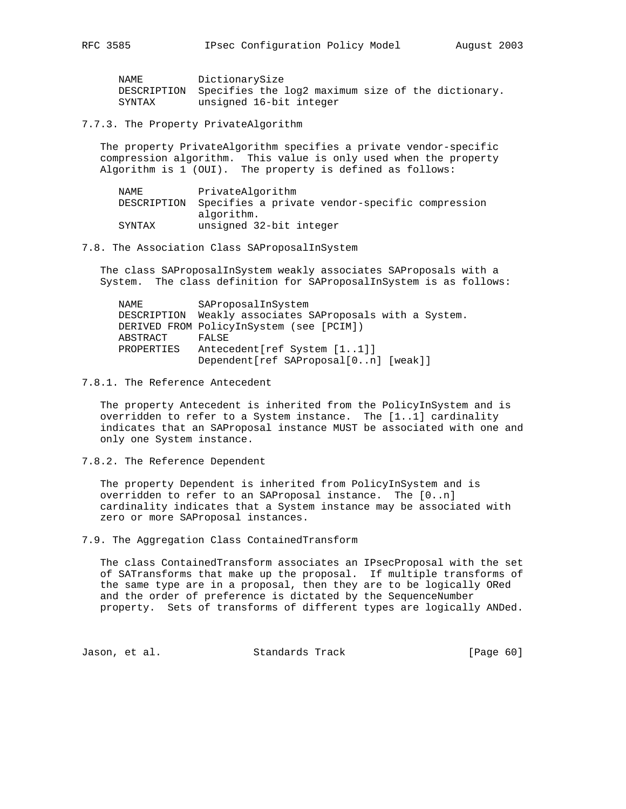| NAME   | DictionarySize                                                 |
|--------|----------------------------------------------------------------|
|        | DESCRIPTION Specifies the log2 maximum size of the dictionary. |
| SYNTAX | unsigned 16-bit integer                                        |

7.7.3. The Property PrivateAlgorithm

 The property PrivateAlgorithm specifies a private vendor-specific compression algorithm. This value is only used when the property Algorithm is 1 (OUI). The property is defined as follows:

| NAME   | PrivateAlgorithm                                            |
|--------|-------------------------------------------------------------|
|        | DESCRIPTION Specifies a private vendor-specific compression |
|        | algorithm.                                                  |
| SYNTAX | unsigned 32-bit integer                                     |

#### 7.8. The Association Class SAProposalInSystem

 The class SAProposalInSystem weakly associates SAProposals with a System. The class definition for SAProposalInSystem is as follows:

| NAMF.       | SAProposalInSystem                           |
|-------------|----------------------------------------------|
| DESCRIPTION | Weakly associates SAProposals with a System. |
|             | DERIVED FROM PolicyInSystem (see [PCIM])     |
| ABSTRACT    | FALSE                                        |
| PROPERTIES  | Antecedent [ref System [11]]                 |
|             | Dependent[ref SAProposal[0n] [weak]]         |

## 7.8.1. The Reference Antecedent

 The property Antecedent is inherited from the PolicyInSystem and is overridden to refer to a System instance. The [1..1] cardinality indicates that an SAProposal instance MUST be associated with one and only one System instance.

7.8.2. The Reference Dependent

 The property Dependent is inherited from PolicyInSystem and is overridden to refer to an SAProposal instance. The [0..n] cardinality indicates that a System instance may be associated with zero or more SAProposal instances.

7.9. The Aggregation Class ContainedTransform

 The class ContainedTransform associates an IPsecProposal with the set of SATransforms that make up the proposal. If multiple transforms of the same type are in a proposal, then they are to be logically ORed and the order of preference is dictated by the SequenceNumber property. Sets of transforms of different types are logically ANDed.

Jason, et al. Standards Track [Page 60]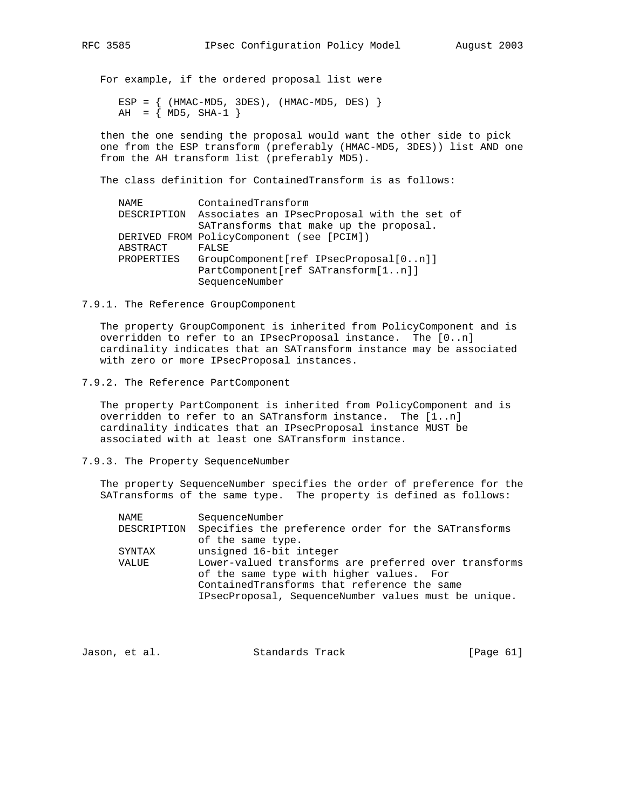For example, if the ordered proposal list were

ESP =  $\{$  (HMAC-MD5, 3DES), (HMAC-MD5, DES)  $\}$  $AH = \{ MD5, SHA-1 \}$ 

 then the one sending the proposal would want the other side to pick one from the ESP transform (preferably (HMAC-MD5, 3DES)) list AND one from the AH transform list (preferably MD5).

The class definition for ContainedTransform is as follows:

| ContainedTransform                          |
|---------------------------------------------|
| Associates an IPsecProposal with the set of |
| SATransforms that make up the proposal.     |
| DERIVED FROM PolicyComponent (see [PCIM])   |
| FALSE                                       |
| GroupComponent[ref IPsecProposal[0n]]       |
| PartComponent[ref SATransform[1n]]          |
| SequenceNumber                              |
|                                             |

#### 7.9.1. The Reference GroupComponent

 The property GroupComponent is inherited from PolicyComponent and is overridden to refer to an IPsecProposal instance. The [0..n] cardinality indicates that an SATransform instance may be associated with zero or more IPsecProposal instances.

#### 7.9.2. The Reference PartComponent

 The property PartComponent is inherited from PolicyComponent and is overridden to refer to an SATransform instance. The [1..n] cardinality indicates that an IPsecProposal instance MUST be associated with at least one SATransform instance.

#### 7.9.3. The Property SequenceNumber

 The property SequenceNumber specifies the order of preference for the SATransforms of the same type. The property is defined as follows:

| NAME        | SequenceNumber                                        |
|-------------|-------------------------------------------------------|
| DESCRIPTION | Specifies the preference order for the SATransforms   |
|             | of the same type.                                     |
| SYNTAX      | unsigned 16-bit integer                               |
| VALUE       | Lower-valued transforms are preferred over transforms |
|             | of the same type with higher values. For              |
|             | ContainedTransforms that reference the same           |
|             | IPsecProposal, SequenceNumber values must be unique.  |

| Standards Track<br>Jason, et al. | [Page 61] |  |
|----------------------------------|-----------|--|
|----------------------------------|-----------|--|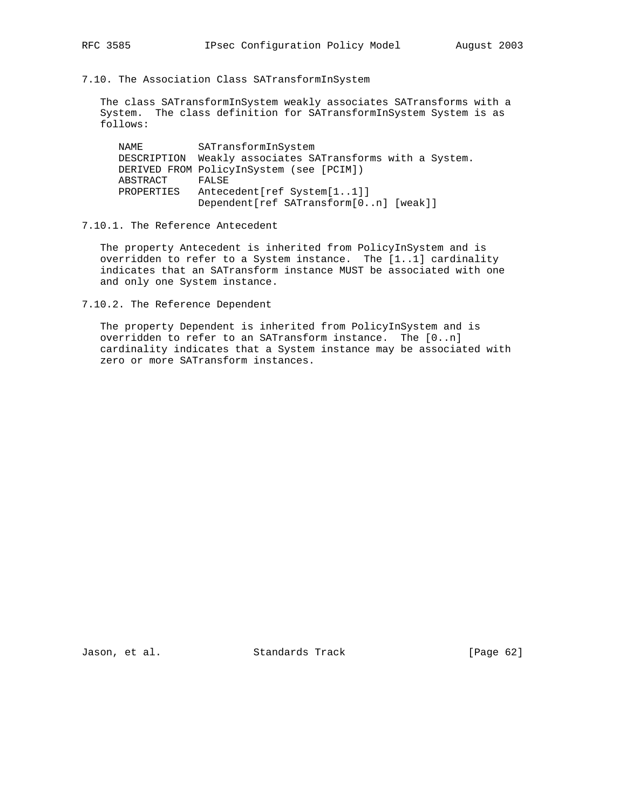7.10. The Association Class SATransformInSystem

 The class SATransformInSystem weakly associates SATransforms with a System. The class definition for SATransformInSystem System is as follows:

| NAME     |            | SATransformInSystem                                       |
|----------|------------|-----------------------------------------------------------|
|          |            | DESCRIPTION Weakly associates SATransforms with a System. |
|          |            | DERIVED FROM PolicyInSystem (see [PCIM])                  |
| ABSTRACT |            | FALSE                                                     |
|          | PROPERTIES | Antecedent [ref System [11]]                              |
|          |            | Dependent [ref SATransform [0n] [weak]]                   |

## 7.10.1. The Reference Antecedent

 The property Antecedent is inherited from PolicyInSystem and is overridden to refer to a System instance. The [1..1] cardinality indicates that an SATransform instance MUST be associated with one and only one System instance.

7.10.2. The Reference Dependent

 The property Dependent is inherited from PolicyInSystem and is overridden to refer to an SATransform instance. The [0..n] cardinality indicates that a System instance may be associated with zero or more SATransform instances.

Jason, et al. Standards Track [Page 62]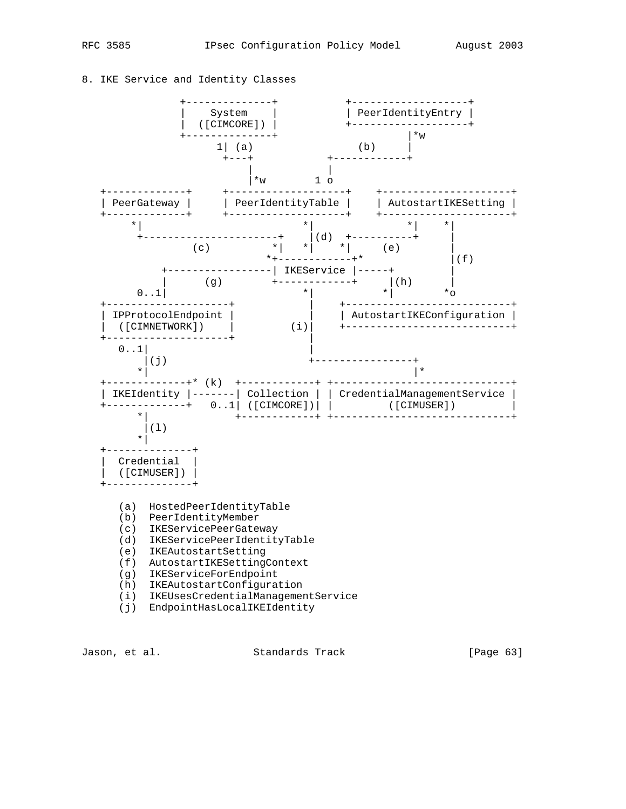## 8. IKE Service and Identity Classes



(i) EndpointHasLocalIKEIdentity

Jason, et al. Standards Track [Page 63]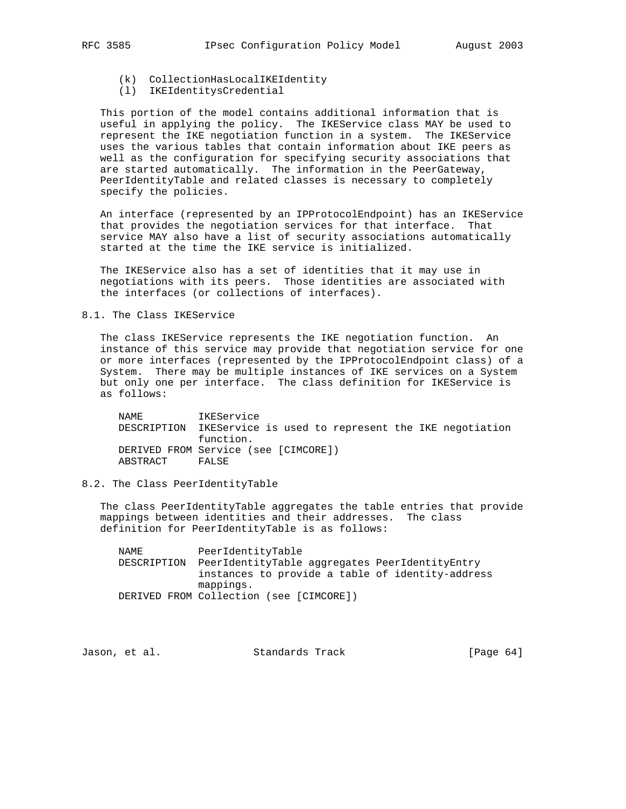- (k) CollectionHasLocalIKEIdentity
- (l) IKEIdentitysCredential

 This portion of the model contains additional information that is useful in applying the policy. The IKEService class MAY be used to represent the IKE negotiation function in a system. The IKEService uses the various tables that contain information about IKE peers as well as the configuration for specifying security associations that are started automatically. The information in the PeerGateway, PeerIdentityTable and related classes is necessary to completely specify the policies.

 An interface (represented by an IPProtocolEndpoint) has an IKEService that provides the negotiation services for that interface. That service MAY also have a list of security associations automatically started at the time the IKE service is initialized.

 The IKEService also has a set of identities that it may use in negotiations with its peers. Those identities are associated with the interfaces (or collections of interfaces).

## 8.1. The Class IKEService

 The class IKEService represents the IKE negotiation function. An instance of this service may provide that negotiation service for one or more interfaces (represented by the IPProtocolEndpoint class) of a System. There may be multiple instances of IKE services on a System but only one per interface. The class definition for IKEService is as follows:

 NAME IKEService DESCRIPTION IKEService is used to represent the IKE negotiation function. DERIVED FROM Service (see [CIMCORE]) ABSTRACT FALSE

## 8.2. The Class PeerIdentityTable

 The class PeerIdentityTable aggregates the table entries that provide mappings between identities and their addresses. The class definition for PeerIdentityTable is as follows:

 NAME PeerIdentityTable DESCRIPTION PeerIdentityTable aggregates PeerIdentityEntry instances to provide a table of identity-address mappings. DERIVED FROM Collection (see [CIMCORE])

Jason, et al. Standards Track [Page 64]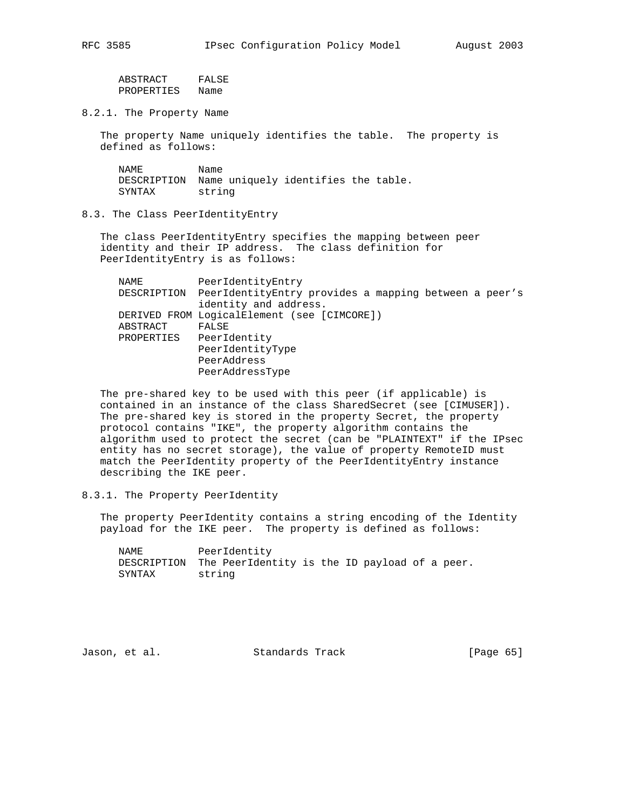ABSTRACT FALSE PROPERTIES Name

8.2.1. The Property Name

 The property Name uniquely identifies the table. The property is defined as follows:

NAME Name DESCRIPTION Name uniquely identifies the table. SYNTAX string

8.3. The Class PeerIdentityEntry

 The class PeerIdentityEntry specifies the mapping between peer identity and their IP address. The class definition for PeerIdentityEntry is as follows:

| DESCRIPTION PeerIdentityEntry provides a mapping between a peer's<br>identity and address.<br>DERIVED FROM LogicalElement (see [CIMCORE])<br>ABSTRACT<br>FALSE<br>PeerIdentity<br>PROPERTIES<br>PeerIdentityType<br>PeerAddress<br>PeerAddressType | NAME | PeerIdentityEntry |
|----------------------------------------------------------------------------------------------------------------------------------------------------------------------------------------------------------------------------------------------------|------|-------------------|
|                                                                                                                                                                                                                                                    |      |                   |
|                                                                                                                                                                                                                                                    |      |                   |
|                                                                                                                                                                                                                                                    |      |                   |
|                                                                                                                                                                                                                                                    |      |                   |
|                                                                                                                                                                                                                                                    |      |                   |
|                                                                                                                                                                                                                                                    |      |                   |
|                                                                                                                                                                                                                                                    |      |                   |
|                                                                                                                                                                                                                                                    |      |                   |

 The pre-shared key to be used with this peer (if applicable) is contained in an instance of the class SharedSecret (see [CIMUSER]). The pre-shared key is stored in the property Secret, the property protocol contains "IKE", the property algorithm contains the algorithm used to protect the secret (can be "PLAINTEXT" if the IPsec entity has no secret storage), the value of property RemoteID must match the PeerIdentity property of the PeerIdentityEntry instance describing the IKE peer.

8.3.1. The Property PeerIdentity

 The property PeerIdentity contains a string encoding of the Identity payload for the IKE peer. The property is defined as follows:

 NAME PeerIdentity DESCRIPTION The PeerIdentity is the ID payload of a peer. SYNTAX string

Jason, et al. Standards Track [Page 65]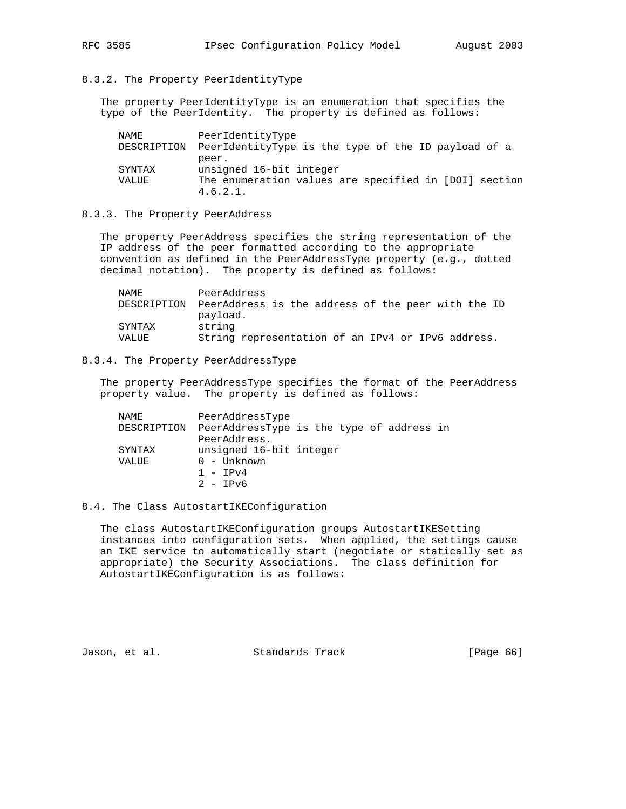## 8.3.2. The Property PeerIdentityType

 The property PeerIdentityType is an enumeration that specifies the type of the PeerIdentity. The property is defined as follows:

| NAME        | PeerIdentityType                                                  |
|-------------|-------------------------------------------------------------------|
| DESCRIPTION | PeerIdentityType is the type of the ID payload of a               |
|             | peer.                                                             |
| SYNTAX      | unsigned 16-bit integer                                           |
| VALUE       | The enumeration values are specified in [DOI] section<br>4.6.2.1. |

## 8.3.3. The Property PeerAddress

 The property PeerAddress specifies the string representation of the IP address of the peer formatted according to the appropriate convention as defined in the PeerAddressType property (e.g., dotted decimal notation). The property is defined as follows:

| NAMF.       | PeerAddress                                        |
|-------------|----------------------------------------------------|
| DESCRIPTION | PeerAddress is the address of the peer with the ID |
|             | payload.                                           |
| SYNTAX      | string                                             |
| VALUE       | String representation of an IPv4 or IPv6 address.  |

## 8.3.4. The Property PeerAddressType

 The property PeerAddressType specifies the format of the PeerAddress property value. The property is defined as follows:

| NAME.       | PeerAddressType                           |
|-------------|-------------------------------------------|
| DESCRIPTION | PeerAddressType is the type of address in |
|             | PeerAddress.                              |
| SYNTAX      | unsigned 16-bit integer                   |
| VALUE       | $0 -$ Unknown                             |
|             | $1 - TPv4$                                |
|             | $2 - IPv6$                                |

## 8.4. The Class AutostartIKEConfiguration

 The class AutostartIKEConfiguration groups AutostartIKESetting instances into configuration sets. When applied, the settings cause an IKE service to automatically start (negotiate or statically set as appropriate) the Security Associations. The class definition for AutostartIKEConfiguration is as follows:

Jason, et al. Standards Track [Page 66]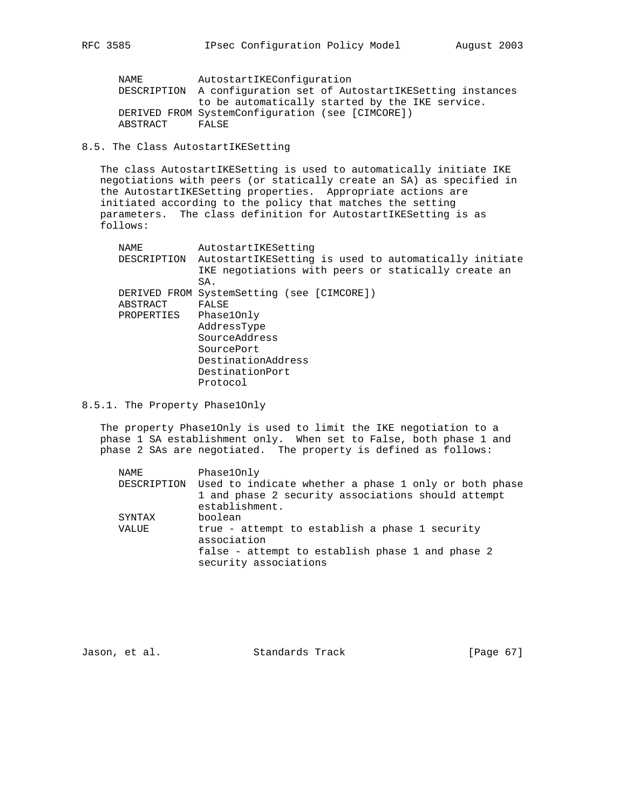NAME AutostartIKEConfiguration DESCRIPTION A configuration set of AutostartIKESetting instances to be automatically started by the IKE service. DERIVED FROM SystemConfiguration (see [CIMCORE]) ABSTRACT FALSE

8.5. The Class AutostartIKESetting

 The class AutostartIKESetting is used to automatically initiate IKE negotiations with peers (or statically create an SA) as specified in the AutostartIKESetting properties. Appropriate actions are initiated according to the policy that matches the setting parameters. The class definition for AutostartIKESetting is as follows:

| NAME        | AutostartIKESetting                                   |
|-------------|-------------------------------------------------------|
| DESCRIPTION | AutostartIKESetting is used to automatically initiate |
|             | IKE negotiations with peers or statically create an   |
|             | SA.                                                   |
|             | DERIVED FROM SystemSetting (see [CIMCORE])            |
| ABSTRACT    | FALSE                                                 |
| PROPERTIES  | Phase10nly                                            |
|             | AddressType                                           |
|             | SourceAddress                                         |
|             | SourcePort                                            |
|             | DestinationAddress                                    |
|             | DestinationPort                                       |
|             | Protocol                                              |
|             |                                                       |

8.5.1. The Property Phase1Only

 The property Phase1Only is used to limit the IKE negotiation to a phase 1 SA establishment only. When set to False, both phase 1 and phase 2 SAs are negotiated. The property is defined as follows:

| NAME   | Phase10nly                                                                                                              |
|--------|-------------------------------------------------------------------------------------------------------------------------|
|        | DESCRIPTION Used to indicate whether a phase 1 only or both phase<br>1 and phase 2 security associations should attempt |
|        | establishment.                                                                                                          |
| SYNTAX | boolean                                                                                                                 |
| VALUE  | true - attempt to establish a phase 1 security<br>association                                                           |
|        | false - attempt to establish phase 1 and phase 2<br>security associations                                               |

Jason, et al. Standards Track [Page 67]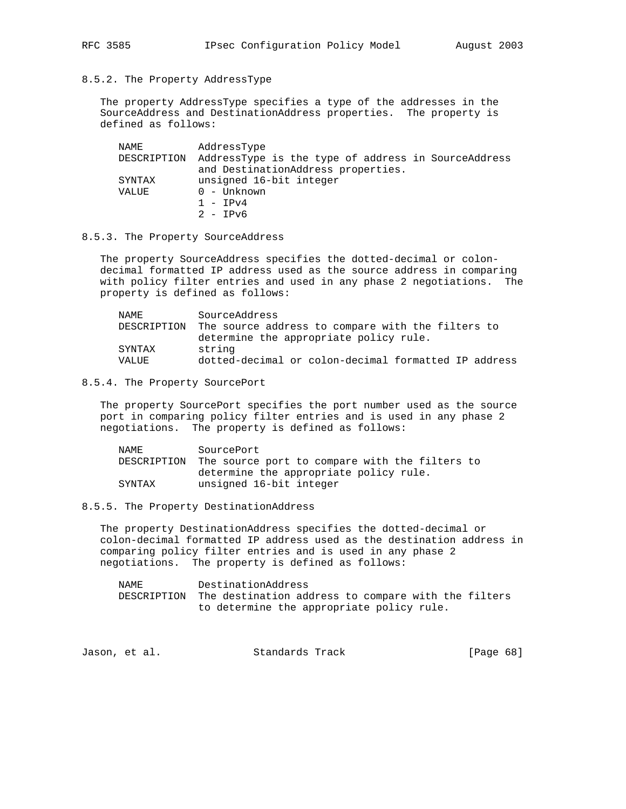8.5.2. The Property AddressType

 The property AddressType specifies a type of the addresses in the SourceAddress and DestinationAddress properties. The property is defined as follows:

| NAME        | AddressType                                         |
|-------------|-----------------------------------------------------|
| DESCRIPTION | AddressType is the type of address in SourceAddress |
|             | and DestinationAddress properties.                  |
| SYNTAX      | unsigned 16-bit integer                             |
| VALUE       | $0 -$ Unknown                                       |
|             | $1 - TPy4$                                          |
|             | $2 - IPv6$                                          |

8.5.3. The Property SourceAddress

 The property SourceAddress specifies the dotted-decimal or colon decimal formatted IP address used as the source address in comparing with policy filter entries and used in any phase 2 negotiations. The property is defined as follows:

| NAMF.  | SourceAddress                                                 |
|--------|---------------------------------------------------------------|
|        | DESCRIPTION The source address to compare with the filters to |
|        | determine the appropriate policy rule.                        |
| SYNTAX | string                                                        |
| VALUE. | dotted-decimal or colon-decimal formatted IP address          |

8.5.4. The Property SourcePort

 The property SourcePort specifies the port number used as the source port in comparing policy filter entries and is used in any phase 2 negotiations. The property is defined as follows:

| NAMF.  | SourcePort                                                 |
|--------|------------------------------------------------------------|
|        | DESCRIPTION The source port to compare with the filters to |
|        | determine the appropriate policy rule.                     |
| SYNTAX | unsigned 16-bit integer                                    |

8.5.5. The Property DestinationAddress

 The property DestinationAddress specifies the dotted-decimal or colon-decimal formatted IP address used as the destination address in comparing policy filter entries and is used in any phase 2 negotiations. The property is defined as follows:

 NAME DestinationAddress DESCRIPTION The destination address to compare with the filters to determine the appropriate policy rule.

| Standards Track<br>Jason, et al. | [Page 68] |  |
|----------------------------------|-----------|--|
|----------------------------------|-----------|--|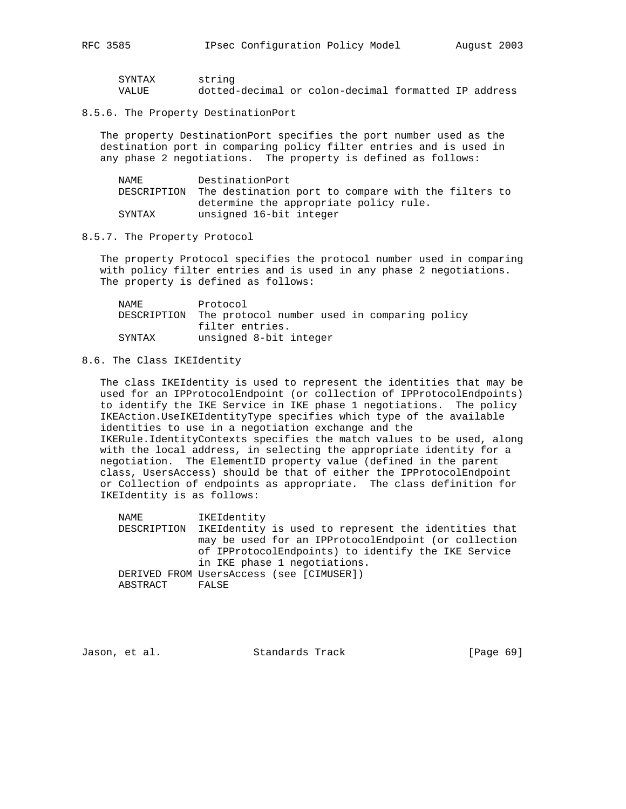| SYNTAX | string                                               |  |  |  |
|--------|------------------------------------------------------|--|--|--|
| VALUE  | dotted-decimal or colon-decimal formatted IP address |  |  |  |

#### 8.5.6. The Property DestinationPort

 The property DestinationPort specifies the port number used as the destination port in comparing policy filter entries and is used in any phase 2 negotiations. The property is defined as follows:

| NAMF.  | DestinationPort                                                 |
|--------|-----------------------------------------------------------------|
|        | DESCRIPTION The destination port to compare with the filters to |
|        | determine the appropriate policy rule.                          |
| SYNTAX | unsigned 16-bit integer                                         |

#### 8.5.7. The Property Protocol

 The property Protocol specifies the protocol number used in comparing with policy filter entries and is used in any phase 2 negotiations. The property is defined as follows:

| NAMF.  | Protocol                                                 |                        |  |  |
|--------|----------------------------------------------------------|------------------------|--|--|
|        | DESCRIPTION The protocol number used in comparing policy |                        |  |  |
|        | filter entries.                                          |                        |  |  |
| SYNTAX |                                                          | unsigned 8-bit integer |  |  |

#### 8.6. The Class IKEIdentity

 The class IKEIdentity is used to represent the identities that may be used for an IPProtocolEndpoint (or collection of IPProtocolEndpoints) to identify the IKE Service in IKE phase 1 negotiations. The policy IKEAction.UseIKEIdentityType specifies which type of the available identities to use in a negotiation exchange and the IKERule.IdentityContexts specifies the match values to be used, along with the local address, in selecting the appropriate identity for a negotiation. The ElementID property value (defined in the parent class, UsersAccess) should be that of either the IPProtocolEndpoint or Collection of endpoints as appropriate. The class definition for IKEIdentity is as follows:

 NAME IKEIdentity DESCRIPTION IKEIdentity is used to represent the identities that may be used for an IPProtocolEndpoint (or collection of IPProtocolEndpoints) to identify the IKE Service in IKE phase 1 negotiations. DERIVED FROM UsersAccess (see [CIMUSER]) ABSTRACT FALSE

Jason, et al. Standards Track [Page 69]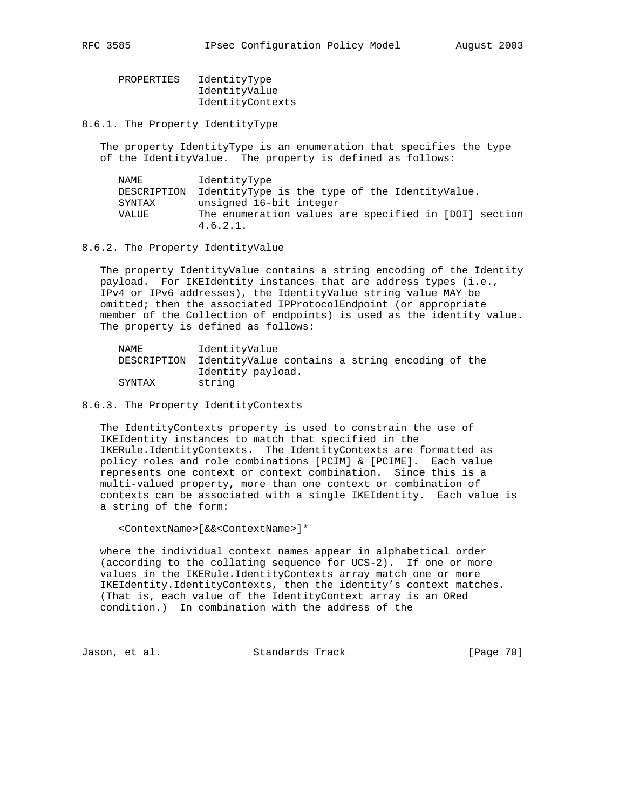| PROPERTIES | IdentityType     |
|------------|------------------|
|            | IdentityValue    |
|            | IdentityContexts |

8.6.1. The Property IdentityType

 The property IdentityType is an enumeration that specifies the type of the IdentityValue. The property is defined as follows:

| NAME        | IdentityType                                          |
|-------------|-------------------------------------------------------|
| DESCRIPTION | IdentityType is the type of the IdentityValue.        |
| SYNTAX      | unsigned 16-bit integer                               |
| VALUE       | The enumeration values are specified in [DOI] section |
|             | 4.6.2.1.                                              |

8.6.2. The Property IdentityValue

 The property IdentityValue contains a string encoding of the Identity payload. For IKEIdentity instances that are address types (i.e., IPv4 or IPv6 addresses), the IdentityValue string value MAY be omitted; then the associated IPProtocolEndpoint (or appropriate member of the Collection of endpoints) is used as the identity value. The property is defined as follows:

| NAME        | IdentityValue                                   |
|-------------|-------------------------------------------------|
| DESCRIPTION | IdentityValue contains a string encoding of the |
|             | Identity payload.                               |
| SYNTAX      | string                                          |

8.6.3. The Property IdentityContexts

 The IdentityContexts property is used to constrain the use of IKEIdentity instances to match that specified in the IKERule.IdentityContexts. The IdentityContexts are formatted as policy roles and role combinations [PCIM] & [PCIME]. Each value represents one context or context combination. Since this is a multi-valued property, more than one context or combination of contexts can be associated with a single IKEIdentity. Each value is a string of the form:

<ContextName>[&&<ContextName>]\*

 where the individual context names appear in alphabetical order (according to the collating sequence for UCS-2). If one or more values in the IKERule.IdentityContexts array match one or more IKEIdentity.IdentityContexts, then the identity's context matches. (That is, each value of the IdentityContext array is an ORed condition.) In combination with the address of the

Jason, et al. Standards Track [Page 70]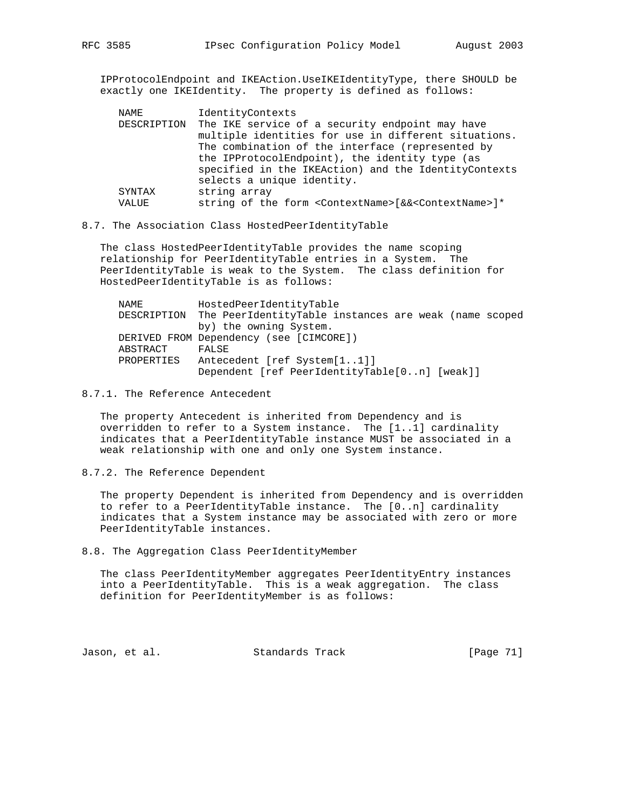IPProtocolEndpoint and IKEAction.UseIKEIdentityType, there SHOULD be exactly one IKEIdentity. The property is defined as follows:

| NAME   | IdentityContexts                                                                       |
|--------|----------------------------------------------------------------------------------------|
|        | DESCRIPTION The IKE service of a security endpoint may have                            |
|        | multiple identities for use in different situations.                                   |
|        | The combination of the interface (represented by                                       |
|        | the IPProtocolEndpoint), the identity type (as                                         |
|        | specified in the IKEAction) and the IdentityContexts                                   |
|        | selects a unique identity.                                                             |
| SYNTAX | string array                                                                           |
| VALUE  | string of the form <contextname>[&amp;&amp;<contextname>]*</contextname></contextname> |

#### 8.7. The Association Class HostedPeerIdentityTable

 The class HostedPeerIdentityTable provides the name scoping relationship for PeerIdentityTable entries in a System. The PeerIdentityTable is weak to the System. The class definition for HostedPeerIdentityTable is as follows:

| NAME       |       | HostedPeerIdentityTable                                           |  |  |
|------------|-------|-------------------------------------------------------------------|--|--|
|            |       | DESCRIPTION The PeerIdentityTable instances are weak (name scoped |  |  |
|            |       | by) the owning System.                                            |  |  |
|            |       | DERIVED FROM Dependency (see [CIMCORE])                           |  |  |
| ABSTRACT   | FALSE |                                                                   |  |  |
| PROPERTIES |       | Antecedent [ref System[11]]                                       |  |  |
|            |       | Dependent [ref PeerIdentityTable[0n] [weak]]                      |  |  |

#### 8.7.1. The Reference Antecedent

 The property Antecedent is inherited from Dependency and is overridden to refer to a System instance. The [1..1] cardinality indicates that a PeerIdentityTable instance MUST be associated in a weak relationship with one and only one System instance.

8.7.2. The Reference Dependent

 The property Dependent is inherited from Dependency and is overridden to refer to a PeerIdentityTable instance. The [0..n] cardinality indicates that a System instance may be associated with zero or more PeerIdentityTable instances.

8.8. The Aggregation Class PeerIdentityMember

 The class PeerIdentityMember aggregates PeerIdentityEntry instances into a PeerIdentityTable. This is a weak aggregation. The class definition for PeerIdentityMember is as follows:

Jason, et al. Standards Track [Page 71]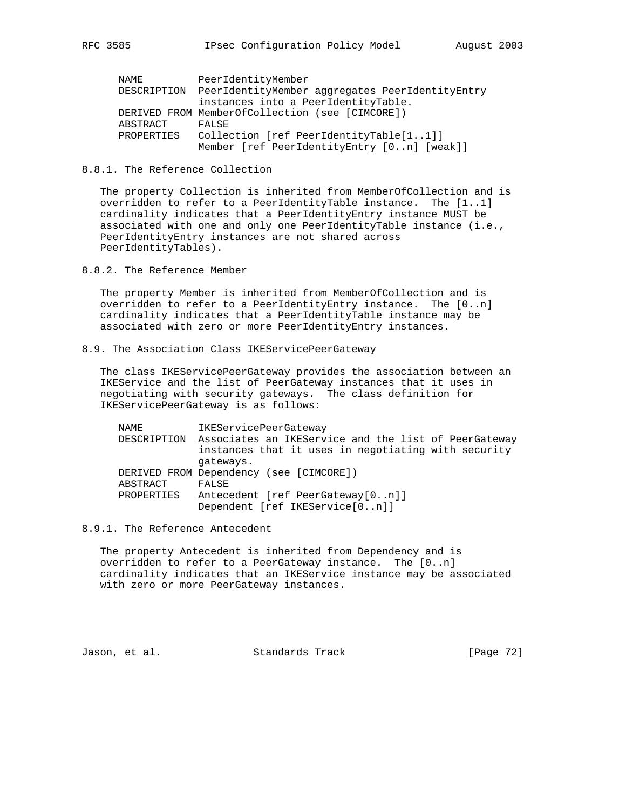| NAME        | PeerIdentityMember                              |
|-------------|-------------------------------------------------|
| DESCRIPTION | PeerIdentityMember aggregates PeerIdentityEntry |
|             | instances into a PeerIdentityTable.             |
|             | DERIVED FROM MemberOfCollection (see [CIMCORE]) |
| ABSTRACT    | FALSE                                           |
| PROPERTIES  | Collection [ref PeerIdentityTable[11]]          |
|             | Member [ref PeerIdentityEntry [0n] [weak]]      |

## 8.8.1. The Reference Collection

 The property Collection is inherited from MemberOfCollection and is overridden to refer to a PeerIdentityTable instance. The [1..1] cardinality indicates that a PeerIdentityEntry instance MUST be associated with one and only one PeerIdentityTable instance (i.e., PeerIdentityEntry instances are not shared across PeerIdentityTables).

8.8.2. The Reference Member

 The property Member is inherited from MemberOfCollection and is overridden to refer to a PeerIdentityEntry instance. The [0..n] cardinality indicates that a PeerIdentityTable instance may be associated with zero or more PeerIdentityEntry instances.

8.9. The Association Class IKEServicePeerGateway

 The class IKEServicePeerGateway provides the association between an IKEService and the list of PeerGateway instances that it uses in negotiating with security gateways. The class definition for IKEServicePeerGateway is as follows:

| NAME       | IKEServicePeerGateway                                            |
|------------|------------------------------------------------------------------|
|            | DESCRIPTION Associates an IKEService and the list of PeerGateway |
|            | instances that it uses in negotiating with security              |
|            | gateways.                                                        |
|            | DERIVED FROM Dependency (see [CIMCORE])                          |
| ABSTRACT   | FALSE                                                            |
| PROPERTIES | Antecedent [ref PeerGateway[0n]]                                 |
|            | Dependent [ref IKEService[0n]]                                   |

## 8.9.1. The Reference Antecedent

 The property Antecedent is inherited from Dependency and is overridden to refer to a PeerGateway instance. The [0..n] cardinality indicates that an IKEService instance may be associated with zero or more PeerGateway instances.

Jason, et al. Standards Track [Page 72]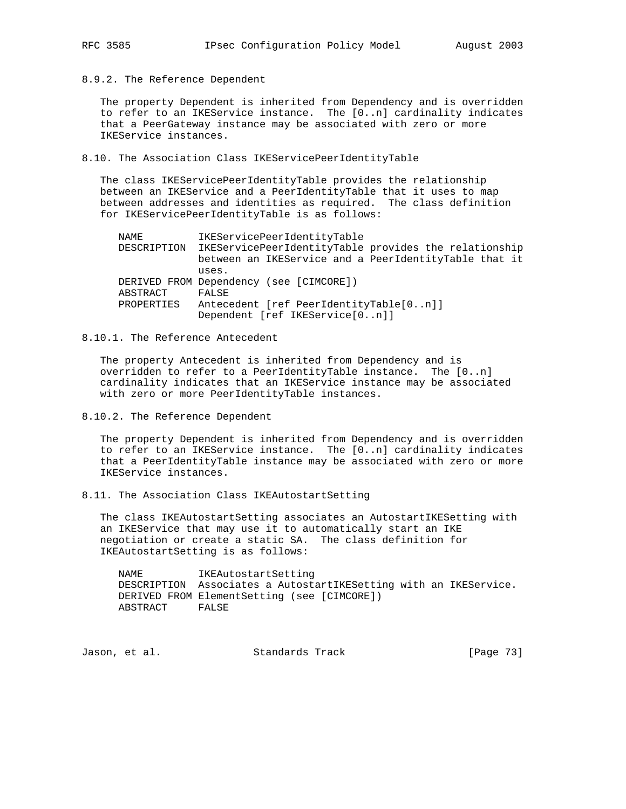8.9.2. The Reference Dependent

 The property Dependent is inherited from Dependency and is overridden to refer to an IKEService instance. The [0..n] cardinality indicates that a PeerGateway instance may be associated with zero or more IKEService instances.

8.10. The Association Class IKEServicePeerIdentityTable

 The class IKEServicePeerIdentityTable provides the relationship between an IKEService and a PeerIdentityTable that it uses to map between addresses and identities as required. The class definition for IKEServicePeerIdentityTable is as follows:

| NAME       | IKEServicePeerIdentityTable                                       |
|------------|-------------------------------------------------------------------|
|            | DESCRIPTION IKEServicePeerIdentityTable provides the relationship |
|            | between an IKEService and a PeerIdentityTable that it             |
|            | uses.                                                             |
|            | DERIVED FROM Dependency (see [CIMCORE])                           |
| ABSTRACT   | FALSE                                                             |
| PROPERTIES | Antecedent [ref PeerIdentityTable[0n]]                            |
|            | Dependent [ref IKEService[0n]]                                    |

8.10.1. The Reference Antecedent

 The property Antecedent is inherited from Dependency and is overridden to refer to a PeerIdentityTable instance. The [0..n] cardinality indicates that an IKEService instance may be associated with zero or more PeerIdentityTable instances.

8.10.2. The Reference Dependent

 The property Dependent is inherited from Dependency and is overridden to refer to an IKEService instance. The [0..n] cardinality indicates that a PeerIdentityTable instance may be associated with zero or more IKEService instances.

8.11. The Association Class IKEAutostartSetting

 The class IKEAutostartSetting associates an AutostartIKESetting with an IKEService that may use it to automatically start an IKE negotiation or create a static SA. The class definition for IKEAutostartSetting is as follows:

 NAME IKEAutostartSetting DESCRIPTION Associates a AutostartIKESetting with an IKEService. DERIVED FROM ElementSetting (see [CIMCORE]) ABSTRACT FALSE

Jason, et al. Standards Track [Page 73]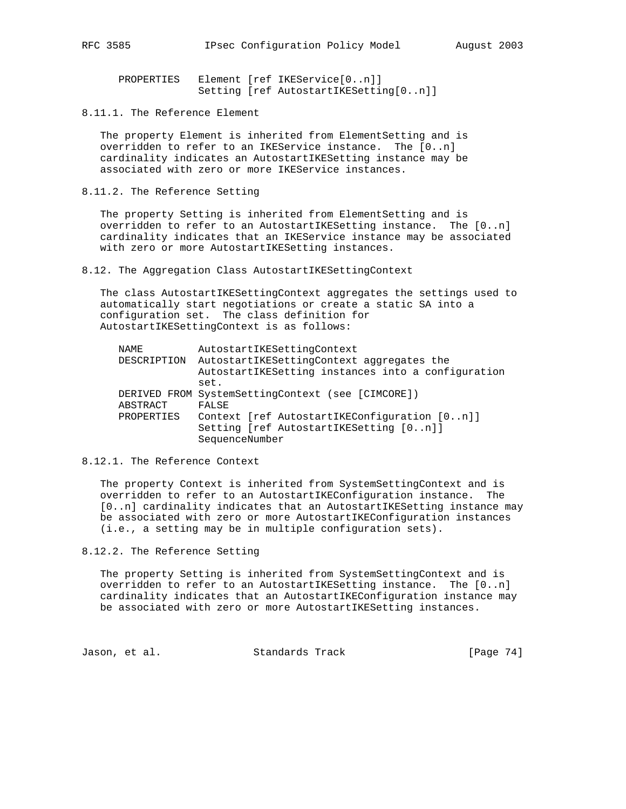PROPERTIES Element [ref IKEService[0..n]] Setting [ref AutostartIKESetting[0..n]]

8.11.1. The Reference Element

 The property Element is inherited from ElementSetting and is overridden to refer to an IKEService instance. The [0..n] cardinality indicates an AutostartIKESetting instance may be associated with zero or more IKEService instances.

8.11.2. The Reference Setting

 The property Setting is inherited from ElementSetting and is overridden to refer to an AutostartIKESetting instance. The [0..n] cardinality indicates that an IKEService instance may be associated with zero or more AutostartIKESetting instances.

8.12. The Aggregation Class AutostartIKESettingContext

 The class AutostartIKESettingContext aggregates the settings used to automatically start negotiations or create a static SA into a configuration set. The class definition for AutostartIKESettingContext is as follows:

| NAME        | AutostartIKESettingContext                         |
|-------------|----------------------------------------------------|
| DESCRIPTION | AutostartIKESettingContext aggregates the          |
|             | AutostartIKESetting instances into a configuration |
|             | set.                                               |
|             | DERIVED FROM SystemSettingContext (see [CIMCORE])  |
| ABSTRACT    | FALSE                                              |
| PROPERTIES  | Context [ref AutostartIKEConfiguration [0n]]       |
|             | Setting [ref AutostartIKESetting [0n]]             |
|             | SequenceNumber                                     |
|             |                                                    |

8.12.1. The Reference Context

 The property Context is inherited from SystemSettingContext and is overridden to refer to an AutostartIKEConfiguration instance. The [0..n] cardinality indicates that an AutostartIKESetting instance may be associated with zero or more AutostartIKEConfiguration instances (i.e., a setting may be in multiple configuration sets).

8.12.2. The Reference Setting

 The property Setting is inherited from SystemSettingContext and is overridden to refer to an AutostartIKESetting instance. The [0..n] cardinality indicates that an AutostartIKEConfiguration instance may be associated with zero or more AutostartIKESetting instances.

Jason, et al. Standards Track [Page 74]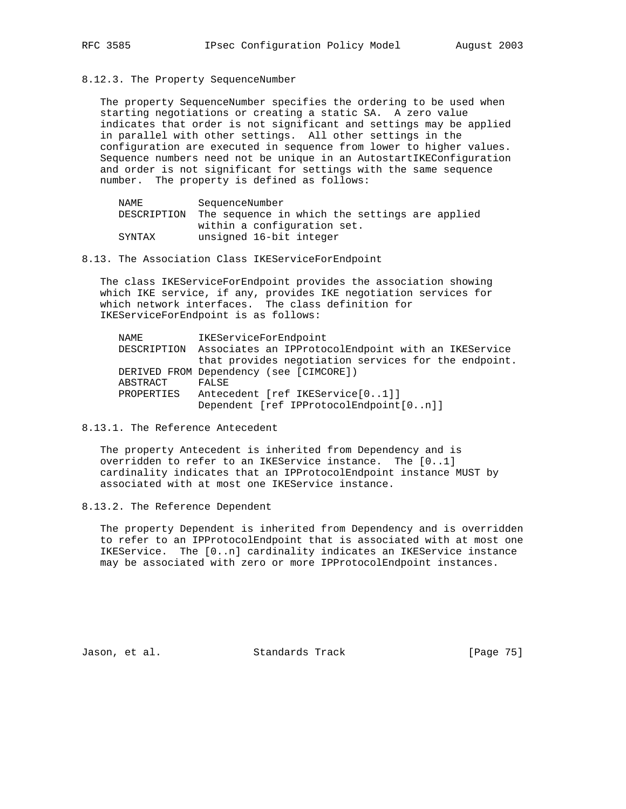8.12.3. The Property SequenceNumber

 The property SequenceNumber specifies the ordering to be used when starting negotiations or creating a static SA. A zero value indicates that order is not significant and settings may be applied in parallel with other settings. All other settings in the configuration are executed in sequence from lower to higher values. Sequence numbers need not be unique in an AutostartIKEConfiguration and order is not significant for settings with the same sequence number. The property is defined as follows:

| NAMF.       | SequenceNumber                                 |
|-------------|------------------------------------------------|
| DESCRIPTION | The sequence in which the settings are applied |
|             | within a configuration set.                    |
| SYNTAX      | unsigned 16-bit integer                        |

8.13. The Association Class IKEServiceForEndpoint

 The class IKEServiceForEndpoint provides the association showing which IKE service, if any, provides IKE negotiation services for which network interfaces. The class definition for IKEServiceForEndpoint is as follows:

| NAME       | IKEServiceForEndpoint                                           |
|------------|-----------------------------------------------------------------|
|            | DESCRIPTION Associates an IPProtocolEndpoint with an IKEService |
|            | that provides negotiation services for the endpoint.            |
|            | DERIVED FROM Dependency (see [CIMCORE])                         |
| ABSTRACT   | FALSE                                                           |
| PROPERTIES | Antecedent [ref IKEService[01]]                                 |
|            | Dependent [ref IPProtocolEndpoint[0n]]                          |

8.13.1. The Reference Antecedent

 The property Antecedent is inherited from Dependency and is overridden to refer to an IKEService instance. The [0..1] cardinality indicates that an IPProtocolEndpoint instance MUST by associated with at most one IKEService instance.

8.13.2. The Reference Dependent

 The property Dependent is inherited from Dependency and is overridden to refer to an IPProtocolEndpoint that is associated with at most one IKEService. The [0..n] cardinality indicates an IKEService instance may be associated with zero or more IPProtocolEndpoint instances.

Jason, et al. Standards Track [Page 75]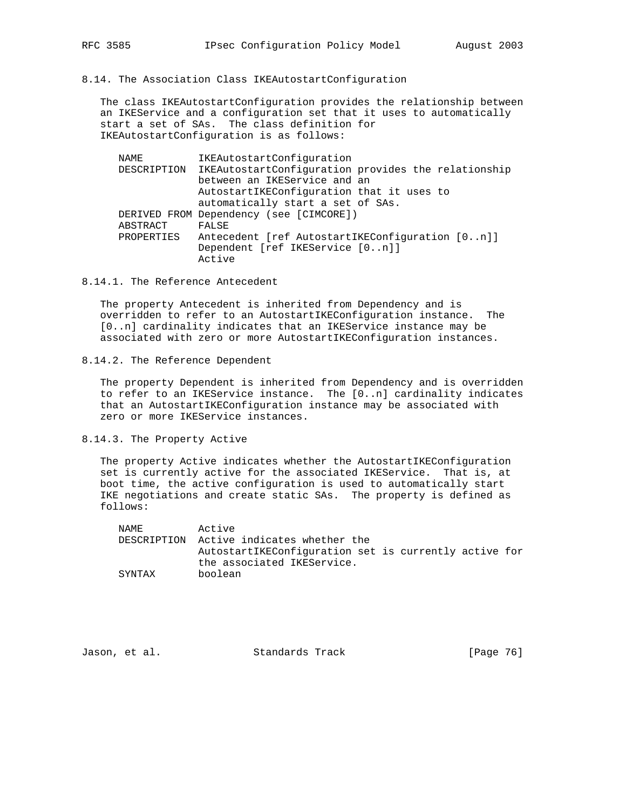8.14. The Association Class IKEAutostartConfiguration

 The class IKEAutostartConfiguration provides the relationship between an IKEService and a configuration set that it uses to automatically start a set of SAs. The class definition for IKEAutostartConfiguration is as follows:

 NAME IKEAutostartConfiguration DESCRIPTION IKEAutostartConfiguration provides the relationship between an IKEService and an AutostartIKEConfiguration that it uses to automatically start a set of SAs. DERIVED FROM Dependency (see [CIMCORE]) ABSTRACT FALSE PROPERTIES Antecedent [ref AutostartIKEConfiguration [0..n]] Dependent [ref IKEService [0..n]] Active

8.14.1. The Reference Antecedent

 The property Antecedent is inherited from Dependency and is overridden to refer to an AutostartIKEConfiguration instance. The [0..n] cardinality indicates that an IKEService instance may be associated with zero or more AutostartIKEConfiguration instances.

8.14.2. The Reference Dependent

 The property Dependent is inherited from Dependency and is overridden to refer to an IKEService instance. The [0..n] cardinality indicates that an AutostartIKEConfiguration instance may be associated with zero or more IKEService instances.

8.14.3. The Property Active

 The property Active indicates whether the AutostartIKEConfiguration set is currently active for the associated IKEService. That is, at boot time, the active configuration is used to automatically start IKE negotiations and create static SAs. The property is defined as follows:

| NAME.  | Active                                                |
|--------|-------------------------------------------------------|
|        | DESCRIPTION Active indicates whether the              |
|        | AutostartIKEConfiguration set is currently active for |
|        | the associated IKEService.                            |
| SYNTAX | boolean                                               |

Jason, et al. Standards Track [Page 76]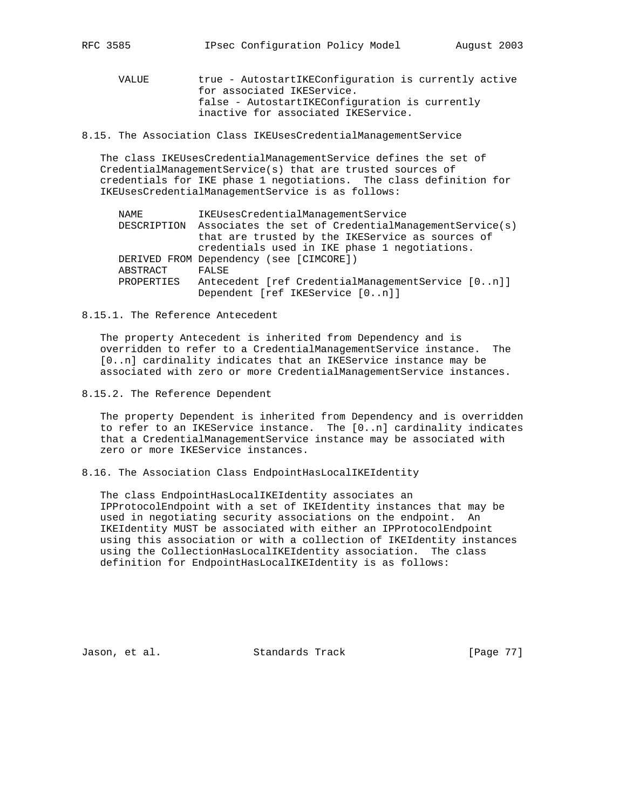VALUE true - AutostartIKEConfiguration is currently active for associated IKEService. false - AutostartIKEConfiguration is currently inactive for associated IKEService.

8.15. The Association Class IKEUsesCredentialManagementService

 The class IKEUsesCredentialManagementService defines the set of CredentialManagementService(s) that are trusted sources of credentials for IKE phase 1 negotiations. The class definition for IKEUsesCredentialManagementService is as follows:

| NAME        | IKEUsesCredentialManagementService                   |
|-------------|------------------------------------------------------|
| DESCRIPTION | Associates the set of CredentialManagementService(s) |
|             | that are trusted by the IKEService as sources of     |
|             | credentials used in IKE phase 1 negotiations.        |
|             | DERIVED FROM Dependency (see [CIMCORE])              |
| ABSTRACT    | FALSE                                                |
| PROPERTIES  | Antecedent [ref CredentialManagementService [0n]]    |
|             | Dependent [ref IKEService [0n]]                      |

#### 8.15.1. The Reference Antecedent

 The property Antecedent is inherited from Dependency and is overridden to refer to a CredentialManagementService instance. The [0..n] cardinality indicates that an IKEService instance may be associated with zero or more CredentialManagementService instances.

8.15.2. The Reference Dependent

 The property Dependent is inherited from Dependency and is overridden to refer to an IKEService instance. The [0..n] cardinality indicates that a CredentialManagementService instance may be associated with zero or more IKEService instances.

8.16. The Association Class EndpointHasLocalIKEIdentity

 The class EndpointHasLocalIKEIdentity associates an IPProtocolEndpoint with a set of IKEIdentity instances that may be used in negotiating security associations on the endpoint. An IKEIdentity MUST be associated with either an IPProtocolEndpoint using this association or with a collection of IKEIdentity instances using the CollectionHasLocalIKEIdentity association. The class definition for EndpointHasLocalIKEIdentity is as follows:

Jason, et al. Standards Track [Page 77]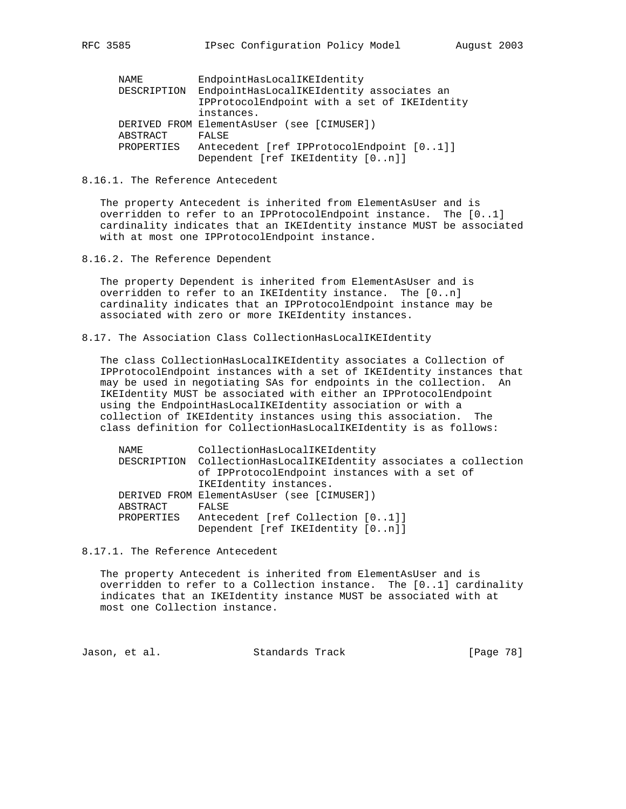| RFC | 3585 |
|-----|------|
|-----|------|

| NAME        | EndpointHasLocalIKEIdentity                  |
|-------------|----------------------------------------------|
| DESCRIPTION | EndpointHasLocalIKEIdentity associates an    |
|             | IPProtocolEndpoint with a set of IKEIdentity |
|             | instances.                                   |
|             | DERIVED FROM ElementAsUser (see [CIMUSER])   |
| ABSTRACT    | FALSE                                        |
| PROPERTIES  | Antecedent [ref IPProtocolEndpoint [01]]     |
|             | Dependent [ref IKEIdentity [0n]]             |

8.16.1. The Reference Antecedent

 The property Antecedent is inherited from ElementAsUser and is overridden to refer to an IPProtocolEndpoint instance. The [0..1] cardinality indicates that an IKEIdentity instance MUST be associated with at most one IPProtocolEndpoint instance.

8.16.2. The Reference Dependent

 The property Dependent is inherited from ElementAsUser and is overridden to refer to an IKEIdentity instance. The [0..n] cardinality indicates that an IPProtocolEndpoint instance may be associated with zero or more IKEIdentity instances.

8.17. The Association Class CollectionHasLocalIKEIdentity

 The class CollectionHasLocalIKEIdentity associates a Collection of IPProtocolEndpoint instances with a set of IKEIdentity instances that may be used in negotiating SAs for endpoints in the collection. An IKEIdentity MUST be associated with either an IPProtocolEndpoint using the EndpointHasLocalIKEIdentity association or with a collection of IKEIdentity instances using this association. The class definition for CollectionHasLocalIKEIdentity is as follows:

| NAME       | CollectionHasLocalIKEIdentity                                     |
|------------|-------------------------------------------------------------------|
|            | DESCRIPTION CollectionHasLocalIKEIdentity associates a collection |
|            | of IPProtocolEndpoint instances with a set of                     |
|            | IKEIdentity instances.                                            |
|            | DERIVED FROM ElementAsUser (see [CIMUSER])                        |
| ABSTRACT   | FALSE                                                             |
| PROPERTIES | Antecedent [ref Collection [01]]                                  |
|            | Dependent [ref IKEIdentity [0n]]                                  |

8.17.1. The Reference Antecedent

 The property Antecedent is inherited from ElementAsUser and is overridden to refer to a Collection instance. The [0..1] cardinality indicates that an IKEIdentity instance MUST be associated with at most one Collection instance.

Jason, et al. Standards Track [Page 78]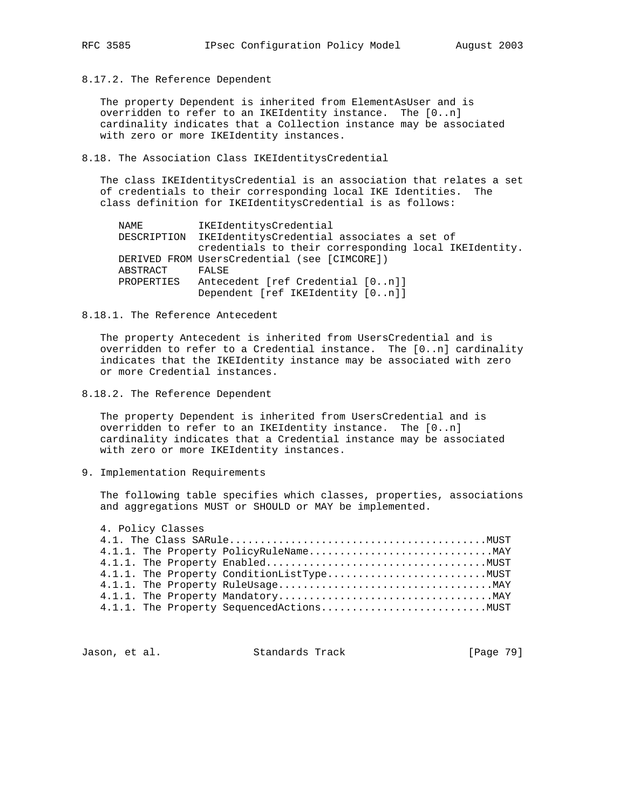8.17.2. The Reference Dependent

 The property Dependent is inherited from ElementAsUser and is overridden to refer to an IKEIdentity instance. The [0..n] cardinality indicates that a Collection instance may be associated with zero or more IKEIdentity instances.

8.18. The Association Class IKEIdentitysCredential

 The class IKEIdentitysCredential is an association that relates a set of credentials to their corresponding local IKE Identities. The class definition for IKEIdentitysCredential is as follows:

| NAME       | IKEIdentitysCredential                                 |
|------------|--------------------------------------------------------|
|            | DESCRIPTION IKEIdentitysCredential associates a set of |
|            | credentials to their corresponding local IKEIdentity.  |
|            | DERIVED FROM UsersCredential (see [CIMCORE])           |
| ABSTRACT   | FALSE                                                  |
| PROPERTIES | Antecedent [ref Credential [0n]]                       |
|            | Dependent [ref IKEIdentity [0n]]                       |
|            |                                                        |

8.18.1. The Reference Antecedent

 The property Antecedent is inherited from UsersCredential and is overridden to refer to a Credential instance. The [0..n] cardinality indicates that the IKEIdentity instance may be associated with zero or more Credential instances.

8.18.2. The Reference Dependent

 The property Dependent is inherited from UsersCredential and is overridden to refer to an IKEIdentity instance. The [0..n] cardinality indicates that a Credential instance may be associated with zero or more IKEIdentity instances.

9. Implementation Requirements

 The following table specifies which classes, properties, associations and aggregations MUST or SHOULD or MAY be implemented.

 4. Policy Classes 4.1. The Class SARule..........................................MUST 4.1.1. The Property PolicyRuleName..............................MAY 4.1.1. The Property Enabled....................................MUST 4.1.1. The Property ConditionListType..........................MUST 4.1.1. The Property RuleUsage...................................MAY 4.1.1. The Property Mandatory...................................MAY 4.1.1. The Property SequencedActions...........................MUST

Jason, et al. Standards Track [Page 79]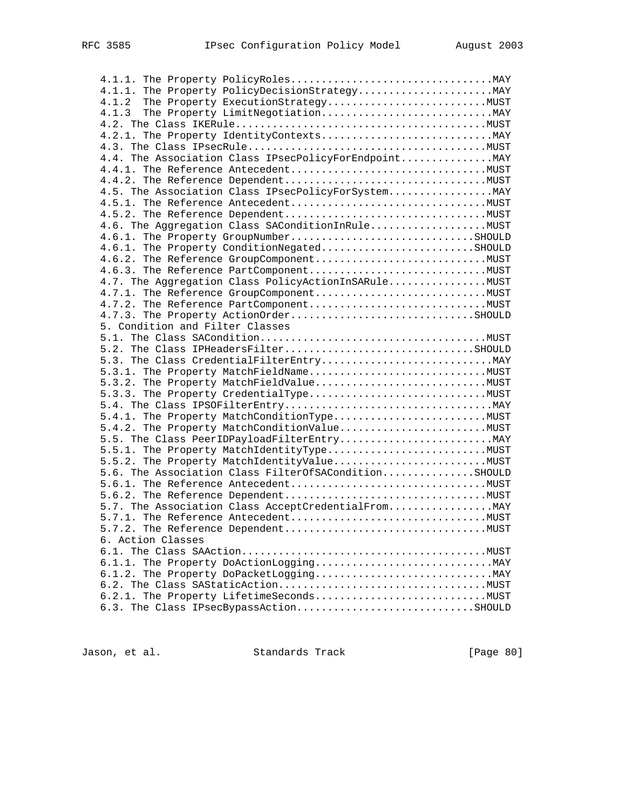| 4.1.2<br>The Property ExecutionStrategyMUST           |  |
|-------------------------------------------------------|--|
| 4.1.3                                                 |  |
|                                                       |  |
|                                                       |  |
|                                                       |  |
| 4.4. The Association Class IPsecPolicyForEndpoint MAY |  |
|                                                       |  |
|                                                       |  |
| 4.5. The Association Class IPsecPolicyForSystem MAY   |  |
|                                                       |  |
|                                                       |  |
|                                                       |  |
|                                                       |  |
| 4.6.1. The Property GroupNumberSHOULD                 |  |
| 4.6.1. The Property ConditionNegatedSHOULD            |  |
|                                                       |  |
|                                                       |  |
| 4.7. The Aggregation Class PolicyActionInSARuleMUST   |  |
|                                                       |  |
|                                                       |  |
| 4.7.3. The Property ActionOrderSHOULD                 |  |
| 5. Condition and Filter Classes                       |  |
|                                                       |  |
| 5.2. The Class IPHeadersFilterSHOULD                  |  |
|                                                       |  |
| 5.3.1. The Property MatchFieldNameMUST                |  |
| 5.3.2. The Property MatchFieldValueMUST               |  |
|                                                       |  |
|                                                       |  |
|                                                       |  |
|                                                       |  |
|                                                       |  |
|                                                       |  |
| 5.5.2. The Property MatchIdentityValueMUST            |  |
| 5.6. The Association Class FilterOfSAConditionSHOULD  |  |
|                                                       |  |
|                                                       |  |
|                                                       |  |
|                                                       |  |
|                                                       |  |
| 6. Action Classes                                     |  |
|                                                       |  |
|                                                       |  |
|                                                       |  |
|                                                       |  |
|                                                       |  |
|                                                       |  |
| 6.3. The Class IPsecBypassActionSHOULD                |  |

Jason, et al. Standards Track [Page 80]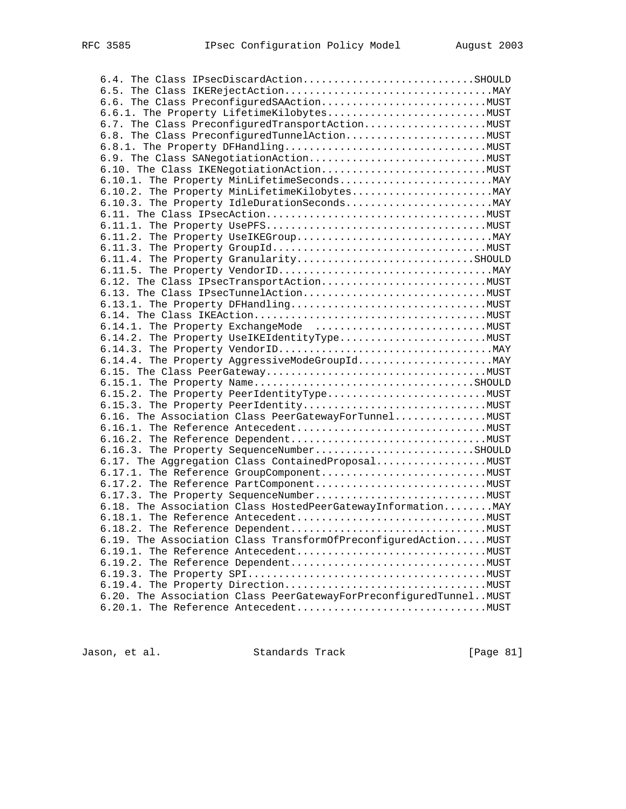| 6.4. The Class IPsecDiscardActionSHOULD                           |  |
|-------------------------------------------------------------------|--|
|                                                                   |  |
|                                                                   |  |
|                                                                   |  |
| 6.7. The Class PreconfiguredTransportActionMUST                   |  |
|                                                                   |  |
|                                                                   |  |
|                                                                   |  |
|                                                                   |  |
|                                                                   |  |
|                                                                   |  |
|                                                                   |  |
|                                                                   |  |
|                                                                   |  |
|                                                                   |  |
|                                                                   |  |
| 6.11.4. The Property GranularitySHOULD                            |  |
|                                                                   |  |
|                                                                   |  |
|                                                                   |  |
|                                                                   |  |
|                                                                   |  |
|                                                                   |  |
|                                                                   |  |
|                                                                   |  |
|                                                                   |  |
|                                                                   |  |
|                                                                   |  |
|                                                                   |  |
|                                                                   |  |
| 6.16. The Association Class PeerGatewayForTunnelMUST              |  |
|                                                                   |  |
|                                                                   |  |
| 6.16.3. The Property SequenceNumberSHOULD                         |  |
| 6.17. The Aggregation Class Contained Proposal MUST               |  |
|                                                                   |  |
|                                                                   |  |
|                                                                   |  |
| 6.18. The Association Class HostedPeerGatewayInformation MAY      |  |
|                                                                   |  |
|                                                                   |  |
| 6.19. The Association Class TransformOfPreconfiguredAction MUST   |  |
|                                                                   |  |
|                                                                   |  |
|                                                                   |  |
|                                                                   |  |
| 6.20. The Association Class PeerGatewayForPreconfiguredTunnelMUST |  |
|                                                                   |  |

Jason, et al. Standards Track [Page 81]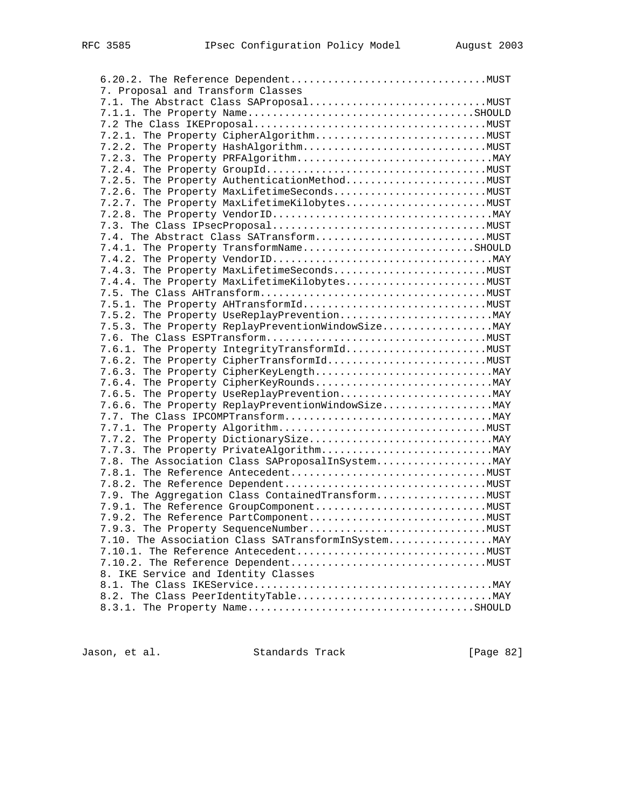| 7. Proposal and Transform Classes                   |  |
|-----------------------------------------------------|--|
|                                                     |  |
|                                                     |  |
|                                                     |  |
|                                                     |  |
|                                                     |  |
|                                                     |  |
|                                                     |  |
|                                                     |  |
| 7.2.6. The Property MaxLifetimeSecondsMUST          |  |
| 7.2.7. The Property MaxLifetimeKilobytesMUST        |  |
|                                                     |  |
|                                                     |  |
| 7.4. The Abstract Class SATransformMUST             |  |
| 7.4.1. The Property TransformNameSHOULD             |  |
|                                                     |  |
| 7.4.3. The Property MaxLifetimeSecondsMUST          |  |
| 7.4.4. The Property MaxLifetimeKilobytesMUST        |  |
|                                                     |  |
|                                                     |  |
|                                                     |  |
| 7.5.3. The Property ReplayPreventionWindowSize      |  |
|                                                     |  |
|                                                     |  |
|                                                     |  |
|                                                     |  |
|                                                     |  |
|                                                     |  |
| 7.6.6. The Property ReplayPreventionWindowSize      |  |
|                                                     |  |
|                                                     |  |
|                                                     |  |
|                                                     |  |
|                                                     |  |
|                                                     |  |
|                                                     |  |
| 7.9. The Aggregation Class ContainedTransformMUST   |  |
|                                                     |  |
|                                                     |  |
|                                                     |  |
| 7.10. The Association Class SATransformInSystem MAY |  |
|                                                     |  |
|                                                     |  |
| 8. IKE Service and Identity Classes                 |  |
|                                                     |  |
|                                                     |  |
|                                                     |  |

Jason, et al. Standards Track [Page 82]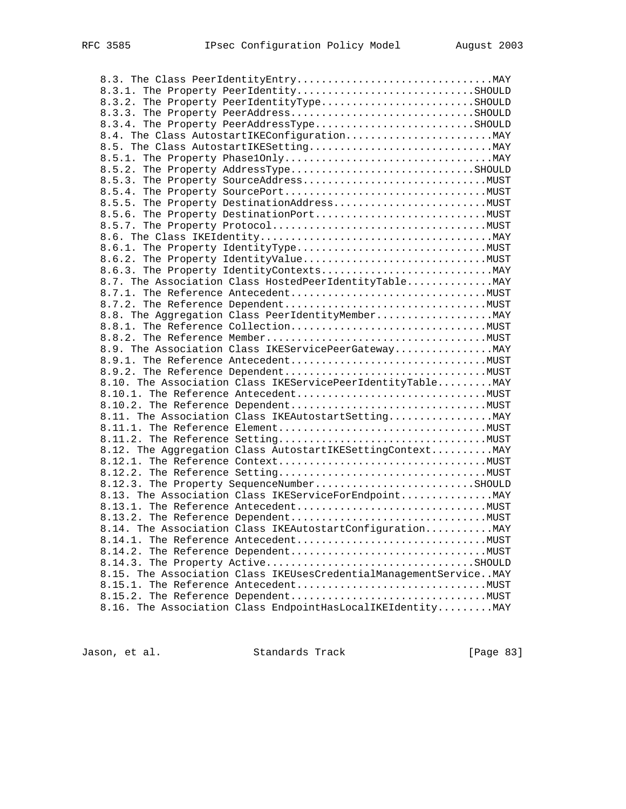| 8.3.1. The Property PeerIdentitySHOULD                            |  |
|-------------------------------------------------------------------|--|
| 8.3.2. The Property PeerIdentityTypeSHOULD                        |  |
| 8.3.3. The Property PeerAddressSHOULD                             |  |
| 8.3.4. The Property PeerAddressTypeSHOULD                         |  |
| 8.4. The Class AutostartIKEConfiguration MAY                      |  |
|                                                                   |  |
|                                                                   |  |
| 8.5.2. The Property AddressTypeSHOULD                             |  |
|                                                                   |  |
|                                                                   |  |
|                                                                   |  |
|                                                                   |  |
|                                                                   |  |
|                                                                   |  |
|                                                                   |  |
|                                                                   |  |
|                                                                   |  |
| 8.7. The Association Class HostedPeerIdentityTable MAY            |  |
|                                                                   |  |
|                                                                   |  |
| 8.8. The Aggregation Class PeerIdentityMember MAY                 |  |
|                                                                   |  |
|                                                                   |  |
| 8.9. The Association Class IKEServicePeerGateway MAY              |  |
|                                                                   |  |
|                                                                   |  |
| 8.10. The Association Class IKEServicePeerIdentityTable MAY       |  |
|                                                                   |  |
|                                                                   |  |
| 8.11. The Association Class IKEAutostartSetting MAY               |  |
|                                                                   |  |
|                                                                   |  |
| 8.12. The Aggregation Class AutostartIKESettingContext MAY        |  |
|                                                                   |  |
|                                                                   |  |
| 8.12.3. The Property SequenceNumberSHOULD                         |  |
| 8.13. The Association Class IKEServiceForEndpoint MAY             |  |
|                                                                   |  |
|                                                                   |  |
| 8.14. The Association Class IKEAutostartConfiguration MAY         |  |
|                                                                   |  |
|                                                                   |  |
|                                                                   |  |
| 8.15. The Association Class IKEUsesCredentialManagementServiceMAY |  |
|                                                                   |  |
|                                                                   |  |
| 8.16. The Association Class EndpointHasLocalIKEIdentity MAY       |  |
|                                                                   |  |

Jason, et al. Standards Track [Page 83]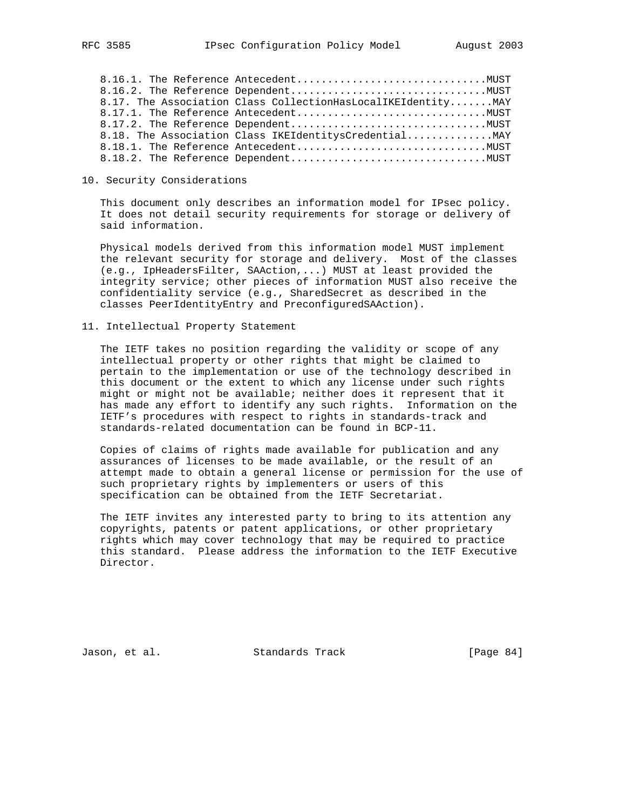8.16.1. The Reference Antecedent...............................MUST 8.16.2. The Reference Dependent................................MUST 8.17. The Association Class CollectionHasLocalIKEIdentity.......MAY 8.17.1. The Reference Antecedent...............................MUST 8.17.2. The Reference Dependent................................MUST 8.18. The Association Class IKEIdentitysCredential............... MAY 8.18.1. The Reference Antecedent...............................MUST 8.18.2. The Reference Dependent................................MUST

## 10. Security Considerations

 This document only describes an information model for IPsec policy. It does not detail security requirements for storage or delivery of said information.

 Physical models derived from this information model MUST implement the relevant security for storage and delivery. Most of the classes (e.g., IpHeadersFilter, SAAction,...) MUST at least provided the integrity service; other pieces of information MUST also receive the confidentiality service (e.g., SharedSecret as described in the classes PeerIdentityEntry and PreconfiguredSAAction).

11. Intellectual Property Statement

 The IETF takes no position regarding the validity or scope of any intellectual property or other rights that might be claimed to pertain to the implementation or use of the technology described in this document or the extent to which any license under such rights might or might not be available; neither does it represent that it has made any effort to identify any such rights. Information on the IETF's procedures with respect to rights in standards-track and standards-related documentation can be found in BCP-11.

 Copies of claims of rights made available for publication and any assurances of licenses to be made available, or the result of an attempt made to obtain a general license or permission for the use of such proprietary rights by implementers or users of this specification can be obtained from the IETF Secretariat.

 The IETF invites any interested party to bring to its attention any copyrights, patents or patent applications, or other proprietary rights which may cover technology that may be required to practice this standard. Please address the information to the IETF Executive Director.

Jason, et al. Standards Track [Page 84]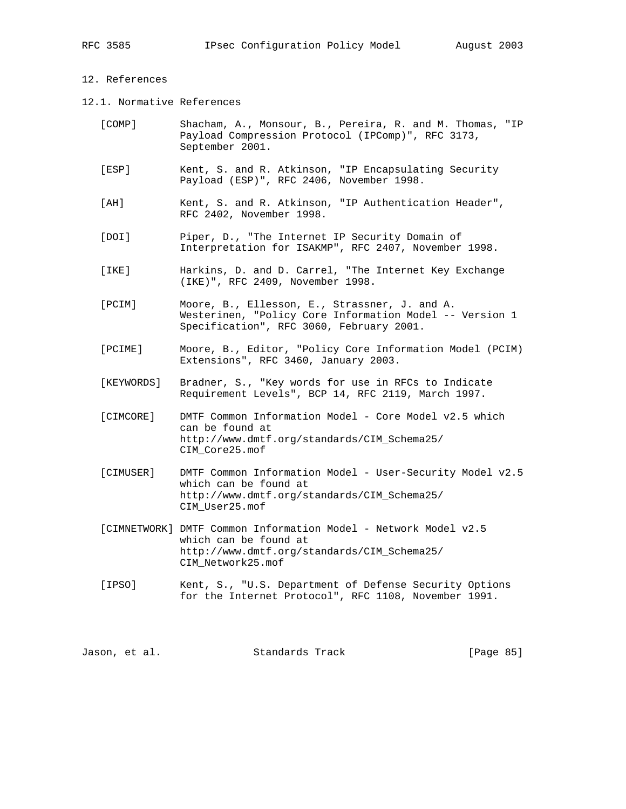# 12. References

12.1. Normative References

| [COMP] | Shacham, A., Monsour, B., Pereira, R. and M. Thomas, "IP |  |  |  |  |
|--------|----------------------------------------------------------|--|--|--|--|
|        | Payload Compression Protocol (IPComp)", RFC 3173,        |  |  |  |  |
|        | September 2001.                                          |  |  |  |  |

- [ESP] Kent, S. and R. Atkinson, "IP Encapsulating Security Payload (ESP)", RFC 2406, November 1998.
- [AH] Kent, S. and R. Atkinson, "IP Authentication Header", RFC 2402, November 1998.
- [DOI] Piper, D., "The Internet IP Security Domain of Interpretation for ISAKMP", RFC 2407, November 1998.
- [IKE] Harkins, D. and D. Carrel, "The Internet Key Exchange (IKE)", RFC 2409, November 1998.
- [PCIM] Moore, B., Ellesson, E., Strassner, J. and A. Westerinen, "Policy Core Information Model -- Version 1 Specification", RFC 3060, February 2001.
- [PCIME] Moore, B., Editor, "Policy Core Information Model (PCIM) Extensions", RFC 3460, January 2003.
- [KEYWORDS] Bradner, S., "Key words for use in RFCs to Indicate Requirement Levels", BCP 14, RFC 2119, March 1997.
- [CIMCORE] DMTF Common Information Model Core Model v2.5 which can be found at http://www.dmtf.org/standards/CIM\_Schema25/ CIM\_Core25.mof
- [CIMUSER] DMTF Common Information Model User-Security Model v2.5 which can be found at http://www.dmtf.org/standards/CIM\_Schema25/ CIM\_User25.mof
- [CIMNETWORK] DMTF Common Information Model Network Model v2.5 which can be found at http://www.dmtf.org/standards/CIM\_Schema25/ CIM\_Network25.mof
- [IPSO] Kent, S., "U.S. Department of Defense Security Options for the Internet Protocol", RFC 1108, November 1991.

Jason, et al. Standards Track [Page 85]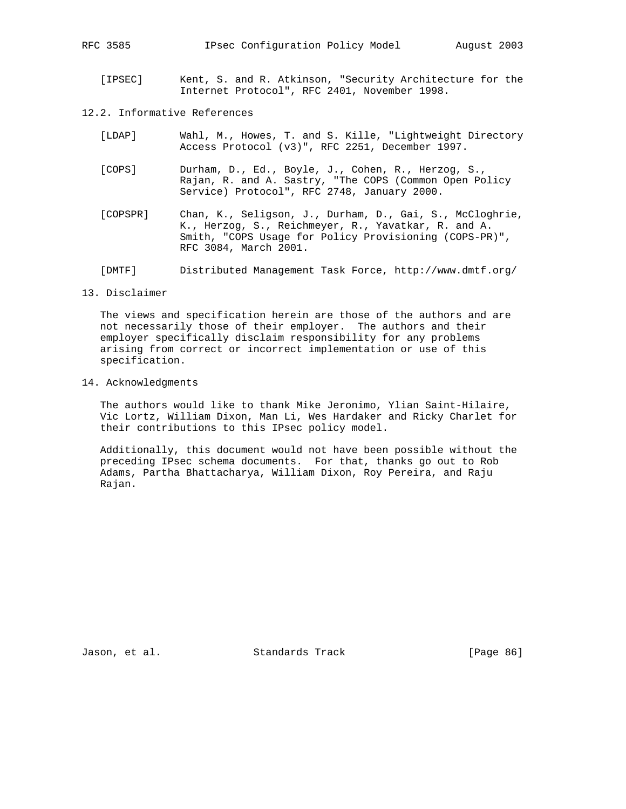[IPSEC] Kent, S. and R. Atkinson, "Security Architecture for the Internet Protocol", RFC 2401, November 1998.

## 12.2. Informative References

- [LDAP] Wahl, M., Howes, T. and S. Kille, "Lightweight Directory Access Protocol (v3)", RFC 2251, December 1997.
- [COPS] Durham, D., Ed., Boyle, J., Cohen, R., Herzog, S., Rajan, R. and A. Sastry, "The COPS (Common Open Policy Service) Protocol", RFC 2748, January 2000.
- [COPSPR] Chan, K., Seligson, J., Durham, D., Gai, S., McCloghrie, K., Herzog, S., Reichmeyer, R., Yavatkar, R. and A. Smith, "COPS Usage for Policy Provisioning (COPS-PR)", RFC 3084, March 2001.
- [DMTF] Distributed Management Task Force, http://www.dmtf.org/

#### 13. Disclaimer

 The views and specification herein are those of the authors and are not necessarily those of their employer. The authors and their employer specifically disclaim responsibility for any problems arising from correct or incorrect implementation or use of this specification.

### 14. Acknowledgments

 The authors would like to thank Mike Jeronimo, Ylian Saint-Hilaire, Vic Lortz, William Dixon, Man Li, Wes Hardaker and Ricky Charlet for their contributions to this IPsec policy model.

 Additionally, this document would not have been possible without the preceding IPsec schema documents. For that, thanks go out to Rob Adams, Partha Bhattacharya, William Dixon, Roy Pereira, and Raju Rajan.

Jason, et al. Standards Track [Page 86]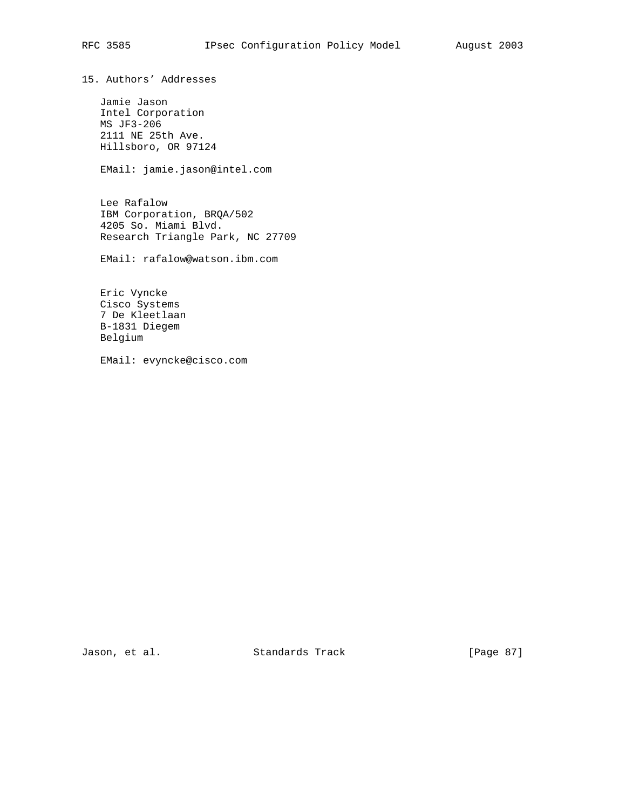15. Authors' Addresses

 Jamie Jason Intel Corporation MS JF3-206 2111 NE 25th Ave. Hillsboro, OR 97124

EMail: jamie.jason@intel.com

 Lee Rafalow IBM Corporation, BRQA/502 4205 So. Miami Blvd. Research Triangle Park, NC 27709

EMail: rafalow@watson.ibm.com

 Eric Vyncke Cisco Systems 7 De Kleetlaan B-1831 Diegem Belgium

EMail: evyncke@cisco.com

Jason, et al. Standards Track [Page 87]